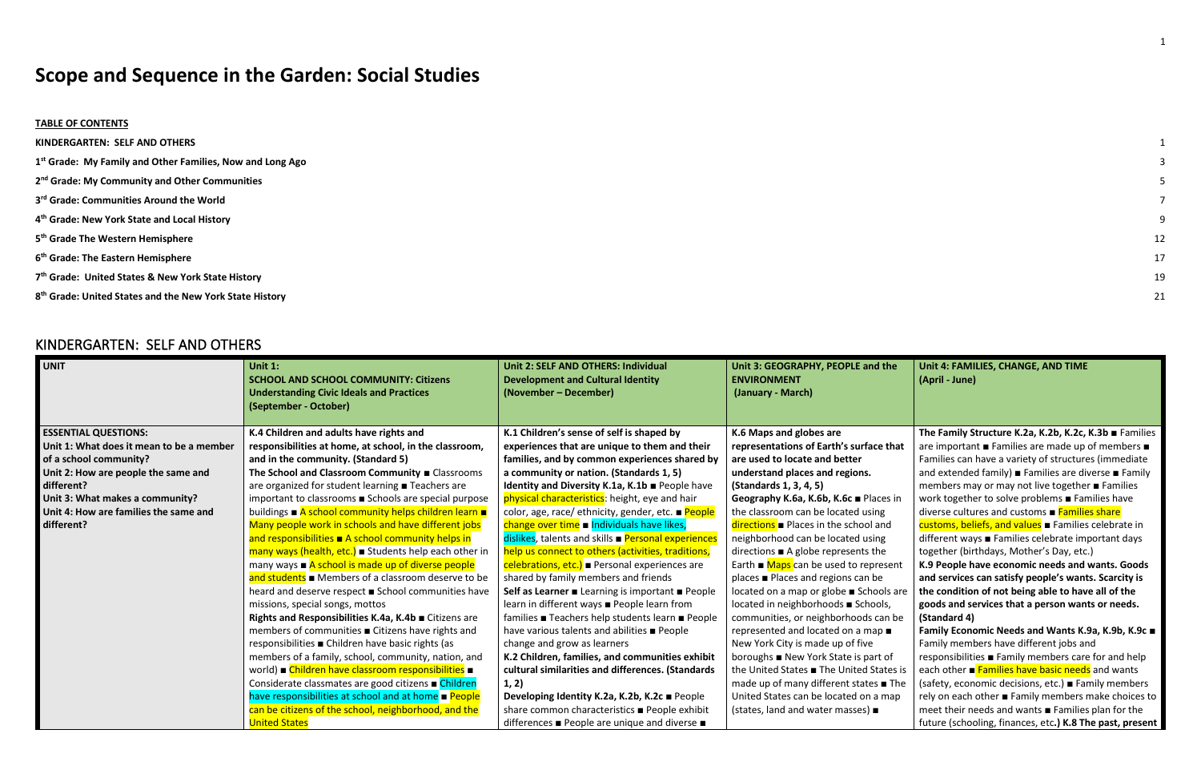# **Scope and Sequence in the Garden: Social Studies**

#### **TABLE OF CONTENTS**

**[KINDERGARTEN: SELF AND OTHERS](#page-0-0)** 

- **1 st [Grade: My Family and Other Families, Now and Long Ago](#page-2-0)** 3
- **2 nd [Grade: My Community and Other Communities](#page-4-0)** 5
- **3 rd [Grade: Communities Around the World](#page-6-0)** 7
- **4 th [Grade: New York State and Local History](#page-8-0)** 9
- **5 th [Grade The Western Hemisphere](#page-11-0)** 12
- **6 th [Grade: The Eastern Hemisphere](#page-16-0)** 17
- **7 th [Grade: United States & New York State History](#page-18-0)** 19
- **8 th [Grade: United States and the New York State History](#page-20-0)** 21

## <span id="page-0-0"></span>KINDERGARTEN: SELF AND OTHERS

| <b>UNIT</b>                              | Unit $1$ :<br><b>SCHOOL AND SCHOOL COMMUNITY: Citizens</b><br><b>Understanding Civic Ideals and Practices</b><br>(September - October) | Unit 2: SELF AND OTHERS: Individual<br><b>Development and Cultural Identity</b><br>(November – December) | Unit 3: GEOGRAPHY, PEOPLE and the<br><b>ENVIRONMENT</b><br>(January - March) |
|------------------------------------------|----------------------------------------------------------------------------------------------------------------------------------------|----------------------------------------------------------------------------------------------------------|------------------------------------------------------------------------------|
| <b>ESSENTIAL QUESTIONS:</b>              | K.4 Children and adults have rights and                                                                                                | K.1 Children's sense of self is shaped by                                                                | K.6 Maps and globes are                                                      |
| Unit 1: What does it mean to be a member | responsibilities at home, at school, in the classroom,                                                                                 | experiences that are unique to them and their                                                            | representations of Earth's surface that                                      |
| of a school community?                   | and in the community. (Standard 5)                                                                                                     | families, and by common experiences shared by                                                            | are used to locate and better                                                |
| Unit 2: How are people the same and      | The School and Classroom Community <b>EXALGO</b> Classrooms                                                                            | a community or nation. (Standards 1, 5)                                                                  | understand places and regions.                                               |
| different?                               | are organized for student learning <b>Teachers</b> are                                                                                 | Identity and Diversity K.1a, K.1b People have                                                            | (Standards 1, 3, 4, 5)                                                       |
| Unit 3: What makes a community?          | important to classrooms <b>Schools</b> are special purpose                                                                             | physical characteristics: height, eye and hair                                                           | Geography K.6a, K.6b, K.6c ■ Places in                                       |
| Unit 4: How are families the same and    | buildings ■ A school community helps children learn ■                                                                                  | color, age, race/ ethnicity, gender, etc. <b>■ People</b>                                                | the classroom can be located using                                           |
| different?                               | Many people work in schools and have different jobs                                                                                    | change over time a Individuals have likes,                                                               | $directions$ Places in the school and                                        |
|                                          | and responsibilities $\blacksquare$ A school community helps in                                                                        | dislikes, talents and skills <b>Personal experiences</b>                                                 | neighborhood can be located using                                            |
|                                          | many ways (health, etc.) Students help each other in                                                                                   | help us connect to others (activities, traditions,                                                       | directions $\blacksquare$ A globe represents the                             |
|                                          | many ways $\blacksquare$ A school is made up of diverse people                                                                         | celebrations, etc.) • Personal experiences are                                                           | Earth $\blacksquare$ Maps can be used to represent                           |
|                                          | and students $\blacksquare$ Members of a classroom deserve to be                                                                       | shared by family members and friends                                                                     | places ■ Places and regions can be                                           |
|                                          | heard and deserve respect ■ School communities have                                                                                    | Self as Learner ■ Learning is important ■ People                                                         | located on a map or globe ■ Schools are                                      |
|                                          | missions, special songs, mottos                                                                                                        | learn in different ways <b>People learn from</b>                                                         | located in neighborhoods ■ Schools,                                          |
|                                          | Rights and Responsibilities K.4a, K.4b · Citizens are                                                                                  | families ■ Teachers help students learn ■ People                                                         | communities, or neighborhoods can be                                         |
|                                          | members of communities ■ Citizens have rights and                                                                                      | have various talents and abilities <b>People</b>                                                         | represented and located on a map $\blacksquare$                              |
|                                          | responsibilities ■ Children have basic rights (as                                                                                      | change and grow as learners                                                                              | New York City is made up of five                                             |
|                                          | members of a family, school, community, nation, and                                                                                    | K.2 Children, families, and communities exhibit                                                          | boroughs ■ New York State is part of                                         |
|                                          | world) Children have classroom responsibilities =                                                                                      | cultural similarities and differences. (Standards                                                        | the United States <b>The United States is</b>                                |
|                                          | Considerate classmates are good citizens <b>E</b> Children                                                                             | 1, 2)                                                                                                    | made up of many different states ■ The                                       |
|                                          | have responsibilities at school and at home <b>People</b>                                                                              | Developing Identity K.2a, K.2b, K.2c ■ People                                                            | United States can be located on a map                                        |
|                                          | can be citizens of the school, neighborhood, and the                                                                                   | share common characteristics ■ People exhibit                                                            | (states, land and water masses) $\blacksquare$                               |
|                                          | <b>United States</b>                                                                                                                   | differences ■ People are unique and diverse ■                                                            |                                                                              |

- 
- -
	-
	-
	-
	-
	-

| the                | Unit 4: FAMILIES, CHANGE, AND TIME<br>(April - June)                                                      |
|--------------------|-----------------------------------------------------------------------------------------------------------|
|                    |                                                                                                           |
| that               | The Family Structure K.2a, K.2b, K.2c, K.3b Families                                                      |
|                    | are important ■ Families are made up of members ■<br>Families can have a variety of structures (immediate |
|                    | and extended family) <b>Example 1</b> Families are diverse <b>E</b> Family                                |
|                    | members may or may not live together ■ Families                                                           |
| es in              | work together to solve problems <b>Families have</b>                                                      |
|                    | diverse cultures and customs ■ Families share                                                             |
| ١d                 | customs, beliefs, and values Families celebrate in                                                        |
| ž                  | different ways ■ Families celebrate important days                                                        |
| c                  | together (birthdays, Mother's Day, etc.)                                                                  |
| sent               | K.9 People have economic needs and wants. Goods                                                           |
|                    | and services can satisfy people's wants. Scarcity is                                                      |
| Is are             | the condition of not being able to have all of the                                                        |
| ls,                | goods and services that a person wants or needs.                                                          |
| n be               | (Standard 4)                                                                                              |
| п                  | Family Economic Needs and Wants K.9a, K.9b, K.9c ■                                                        |
|                    | Family members have different jobs and                                                                    |
| οf                 | responsibilities ■ Family members care for and help                                                       |
| tes is             | each other <b>Eamilies have basic needs</b> and wants                                                     |
| $\blacksquare$ The | (safety, economic decisions, etc.) Family members                                                         |
| nap                | rely on each other ■ Family members make choices to                                                       |
|                    | meet their needs and wants ■ Families plan for the                                                        |
|                    | future (schooling, finances, etc.) K.8 The past, present                                                  |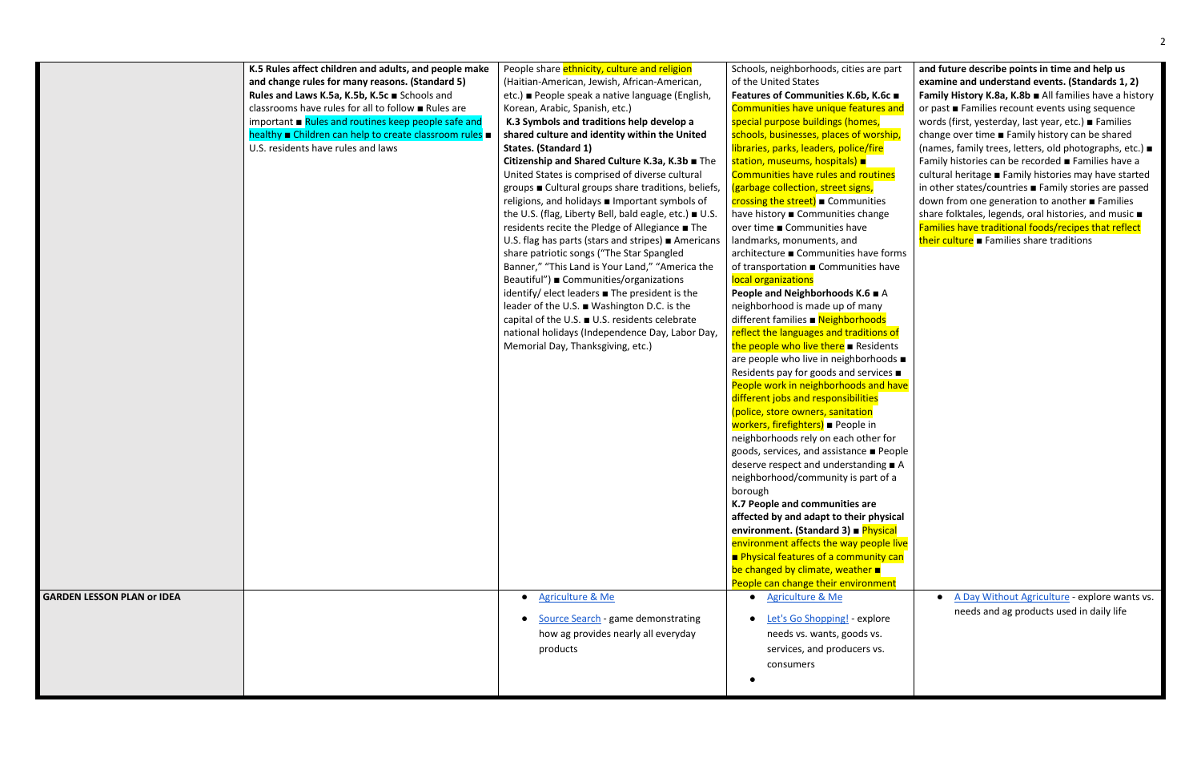|                                   | K.5 Rules affect children and adults, and people make<br>and change rules for many reasons. (Standard 5)<br>Rules and Laws K.5a, K.5b, K.5c Schools and<br>classrooms have rules for all to follow <b>E</b> Rules are<br>important $\blacksquare$ Rules and routines keep people safe and<br>healthy Children can help to create classroom rules =<br>U.S. residents have rules and laws | People share ethnicity, culture and religion<br>(Haitian-American, Jewish, African-American,<br>etc.) ■ People speak a native language (English,<br>Korean, Arabic, Spanish, etc.)<br>K.3 Symbols and traditions help develop a<br>shared culture and identity within the United<br>States. (Standard 1)<br>Citizenship and Shared Culture K.3a, K.3b = The<br>United States is comprised of diverse cultural<br>groups ■ Cultural groups share traditions, beliefs,<br>religions, and holidays <b>I</b> Important symbols of<br>the U.S. (flag, Liberty Bell, bald eagle, etc.) ■ U.S.<br>residents recite the Pledge of Allegiance ■ The<br>U.S. flag has parts (stars and stripes) $\blacksquare$ Americans<br>share patriotic songs ("The Star Spangled<br>Banner," "This Land is Your Land," "America the<br>Beautiful") ■ Communities/organizations<br>identify/ elect leaders $\blacksquare$ The president is the<br>leader of the U.S. ■ Washington D.C. is the<br>capital of the U.S. ■ U.S. residents celebrate<br>national holidays (Independence Day, Labor Day,<br>Memorial Day, Thanksgiving, etc.) | Schools, neighborhoods, cities are part<br>of the United States<br>Features of Communities K.6b, K.6c ■<br>Communities have unique features and<br>special purpose buildings (homes,<br>schools, businesses, places of worship,<br>libraries, parks, leaders, police/fire<br>station, museums, hospitals) <b>a</b><br><b>Communities have rules and routines</b><br>(garbage collection, street signs,<br>crossing the street) Communities<br>have history Communities change<br>over time ■ Communities have<br>landmarks, monuments, and<br>architecture ■ Communities have forms<br>of transportation Gommunities have<br>local organizations<br>People and Neighborhoods K.6 ■ A<br>neighborhood is made up of many<br>different families ■ Neighborhoods<br>reflect the languages and traditions of<br>the people who live there <b>E</b> Residents<br>are people who live in neighborhoods $\blacksquare$<br>Residents pay for goods and services ■<br>People work in neighborhoods and have<br>different jobs and responsibilities<br>(police, store owners, sanitation<br>workers, firefighters) ■ People in<br>neighborhoods rely on each other for<br>goods, services, and assistance ■ People<br>deserve respect and understanding $\blacksquare$ A<br>neighborhood/community is part of a<br>borough<br>K.7 People and communities are<br>affected by and adapt to their physical<br>environment. (Standard 3) ■ Physical<br>environment affects the way people live<br>Physical features of a community can<br>be changed by climate, weather<br>People can change their environment |
|-----------------------------------|------------------------------------------------------------------------------------------------------------------------------------------------------------------------------------------------------------------------------------------------------------------------------------------------------------------------------------------------------------------------------------------|-------------------------------------------------------------------------------------------------------------------------------------------------------------------------------------------------------------------------------------------------------------------------------------------------------------------------------------------------------------------------------------------------------------------------------------------------------------------------------------------------------------------------------------------------------------------------------------------------------------------------------------------------------------------------------------------------------------------------------------------------------------------------------------------------------------------------------------------------------------------------------------------------------------------------------------------------------------------------------------------------------------------------------------------------------------------------------------------------------------------|---------------------------------------------------------------------------------------------------------------------------------------------------------------------------------------------------------------------------------------------------------------------------------------------------------------------------------------------------------------------------------------------------------------------------------------------------------------------------------------------------------------------------------------------------------------------------------------------------------------------------------------------------------------------------------------------------------------------------------------------------------------------------------------------------------------------------------------------------------------------------------------------------------------------------------------------------------------------------------------------------------------------------------------------------------------------------------------------------------------------------------------------------------------------------------------------------------------------------------------------------------------------------------------------------------------------------------------------------------------------------------------------------------------------------------------------------------------------------------------------------------------------------------------------------------------------------------------------------|
| <b>GARDEN LESSON PLAN or IDEA</b> |                                                                                                                                                                                                                                                                                                                                                                                          | <b>Agriculture &amp; Me</b>                                                                                                                                                                                                                                                                                                                                                                                                                                                                                                                                                                                                                                                                                                                                                                                                                                                                                                                                                                                                                                                                                       | • Agriculture & Me                                                                                                                                                                                                                                                                                                                                                                                                                                                                                                                                                                                                                                                                                                                                                                                                                                                                                                                                                                                                                                                                                                                                                                                                                                                                                                                                                                                                                                                                                                                                                                                |
|                                   |                                                                                                                                                                                                                                                                                                                                                                                          | Source Search - game demonstrating<br>how ag provides nearly all everyday<br>products                                                                                                                                                                                                                                                                                                                                                                                                                                                                                                                                                                                                                                                                                                                                                                                                                                                                                                                                                                                                                             | Let's Go Shopping! - explore<br>needs vs. wants, goods vs.<br>services, and producers vs.<br>consumers                                                                                                                                                                                                                                                                                                                                                                                                                                                                                                                                                                                                                                                                                                                                                                                                                                                                                                                                                                                                                                                                                                                                                                                                                                                                                                                                                                                                                                                                                            |

| part<br>5c ∎<br>s and<br>ship,<br>าes<br>s | and future describe points in time and help us<br>examine and understand events. (Standards 1, 2)<br>Family History K.8a, K.8b All families have a history<br>or past ■ Families recount events using sequence<br>words (first, yesterday, last year, etc.) ■ Families<br>change over time ■ Family history can be shared<br>(names, family trees, letters, old photographs, etc.) $\blacksquare$<br>Family histories can be recorded ■ Families have a<br>cultural heritage <b>Family histories may have started</b><br>in other states/countries <b>Family stories are passed</b><br>down from one generation to another ■ Families |
|--------------------------------------------|---------------------------------------------------------------------------------------------------------------------------------------------------------------------------------------------------------------------------------------------------------------------------------------------------------------------------------------------------------------------------------------------------------------------------------------------------------------------------------------------------------------------------------------------------------------------------------------------------------------------------------------|
| e,                                         | share folktales, legends, oral histories, and music $\blacksquare$                                                                                                                                                                                                                                                                                                                                                                                                                                                                                                                                                                    |
|                                            | Families have traditional foods/recipes that reflect                                                                                                                                                                                                                                                                                                                                                                                                                                                                                                                                                                                  |
|                                            | their culture <b>E</b> Families share traditions                                                                                                                                                                                                                                                                                                                                                                                                                                                                                                                                                                                      |
| forms                                      |                                                                                                                                                                                                                                                                                                                                                                                                                                                                                                                                                                                                                                       |
| ave                                        |                                                                                                                                                                                                                                                                                                                                                                                                                                                                                                                                                                                                                                       |
|                                            |                                                                                                                                                                                                                                                                                                                                                                                                                                                                                                                                                                                                                                       |
| A                                          |                                                                                                                                                                                                                                                                                                                                                                                                                                                                                                                                                                                                                                       |
| Ś<br><u>s of</u><br>ents                   |                                                                                                                                                                                                                                                                                                                                                                                                                                                                                                                                                                                                                                       |
| $ods \blacksquare$                         |                                                                                                                                                                                                                                                                                                                                                                                                                                                                                                                                                                                                                                       |
| $es \blacksquare$                          |                                                                                                                                                                                                                                                                                                                                                                                                                                                                                                                                                                                                                                       |
| I have                                     |                                                                                                                                                                                                                                                                                                                                                                                                                                                                                                                                                                                                                                       |
| for                                        |                                                                                                                                                                                                                                                                                                                                                                                                                                                                                                                                                                                                                                       |
| 'eople                                     |                                                                                                                                                                                                                                                                                                                                                                                                                                                                                                                                                                                                                                       |
|                                            |                                                                                                                                                                                                                                                                                                                                                                                                                                                                                                                                                                                                                                       |
| g∎A                                        |                                                                                                                                                                                                                                                                                                                                                                                                                                                                                                                                                                                                                                       |
| วf a                                       |                                                                                                                                                                                                                                                                                                                                                                                                                                                                                                                                                                                                                                       |
|                                            |                                                                                                                                                                                                                                                                                                                                                                                                                                                                                                                                                                                                                                       |
| /sical                                     |                                                                                                                                                                                                                                                                                                                                                                                                                                                                                                                                                                                                                                       |
| ical                                       |                                                                                                                                                                                                                                                                                                                                                                                                                                                                                                                                                                                                                                       |
| le live                                    |                                                                                                                                                                                                                                                                                                                                                                                                                                                                                                                                                                                                                                       |
| <mark>y can</mark>                         |                                                                                                                                                                                                                                                                                                                                                                                                                                                                                                                                                                                                                                       |
|                                            |                                                                                                                                                                                                                                                                                                                                                                                                                                                                                                                                                                                                                                       |
| ent                                        |                                                                                                                                                                                                                                                                                                                                                                                                                                                                                                                                                                                                                                       |
|                                            | A Day Without Agriculture - explore wants vs.                                                                                                                                                                                                                                                                                                                                                                                                                                                                                                                                                                                         |
|                                            | needs and ag products used in daily life                                                                                                                                                                                                                                                                                                                                                                                                                                                                                                                                                                                              |
| re                                         |                                                                                                                                                                                                                                                                                                                                                                                                                                                                                                                                                                                                                                       |
|                                            |                                                                                                                                                                                                                                                                                                                                                                                                                                                                                                                                                                                                                                       |
|                                            |                                                                                                                                                                                                                                                                                                                                                                                                                                                                                                                                                                                                                                       |
|                                            |                                                                                                                                                                                                                                                                                                                                                                                                                                                                                                                                                                                                                                       |
|                                            |                                                                                                                                                                                                                                                                                                                                                                                                                                                                                                                                                                                                                                       |
|                                            |                                                                                                                                                                                                                                                                                                                                                                                                                                                                                                                                                                                                                                       |
|                                            |                                                                                                                                                                                                                                                                                                                                                                                                                                                                                                                                                                                                                                       |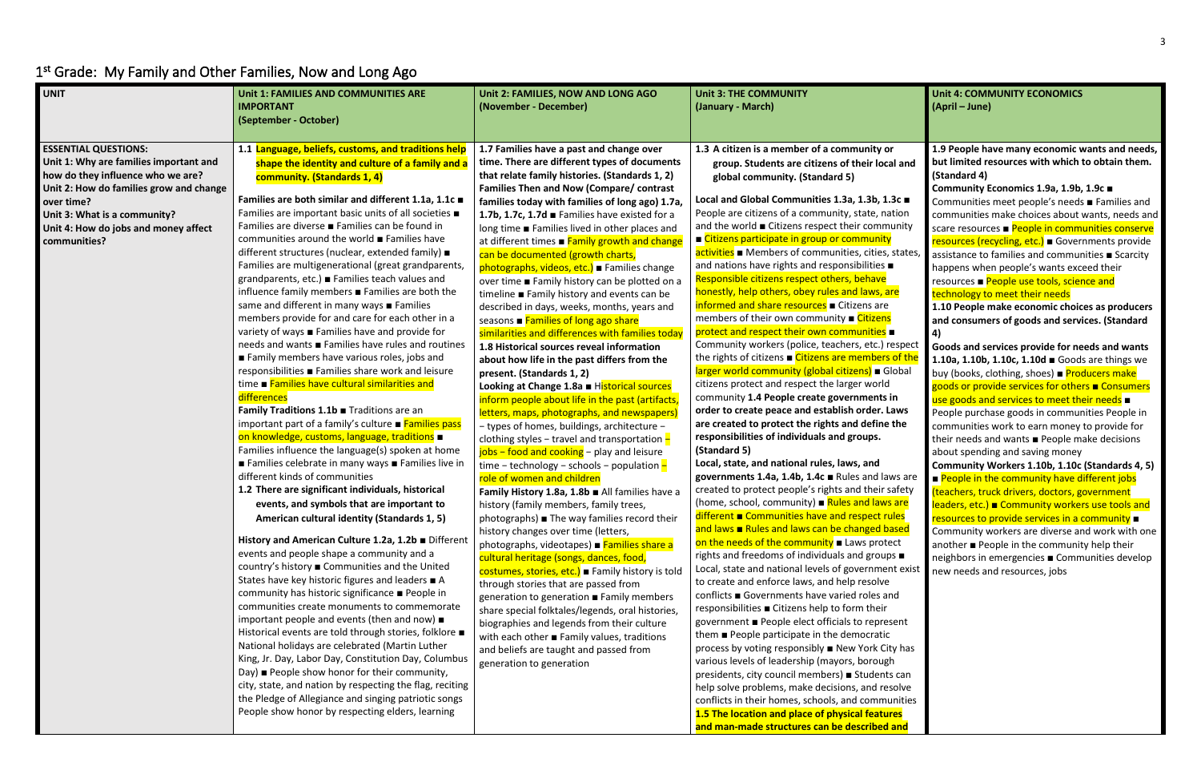### **Unit 4: COMMUNITY ECONOMICS (April – June)**

# <span id="page-2-0"></span>1<sup>st</sup> Grade: My Family and Other Families, Now and Long Ago

| <b>UNIT</b>                                                                                                                                                                                                                                                 | Unit 1: FAMILIES AND COMMUNITIES ARE<br><b>IMPORTANT</b><br>(September - October)                                                                                                                                                                                                                                                                                                                                                                                                                                                                                                                                                                                                                                                                                                                                                                                                                                                                                                                                                                                                                                                                                                                                                                                                                                                                                                                                                                                                                                                                                                                                                                                                                                                                                                                                                                                                                                                     | Unit 2: FAMILIES, NOW AND LONG AGO<br>(November - December)                                                                                                                                                                                                                                                                                                                                                                                                                                                                                                                                                                                                                                                                                                                                                                                                                                                                                                                                                                                                                                                                                                                                                                                                                                                                                                                                                                                                                                                                                                                                                                                                                                                                                                                                                                     | <b>Unit 3: THE COMMUNITY</b><br>(January - March)                                                                                                                                                                                                                                                                                                                                                                                                                                                                                                                                                                                                                                                                                                                                                                                                                                                                                                                                                                                                                                                                                                                                                                                                                                                                                                                                                                                                                                                                                                                                                                                                                                                                                                                                                                                                                                                                                                                    |
|-------------------------------------------------------------------------------------------------------------------------------------------------------------------------------------------------------------------------------------------------------------|---------------------------------------------------------------------------------------------------------------------------------------------------------------------------------------------------------------------------------------------------------------------------------------------------------------------------------------------------------------------------------------------------------------------------------------------------------------------------------------------------------------------------------------------------------------------------------------------------------------------------------------------------------------------------------------------------------------------------------------------------------------------------------------------------------------------------------------------------------------------------------------------------------------------------------------------------------------------------------------------------------------------------------------------------------------------------------------------------------------------------------------------------------------------------------------------------------------------------------------------------------------------------------------------------------------------------------------------------------------------------------------------------------------------------------------------------------------------------------------------------------------------------------------------------------------------------------------------------------------------------------------------------------------------------------------------------------------------------------------------------------------------------------------------------------------------------------------------------------------------------------------------------------------------------------------|---------------------------------------------------------------------------------------------------------------------------------------------------------------------------------------------------------------------------------------------------------------------------------------------------------------------------------------------------------------------------------------------------------------------------------------------------------------------------------------------------------------------------------------------------------------------------------------------------------------------------------------------------------------------------------------------------------------------------------------------------------------------------------------------------------------------------------------------------------------------------------------------------------------------------------------------------------------------------------------------------------------------------------------------------------------------------------------------------------------------------------------------------------------------------------------------------------------------------------------------------------------------------------------------------------------------------------------------------------------------------------------------------------------------------------------------------------------------------------------------------------------------------------------------------------------------------------------------------------------------------------------------------------------------------------------------------------------------------------------------------------------------------------------------------------------------------------|----------------------------------------------------------------------------------------------------------------------------------------------------------------------------------------------------------------------------------------------------------------------------------------------------------------------------------------------------------------------------------------------------------------------------------------------------------------------------------------------------------------------------------------------------------------------------------------------------------------------------------------------------------------------------------------------------------------------------------------------------------------------------------------------------------------------------------------------------------------------------------------------------------------------------------------------------------------------------------------------------------------------------------------------------------------------------------------------------------------------------------------------------------------------------------------------------------------------------------------------------------------------------------------------------------------------------------------------------------------------------------------------------------------------------------------------------------------------------------------------------------------------------------------------------------------------------------------------------------------------------------------------------------------------------------------------------------------------------------------------------------------------------------------------------------------------------------------------------------------------------------------------------------------------------------------------------------------------|
| <b>ESSENTIAL QUESTIONS:</b><br>Unit 1: Why are families important and<br>how do they influence who we are?<br>Unit 2: How do families grow and change<br>over time?<br>Unit 3: What is a community?<br>Unit 4: How do jobs and money affect<br>communities? | 1.1 Language, beliefs, customs, and traditions help<br>shape the identity and culture of a family and a<br>community. (Standards 1, 4)<br>Families are both similar and different 1.1a, 1.1c =<br>Families are important basic units of all societies $\blacksquare$<br>Families are diverse ■ Families can be found in<br>communities around the world ■ Families have<br>different structures (nuclear, extended family) ■<br>Families are multigenerational (great grandparents,<br>grandparents, etc.) Families teach values and<br>influence family members <b>Families</b> are both the<br>same and different in many ways ■ Families<br>members provide for and care for each other in a<br>variety of ways ■ Families have and provide for<br>needs and wants ■ Families have rules and routines<br>Family members have various roles, jobs and<br>responsibilities ■ Families share work and leisure<br>time Families have cultural similarities and<br>differences<br>Family Traditions 1.1b Traditions are an<br>important part of a family's culture <b>■ Families pass</b><br>on knowledge, customs, language, traditions .<br>Families influence the language(s) spoken at home<br>Families celebrate in many ways Families live in<br>different kinds of communities<br>1.2 There are significant individuals, historical<br>events, and symbols that are important to<br>American cultural identity (Standards 1, 5)<br>History and American Culture 1.2a, 1.2b Different<br>events and people shape a community and a<br>country's history ■ Communities and the United<br>States have key historic figures and leaders ■ A<br>community has historic significance ■ People in<br>communities create monuments to commemorate<br>important people and events (then and now) $\blacksquare$<br>Historical events are told through stories, folklore $\blacksquare$<br>National holidays are celebrated (Martin Luther | 1.7 Families have a past and change over<br>time. There are different types of documents<br>that relate family histories. (Standards 1, 2)<br>Families Then and Now (Compare/ contrast<br>families today with families of long ago) 1.7a,<br>1.7b, 1.7c, 1.7d Families have existed for a<br>long time ■ Families lived in other places and<br>at different times <b>Family growth and change</b><br>can be documented (growth charts,<br>photographs, videos, etc.) Families change<br>over time ■ Family history can be plotted on a<br>timeline ■ Family history and events can be<br>described in days, weeks, months, years and<br>seasons ■ Families of long ago share<br>similarities and differences with families today<br>1.8 Historical sources reveal information<br>about how life in the past differs from the<br>present. (Standards 1, 2)<br>Looking at Change 1.8a Historical sources<br>inform people about life in the past (artifacts)<br>letters, maps, photographs, and newspapers)<br>- types of homes, buildings, architecture -<br>clothing styles - travel and transportation $-$<br>jobs - food and cooking - play and leisure<br>time – technology – schools – population $-$<br>role of women and children<br>Family History 1.8a, 1.8b All families have a<br>history (family members, family trees,<br>$photographs$ ) The way families record their<br>history changes over time (letters,<br>photographs, videotapes) <b>Families share a</b><br>cultural heritage (songs, dances, food,<br>costumes, stories, etc.) Family history is told<br>through stories that are passed from<br>generation to generation ■ Family members<br>share special folktales/legends, oral histories,<br>biographies and legends from their culture<br>with each other $\blacksquare$ Family values, traditions | 1.3 A citizen is a member of a community or<br>group. Students are citizens of their local an<br>global community. (Standard 5)<br>Local and Global Communities 1.3a, 1.3b, 1.3c<br>People are citizens of a community, state, nation<br>and the world ■ Citizens respect their community<br>■ Citizens participate in group or community<br>activities Members of communities, cities, state<br>and nations have rights and responsibilities $\blacksquare$<br>Responsible citizens respect others, behave<br>honestly, help others, obey rules and laws, are<br>informed and share resources <b>E</b> Citizens are<br>members of their own community ■ Citizens<br>protect and respect their own communities<br>Community workers (police, teachers, etc.) respe<br>the rights of citizens <b>E</b> Citizens are members of the<br>larger world community (global citizens) = Globa<br>citizens protect and respect the larger world<br>community 1.4 People create governments in<br>order to create peace and establish order. Laws<br>are created to protect the rights and define the<br>responsibilities of individuals and groups.<br>(Standard 5)<br>Local, state, and national rules, laws, and<br>governments 1.4a, 1.4b, 1.4c Rules and laws an<br>created to protect people's rights and their safet<br>(home, school, community) Rules and laws are<br>different Communities have and respect rules<br>and laws <b>Rules and laws can be changed based</b><br>on the needs of the community $\blacksquare$ Laws protect<br>rights and freedoms of individuals and groups $\blacksquare$<br>Local, state and national levels of government ex<br>to create and enforce laws, and help resolve<br>conflicts ■ Governments have varied roles and<br>responsibilities ■ Citizens help to form their<br>government ■ People elect officials to represent<br>them ■ People participate in the democratic<br>process by voting responsibly ■ New York City ha |
|                                                                                                                                                                                                                                                             | King, Jr. Day, Labor Day, Constitution Day, Columbus<br>Day) ■ People show honor for their community,<br>city, state, and nation by respecting the flag, reciting<br>the Pledge of Allegiance and singing patriotic songs<br>People show honor by respecting elders, learning                                                                                                                                                                                                                                                                                                                                                                                                                                                                                                                                                                                                                                                                                                                                                                                                                                                                                                                                                                                                                                                                                                                                                                                                                                                                                                                                                                                                                                                                                                                                                                                                                                                         | and beliefs are taught and passed from<br>generation to generation                                                                                                                                                                                                                                                                                                                                                                                                                                                                                                                                                                                                                                                                                                                                                                                                                                                                                                                                                                                                                                                                                                                                                                                                                                                                                                                                                                                                                                                                                                                                                                                                                                                                                                                                                              | various levels of leadership (mayors, borough<br>presidents, city council members) Students can<br>help solve problems, make decisions, and resolve<br>conflicts in their homes, schools, and communitie<br>1.5 The location and place of physical features<br>and man-made structures can be described and                                                                                                                                                                                                                                                                                                                                                                                                                                                                                                                                                                                                                                                                                                                                                                                                                                                                                                                                                                                                                                                                                                                                                                                                                                                                                                                                                                                                                                                                                                                                                                                                                                                          |

# **ical and 1.3c** $\blacksquare$ nation munity s, states, respect <mark>rs of the</mark> Global **Laws a** the laws are csafety <sup>.</sup> <mark>vs are</mark> rules based ent exist City has nts can esolve problems. nunities **d** and

**Community Economics 1.9a, 1.9b, 1.9c** ■ Communities meet people's needs ■ Families and communities make choices about wants, needs and scare resources ■ People in communities conserve resources (recycling, etc.) ■ Governments provide assistance to families and communities ■ Scarcity happens when people's wants exceed their resources ■ People use tools, science and technology to meet their needs

**1.9 People have many economic wants and needs, but limited resources with which to obtain them. (Standard 4)** 

**1.10 People make economic choices as producers and consumers of goods and services. (Standard 4)** 

**Goods and services provide for needs and wants 1.10a, 1.10b, 1.10c, 1.10d** ■ Goods are things we buy (books, clothing, shoes) ■ Producers make goods or provide services for others ■ Consumers use goods and services to meet their needs ■ People purchase goods in communities People in communities work to earn money to provide for their needs and wants ■ People make decisions about spending and saving money

**Community Workers 1.10b, 1.10c (Standards 4, 5)**  $\blacksquare$  People in the community have different jobs (teachers, truck drivers, doctors, government leaders, etc.) ■ Community workers use tools and resources to provide services in a community ■ Community workers are diverse and work with one another ■ People in the community help their neighbors in emergencies ■ Communities develop new needs and resources, jobs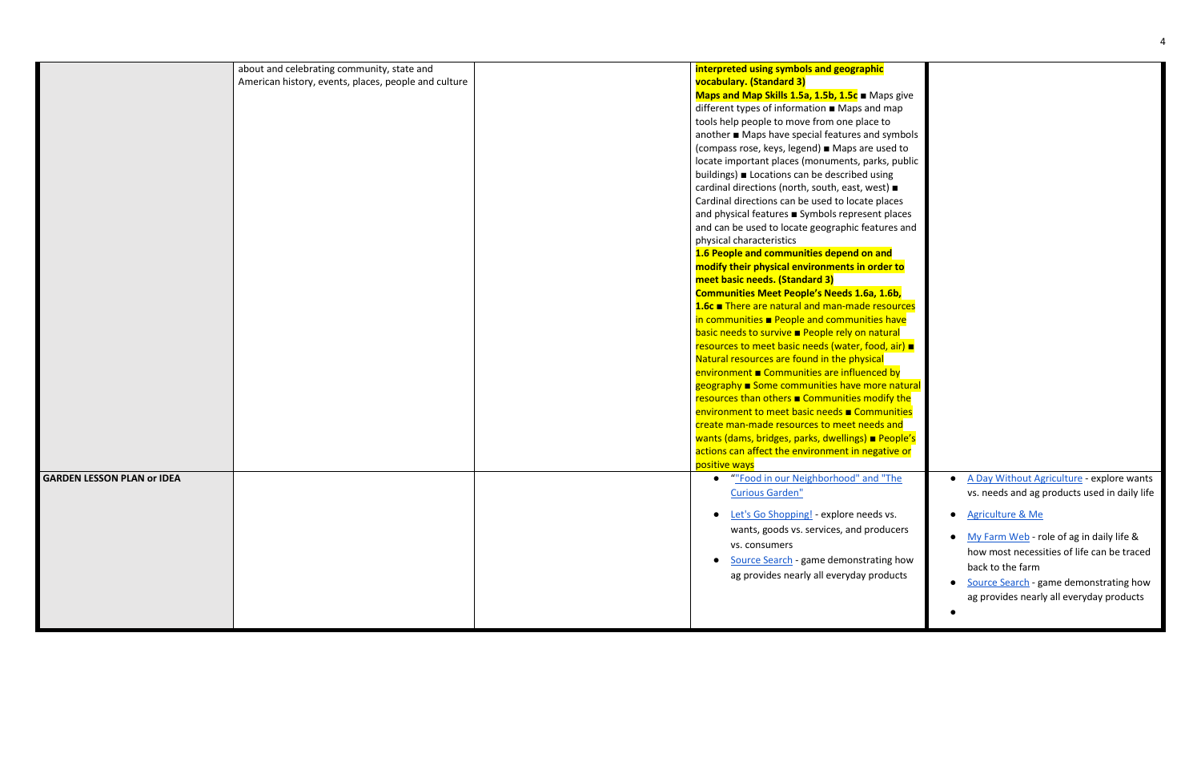|                                   |                                                      | interpreted using symbols and geographic                  |
|-----------------------------------|------------------------------------------------------|-----------------------------------------------------------|
|                                   | about and celebrating community, state and           |                                                           |
|                                   | American history, events, places, people and culture | vocabulary. (Standard 3)                                  |
|                                   |                                                      | Maps and Map Skills 1.5a, 1.5b, 1.5c Maps give            |
|                                   |                                                      | different types of information ■ Maps and map             |
|                                   |                                                      | tools help people to move from one place to               |
|                                   |                                                      | another ■ Maps have special features and symbols          |
|                                   |                                                      | (compass rose, keys, legend) Maps are used to             |
|                                   |                                                      | locate important places (monuments, parks, public         |
|                                   |                                                      | buildings) Locations can be described using               |
|                                   |                                                      | cardinal directions (north, south, east, west) ■          |
|                                   |                                                      | Cardinal directions can be used to locate places          |
|                                   |                                                      | and physical features <b>B</b> Symbols represent places   |
|                                   |                                                      | and can be used to locate geographic features and         |
|                                   |                                                      | physical characteristics                                  |
|                                   |                                                      | 1.6 People and communities depend on and                  |
|                                   |                                                      | modify their physical environments in order to            |
|                                   |                                                      | meet basic needs. (Standard 3)                            |
|                                   |                                                      | <b>Communities Meet People's Needs 1.6a, 1.6b,</b>        |
|                                   |                                                      | 1.6c ■ There are natural and man-made resources           |
|                                   |                                                      | in communities $\blacksquare$ People and communities have |
|                                   |                                                      | basic needs to survive <b>People rely on natural</b>      |
|                                   |                                                      | resources to meet basic needs (water, food, air) ■        |
|                                   |                                                      | Natural resources are found in the physical               |
|                                   |                                                      | environment Communities are influenced by                 |
|                                   |                                                      | geography Some communities have more natural              |
|                                   |                                                      | resources than others <b>Communities modify the</b>       |
|                                   |                                                      | environment to meet basic needs ■ Communities             |
|                                   |                                                      | create man-made resources to meet needs and               |
|                                   |                                                      | wants (dams, bridges, parks, dwellings) People's          |
|                                   |                                                      | actions can affect the environment in negative or         |
|                                   |                                                      | positive ways                                             |
| <b>GARDEN LESSON PLAN or IDEA</b> |                                                      | ""Food in our Neighborhood" and "The<br>$\bullet$         |
|                                   |                                                      | <b>Curious Garden"</b>                                    |
|                                   |                                                      |                                                           |
|                                   |                                                      | • Let's Go Shopping! - explore needs vs.                  |
|                                   |                                                      | wants, goods vs. services, and producers                  |
|                                   |                                                      | vs. consumers                                             |
|                                   |                                                      |                                                           |
|                                   |                                                      | Source Search - game demonstrating how<br>$\bullet$       |
|                                   |                                                      | ag provides nearly all everyday products                  |
|                                   |                                                      |                                                           |
|                                   |                                                      |                                                           |
|                                   |                                                      |                                                           |

| ps give<br>map<br>Ю<br>symbols<br>ed to<br>s, public<br>ng<br>t) ■<br>aces<br>places<br>res and       |                                                                                                                                                                                                                                 |
|-------------------------------------------------------------------------------------------------------|---------------------------------------------------------------------------------------------------------------------------------------------------------------------------------------------------------------------------------|
| າd<br><mark>er to</mark>                                                                              |                                                                                                                                                                                                                                 |
| .6 <sub>b</sub><br>sources<br>have<br>ural<br><mark>l, air) ■</mark>                                  |                                                                                                                                                                                                                                 |
| yd k<br><u>e natural</u><br>ify the<br><mark>unities</mark><br>and<br>eople's<br><mark>tive or</mark> |                                                                                                                                                                                                                                 |
| 'The                                                                                                  | A Day Without Agriculture - explore wants<br>vs. needs and ag products used in daily life                                                                                                                                       |
| vs.<br>lucers<br>าg how<br>ducts                                                                      | <b>Agriculture &amp; Me</b><br>My Farm Web - role of ag in daily life &<br>how most necessities of life can be traced<br>back to the farm<br>Source Search - game demonstrating how<br>ag provides nearly all everyday products |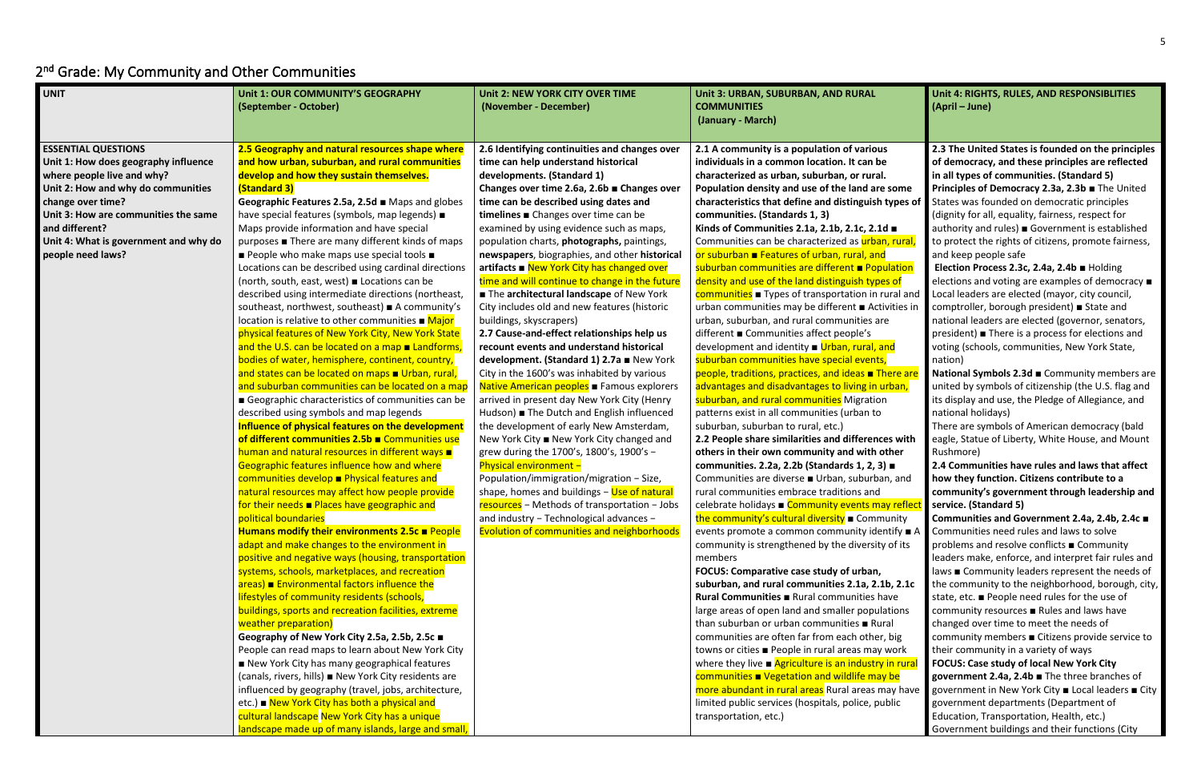**Unit 4: RIGHTS, RULES, AND RESPONSIBLITIES (April – June)**

# <span id="page-4-0"></span>2<sup>nd</sup> Grade: My Community and Other Communities

| <b>UNIT</b>                                                                                                                                                                                                                                                                         | Unit 1: OUR COMMUNITY'S GEOGRAPHY<br>(September - October)                                                                                                                                                                                                                                                                                                                                                                                                                                                                                                                                                                                                                                                                                                                                                                                                                                                                                                                                                                                                                                                                                                                                                                                                                                                                                                                                                                                                                                                                                                                                                                                                                                                                                                                                                                                                                                                                                                                                                                                                                                                                                                                                                                                                                                                                                       | Unit 2: NEW YORK CITY OVER TIME<br>(November - December)                                                                                                                                                                                                                                                                                                                                                                                                                                                                                                                                                                                                                                                                                                                                                                                                                                                                                                                                                                                                                                                                                                                                                                                                                                                                                                                                                                                                                                                                                                                                                                                                                                                                                                                                                                                                                                                                          | Unit 3: URBAN, SUBURBAN, AND RURAL<br><b>COMMUNITIES</b><br>(January - March)                                                                                                                                                                                                                                                                                                                                                                                                                                                                                                                                                                                                                                                                                                                                                                                                                                                                                                                                                                                                                                                                                                                                                                                                                                                                                                                                                                                                                                                                                                                                                                                                                                                                                                                                                                                                                                                                                                                                                                                                                                                                                                                                                              |
|-------------------------------------------------------------------------------------------------------------------------------------------------------------------------------------------------------------------------------------------------------------------------------------|--------------------------------------------------------------------------------------------------------------------------------------------------------------------------------------------------------------------------------------------------------------------------------------------------------------------------------------------------------------------------------------------------------------------------------------------------------------------------------------------------------------------------------------------------------------------------------------------------------------------------------------------------------------------------------------------------------------------------------------------------------------------------------------------------------------------------------------------------------------------------------------------------------------------------------------------------------------------------------------------------------------------------------------------------------------------------------------------------------------------------------------------------------------------------------------------------------------------------------------------------------------------------------------------------------------------------------------------------------------------------------------------------------------------------------------------------------------------------------------------------------------------------------------------------------------------------------------------------------------------------------------------------------------------------------------------------------------------------------------------------------------------------------------------------------------------------------------------------------------------------------------------------------------------------------------------------------------------------------------------------------------------------------------------------------------------------------------------------------------------------------------------------------------------------------------------------------------------------------------------------------------------------------------------------------------------------------------------------|-----------------------------------------------------------------------------------------------------------------------------------------------------------------------------------------------------------------------------------------------------------------------------------------------------------------------------------------------------------------------------------------------------------------------------------------------------------------------------------------------------------------------------------------------------------------------------------------------------------------------------------------------------------------------------------------------------------------------------------------------------------------------------------------------------------------------------------------------------------------------------------------------------------------------------------------------------------------------------------------------------------------------------------------------------------------------------------------------------------------------------------------------------------------------------------------------------------------------------------------------------------------------------------------------------------------------------------------------------------------------------------------------------------------------------------------------------------------------------------------------------------------------------------------------------------------------------------------------------------------------------------------------------------------------------------------------------------------------------------------------------------------------------------------------------------------------------------------------------------------------------------------------------------------------------------|--------------------------------------------------------------------------------------------------------------------------------------------------------------------------------------------------------------------------------------------------------------------------------------------------------------------------------------------------------------------------------------------------------------------------------------------------------------------------------------------------------------------------------------------------------------------------------------------------------------------------------------------------------------------------------------------------------------------------------------------------------------------------------------------------------------------------------------------------------------------------------------------------------------------------------------------------------------------------------------------------------------------------------------------------------------------------------------------------------------------------------------------------------------------------------------------------------------------------------------------------------------------------------------------------------------------------------------------------------------------------------------------------------------------------------------------------------------------------------------------------------------------------------------------------------------------------------------------------------------------------------------------------------------------------------------------------------------------------------------------------------------------------------------------------------------------------------------------------------------------------------------------------------------------------------------------------------------------------------------------------------------------------------------------------------------------------------------------------------------------------------------------------------------------------------------------------------------------------------------------|
| <b>ESSENTIAL QUESTIONS</b><br>Unit 1: How does geography influence<br>where people live and why?<br>Unit 2: How and why do communities<br>change over time?<br>Unit 3: How are communities the same<br>and different?<br>Unit 4: What is government and why do<br>people need laws? | 2.5 Geography and natural resources shape where<br>and how urban, suburban, and rural communities<br>develop and how they sustain themselves.<br>(Standard 3)<br>Geographic Features 2.5a, 2.5d Maps and globes<br>have special features (symbols, map legends) $\blacksquare$<br>Maps provide information and have special<br>purposes ■ There are many different kinds of maps<br>People who make maps use special tools $\blacksquare$<br>Locations can be described using cardinal directions<br>(north, south, east, west) Locations can be<br>described using intermediate directions (northeast,<br>southeast, northwest, southeast) ■ A community's<br>location is relative to other communities $\blacksquare$ Major<br>physical features of New York City, New York State<br>and the U.S. can be located on a map $\blacksquare$ Landforms,<br>bodies of water, hemisphere, continent, country,<br>and states can be located on maps Urban, rural,<br>and suburban communities can be located on a map<br>Geographic characteristics of communities can be<br>described using symbols and map legends<br>Influence of physical features on the development<br>of different communities 2.5b Communities use<br>human and natural resources in different ways $\blacksquare$<br>Geographic features influence how and where<br>communities develop <b>Physical features and</b><br>natural resources may affect how people provide<br>for their needs ■ Places have geographic and<br>political boundaries<br>Humans modify their environments $2.5c \equiv$ People<br>adapt and make changes to the environment in<br>positive and negative ways (housing, transportation<br>systems, schools, marketplaces, and recreation<br>$area$ ) Environmental factors influence the<br>lifestyles of community residents (schools,<br>buildings, sports and recreation facilities, extreme<br>weather preparation)<br>Geography of New York City 2.5a, 2.5b, 2.5c ■<br>People can read maps to learn about New York City<br>New York City has many geographical features<br>(canals, rivers, hills) New York City residents are<br>influenced by geography (travel, jobs, architecture,<br>etc.) New York City has both a physical and<br>cultural landscape New York City has a unique<br>landscape made up of many islands, large and small, | 2.6 Identifying continuities and changes over<br>time can help understand historical<br>developments. (Standard 1)<br>Changes over time 2.6a, 2.6b ■ Changes over<br>time can be described using dates and<br>timelines Changes over time can be<br>examined by using evidence such as maps,<br>population charts, photographs, paintings,<br>newspapers, biographies, and other historical<br>$artifacts \nightharpoonup \nightharpoonup \nightharpoonup \nightharpoonup \nightharpoonup \nightharpoonup \nightharpoonup \nightharpoonup \nightharpoonup \nightharpoonup \nightharpoonup \nightharpoonup \nightharpoonup \nightharpoonup \nightharpoonup \nightharpoonup \nightharpoonup \nightharpoonup \nightharpoonup \nightharpoonup \nightharpoonup \nightharpoonup \nightharpoonup \nightharpoonup \nightharpoonup \nightharpoonup \nightharpoonup \nightharpoonup \nightharpoonup \nightharpoonup \nightharpoonup \nightharpoonup \nightharpoonup \nightharpoonup \nightharpoonup \nightharpoonup \$<br>time and will continue to change in the future<br>The architectural landscape of New York<br>City includes old and new features (historic<br>buildings, skyscrapers)<br>2.7 Cause-and-effect relationships help us<br>recount events and understand historical<br>development. (Standard 1) 2.7a = New York<br>City in the 1600's was inhabited by various<br>Native American peoples <b>Famous explorers</b><br>arrived in present day New York City (Henry<br>Hudson) The Dutch and English influenced<br>the development of early New Amsterdam,<br>New York City ■ New York City changed and<br>grew during the 1700's, 1800's, 1900's -<br>Physical environment -<br>Population/immigration/migration - Size,<br>shape, homes and buildings - Use of natural<br>resources - Methods of transportation - Jobs<br>and industry - Technological advances -<br><b>Evolution of communities and neighborhoods</b> | 2.1 A community is a population of various<br>individuals in a common location. It can be<br>characterized as urban, suburban, or rural.<br>Population density and use of the land are some<br>characteristics that define and distinguish types<br>communities. (Standards 1, 3)<br>Kinds of Communities 2.1a, 2.1b, 2.1c, 2.1d =<br>Communities can be characterized as urban, rural<br>or suburban <b>E</b> Features of urban, rural, and<br>suburban communities are different <b>Population</b><br>density and use of the land distinguish types of<br>communities <b>Types of transportation in rural ar</b><br>urban communities may be different ■ Activities i<br>urban, suburban, and rural communities are<br>different ■ Communities affect people's<br>development and identity ■ Urban, rural, and<br>suburban communities have special events,<br>people, traditions, practices, and ideas <b>There</b> are<br>advantages and disadvantages to living in urban,<br>suburban, and rural communities Migration<br>patterns exist in all communities (urban to<br>suburban, suburban to rural, etc.)<br>2.2 People share similarities and differences witl<br>others in their own community and with other<br>communities. 2.2a, 2.2b (Standards 1, 2, 3) ■<br>Communities are diverse ■ Urban, suburban, and<br>rural communities embrace traditions and<br>celebrate holidays ■ Community events may refle<br>the community's cultural diversity <b>E</b> Community<br>events promote a common community identify ■<br>community is strengthened by the diversity of its<br>members<br>FOCUS: Comparative case study of urban,<br>suburban, and rural communities 2.1a, 2.1b, 2.1d<br>Rural Communities <b>E</b> Rural communities have<br>large areas of open land and smaller populations<br>than suburban or urban communities <b>E</b> Rural<br>communities are often far from each other, big<br>towns or cities ■ People in rural areas may work<br>where they live $\blacksquare$ Agriculture is an industry in rural<br>communities $\blacksquare$ Vegetation and wildlife may be<br>more abundant in rural areas Rural areas may hav<br>limited public services (hospitals, police, public<br>transportation, etc.) |

# **Posity some** types of

<mark>n, rural,</mark> ulation rural and ivities in

<mark>here are</mark> <mark>ırban,</mark>

**2.2 es with** an, and

ay reflec nunity ntify ■ A

**lb, 2.1c** ations in rural nay have **National Symbols 2.3d ■ Community members are** united by symbols of citizenship (the U.S. flag and its display and use, the Pledge of Allegiance, and national holidays)

**2.3 The United States is founded on the principles of democracy, and these principles are reflected in all types of communities. (Standard 5) Principles of Democracy 2.3a, 2.3b** ■ The United States was founded on democratic principles (dignity for all, equality, fairness, respect for authority and rules) ■ Government is established to protect the rights of citizens, promote fairness, and keep people safe

**Election Process 2.3c, 2.4a, 2.4b** ■ Holding elections and voting are examples of democracy ■ Local leaders are elected (mayor, city council, comptroller, borough president) ■ State and national leaders are elected (governor, senators, president) ■ There is a process for elections and voting (schools, communities, New York State, nation)

There are symbols of American democracy (bald eagle, Statue of Liberty, White House, and Mount Rushmore)

**2.4 Communities have rules and laws that affect how they function. Citizens contribute to a community's government through leadership and service. (Standard 5)** 

**Communities and Government 2.4a, 2.4b, 2.4c** ■ Communities need rules and laws to solve problems and resolve conflicts ■ Community leaders make, enforce, and interpret fair rules and laws ■ Community leaders represent the needs of the community to the neighborhood, borough, city, state, etc. ■ People need rules for the use of community resources ■ Rules and laws have changed over time to meet the needs of community members ■ Citizens provide service to their community in a variety of ways **FOCUS: Case study of local New York City government 2.4a, 2.4b** ■ The three branches of government in New York City ■ Local leaders ■ City government departments (Department of Education, Transportation, Health, etc.) Government buildings and their functions (City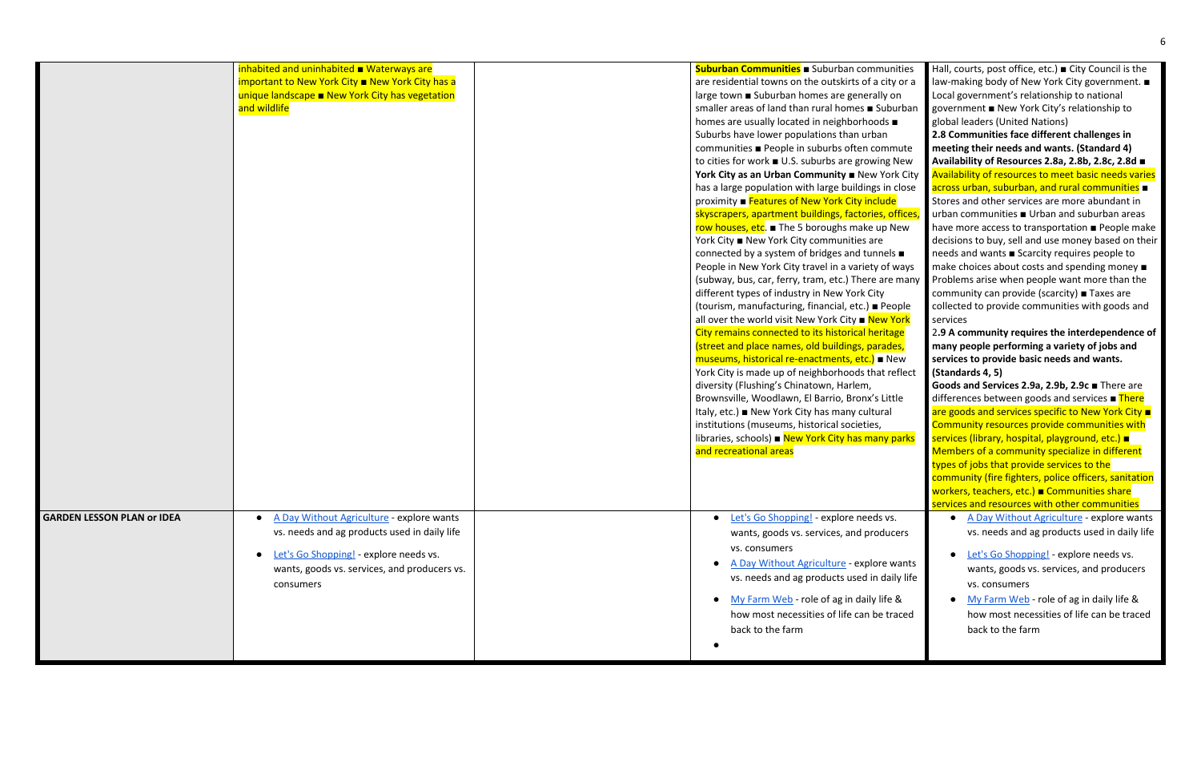|                                   | inhabited and uninhabited ■ Waterways are<br>important to New York City ■ New York City has a<br>unique landscape <b>New York City has vegetation</b><br>and wildlife                                         | Suburban Communities <b>B</b> Suburban communities<br>are residential towns on the outskirts of a city or a<br>large town ■ Suburban homes are generally on<br>smaller areas of land than rural homes <b>B</b> Suburban<br>homes are usually located in neighborhoods $\blacksquare$<br>Suburbs have lower populations than urban<br>communities ■ People in suburbs often commute<br>to cities for work ■ U.S. suburbs are growing New<br>York City as an Urban Community B New York City<br>has a large population with large buildings in close<br>proximity ■ Features of New York City include<br>skyscrapers, apartment buildings, factories, offices,<br>row houses, etc. ■ The 5 boroughs make up New<br>York City ■ New York City communities are<br>connected by a system of bridges and tunnels ■<br>People in New York City travel in a variety of ways<br>(subway, bus, car, ferry, tram, etc.) There are many<br>different types of industry in New York City<br>(tourism, manufacturing, financial, etc.) ■ People<br>all over the world visit New York City <b>New York</b><br>City remains connected to its historical heritage<br>(street and place names, old buildings, parades,<br>museums, historical re-enactments, etc.) • New<br>York City is made up of neighborhoods that reflect<br>diversity (Flushing's Chinatown, Harlem,<br>Brownsville, Woodlawn, El Barrio, Bronx's Little<br>Italy, etc.) ■ New York City has many cultural<br>institutions (museums, historical societies,<br>libraries, schools) Rew York City has many parks<br>and recreational areas |
|-----------------------------------|---------------------------------------------------------------------------------------------------------------------------------------------------------------------------------------------------------------|----------------------------------------------------------------------------------------------------------------------------------------------------------------------------------------------------------------------------------------------------------------------------------------------------------------------------------------------------------------------------------------------------------------------------------------------------------------------------------------------------------------------------------------------------------------------------------------------------------------------------------------------------------------------------------------------------------------------------------------------------------------------------------------------------------------------------------------------------------------------------------------------------------------------------------------------------------------------------------------------------------------------------------------------------------------------------------------------------------------------------------------------------------------------------------------------------------------------------------------------------------------------------------------------------------------------------------------------------------------------------------------------------------------------------------------------------------------------------------------------------------------------------------------------------------------------------------------------|
| <b>GARDEN LESSON PLAN or IDEA</b> | A Day Without Agriculture - explore wants<br>vs. needs and ag products used in daily life<br>Let's Go Shopping! - explore needs vs.<br>$\bullet$<br>wants, goods vs. services, and producers vs.<br>consumers | Let's Go Shopping! - explore needs vs.<br>$\bullet$<br>wants, goods vs. services, and producers<br>vs. consumers<br>A Day Without Agriculture - explore wants<br>vs. needs and ag products used in daily life<br>My Farm Web - role of ag in daily life &<br>how most necessities of life can be traced<br>back to the farm                                                                                                                                                                                                                                                                                                                                                                                                                                                                                                                                                                                                                                                                                                                                                                                                                                                                                                                                                                                                                                                                                                                                                                                                                                                                  |

| nmunities             | Hall, courts, post office, etc.) $\blacksquare$ City Council is the |
|-----------------------|---------------------------------------------------------------------|
| a city or a           | law-making body of New York City government. ■                      |
| rally on              | Local government's relationship to national                         |
| ■ Suburban            | government ■ New York City's relationship to                        |
| oods ■                | global leaders (United Nations)                                     |
| <b>ban</b>            | 2.8 Communities face different challenges in                        |
| commute               | meeting their needs and wants. (Standard 4)                         |
| wing New              | Availability of Resources 2.8a, 2.8b, 2.8c, 2.8d ■                  |
| w York City           | Availability of resources to meet basic needs varies                |
| gs in close           | across urban, suburban, and rural communities $\blacksquare$        |
| <b>nclude</b>         | Stores and other services are more abundant in                      |
| ies, offices,         | urban communities ■ Urban and suburban areas                        |
| e up New              | have more access to transportation <b>People make</b>               |
| are                   | decisions to buy, sell and use money based on their                 |
| unnels $\blacksquare$ | needs and wants Scarcity requires people to                         |
| ty of ways            | make choices about costs and spending money $\blacksquare$          |
| e are many            | Problems arise when people want more than the                       |
| City                  | community can provide (scarcity) ■ Taxes are                        |
| $\blacksquare$ People | collected to provide communities with goods and                     |
| <b>New York</b>       | services                                                            |
| neritage              | 2.9 A community requires the interdependence of                     |
| parades,              | many people performing a variety of jobs and                        |
| <mark>.)</mark> ∎ New | services to provide basic needs and wants.                          |
| hat reflect           | (Standards 4, 5)                                                    |
|                       | Goods and Services 2.9a, 2.9b, 2.9c There are                       |
| 's Little             | differences between goods and services ■ There                      |
| <b>Itural</b>         | are goods and services specific to New York City $\blacksquare$     |
| es,                   | Community resources provide communities with                        |
| nany parks            | services (library, hospital, playground, etc.) =                    |
|                       | Members of a community specialize in different                      |
|                       | types of jobs that provide services to the                          |
|                       | community (fire fighters, police officers, sanitation               |
|                       | workers, teachers, etc.) <b>■ Communities share</b>                 |
|                       | services and resources with other communities                       |
| eds vs.               | A Day Without Agriculture - explore wants                           |
| roducers              | vs. needs and ag products used in daily life                        |
|                       | Let's Go Shopping! - explore needs vs.                              |
| lore wants            |                                                                     |
| in daily life         | wants, goods vs. services, and producers                            |
|                       | vs. consumers                                                       |
| ly life &             | My Farm Web - role of ag in daily life &                            |
| be traced             | how most necessities of life can be traced                          |
|                       | back to the farm                                                    |
|                       |                                                                     |
|                       |                                                                     |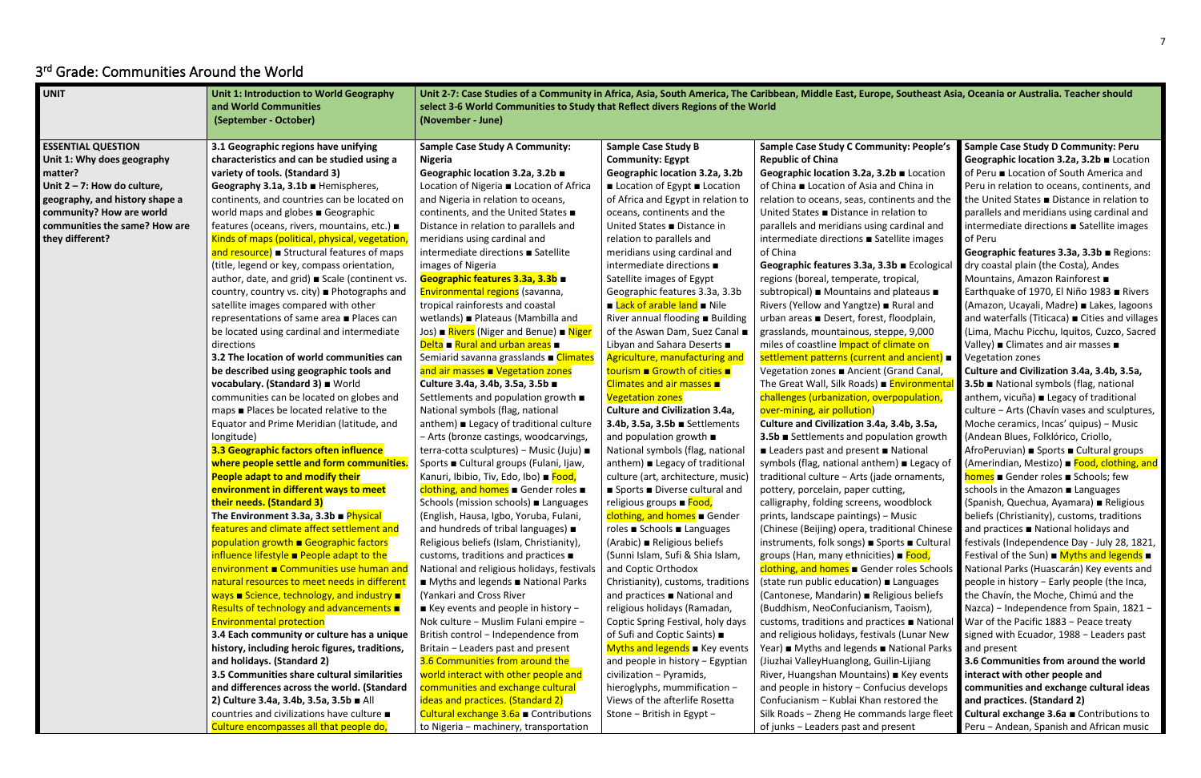## <span id="page-6-0"></span>3 rd Grade: Communities Around the World

**Culture and Civilization 3.4a, 3.4b, 3.5a, 3** Sulation growth ■ National em) ■ Legacy of traditional culture enternal cultural cultural cultural cultural cultural cultural cultural cultural cultural c tting, woodblock **p** − Music aditional Chinese **Sports** ■ Cultural ies) ■ <mark>Food,</mark> der roles Schools ■ Languages eligious beliefs  $sm$ , Taoism), ctices ■ Nationa vals (Lunar New ■ National Parks iuilin-Lijiang ns) ■ Key events fucius develops ∩restored the nands large fleet present

| <b>ESSENTIAL QUESTION</b><br>3.1 Geographic regions have unifying<br><b>Sample Case Study A Community:</b><br><b>Sample Case Study B</b><br>Unit 1: Why does geography<br>characteristics and can be studied using a<br><b>Community: Egypt</b><br><b>Republic of China</b><br><b>Nigeria</b><br>variety of tools. (Standard 3)<br>matter?<br>Geographic location 3.2a, 3.2b ■<br>Geographic location 3.2a, 3.2b<br>Unit $2 - 7$ : How do culture,<br>Geography 3.1a, 3.1b Hemispheres,<br>Location of Nigeria ■ Location of Africa<br>Location of Egypt Location<br>geography, and history shape a<br>continents, and countries can be located on<br>and Nigeria in relation to oceans,<br>of Africa and Egypt in relation to<br>community? How are world<br>world maps and globes Geographic<br>continents, and the United States ■<br>oceans, continents and the<br>communities the same? How are<br>United States ■ Distance in<br>features (oceans, rivers, mountains, etc.) ■<br>Distance in relation to parallels and<br>they different?<br>Kinds of maps (political, physical, vegetation,<br>meridians using cardinal and<br>relation to parallels and<br>of China<br>intermediate directions ■ Satellite<br>and resource) Structural features of maps<br>meridians using cardinal and<br>intermediate directions $\blacksquare$<br>(title, legend or key, compass orientation,<br>images of Nigeria<br>Geographic features 3.3a, 3.3b ■<br>Satellite images of Egypt<br>regions (boreal, temperate,<br>author, date, and grid) Scale (continent vs.<br>Environmental regions (savanna,<br>subtropical) Mountains ar<br>country, country vs. city) ■ Photographs and<br>Geographic features 3.3a, 3.3b<br><b>E</b> Lack of arable land <b>E</b> Nile<br>tropical rainforests and coastal<br>Rivers (Yellow and Yangtze)<br>satellite images compared with other<br>wetlands) ■ Plateaus (Mambilla and<br>River annual flooding Building<br>urban areas ■ Desert, forest<br>representations of same area ■ Places can<br>Jos) ■ Rivers (Niger and Benue) ■ Niger<br>be located using cardinal and intermediate<br>of the Aswan Dam, Suez Canal<br>grasslands, mountainous, st<br>Delta $\blacksquare$ Rural and urban areas $\blacksquare$<br>Libyan and Sahara Deserts ■<br>directions<br>miles of coastline Impact of<br>3.2 The location of world communities can<br>Semiarid savanna grasslands <b>Example 1</b><br>Agriculture, manufacturing and<br>settlement patterns (curren<br>and air masses <b>N</b> Vegetation zones<br>tourism ■ Growth of cities ■<br>be described using geographic tools and<br>Vegetation zones ■ Ancient<br>vocabulary. (Standard 3) World<br>Culture 3.4a, 3.4b, 3.5a, 3.5b ■<br>Climates and air masses ■<br>The Great Wall, Silk Roads)<br>challenges (urbanization, ov<br>communities can be located on globes and<br>Settlements and population growth $\blacksquare$<br><b>Vegetation zones</b><br>maps ■ Places be located relative to the<br>National symbols (flag, national<br><b>Culture and Civilization 3.4a,</b><br>over-mining, air pollution)<br>anthem) ■ Legacy of traditional culture<br>3.4b, 3.5a, 3.5b Settlements<br><b>Culture and Civilization 3.4a</b><br>Equator and Prime Meridian (latitude, and<br>- Arts (bronze castings, woodcarvings,<br>and population growth $\blacksquare$<br>3.5b ■ Settlements and pop<br>longitude)<br>3.3 Geographic factors often influence<br>terra-cotta sculptures) – Music (Juju) ■<br>National symbols (flag, national<br>Leaders past and present<br>where people settle and form communities.<br>Sports Cultural groups (Fulani, Ijaw,<br>anthem) ■ Legacy of traditional<br>symbols (flag, national anth<br>People adapt to and modify their<br>Kanuri, Ibibio, Tiv, Edo, Ibo) ■ Food,<br>culture (art, architecture, music)<br>traditional culture - Arts (ja<br>environment in different ways to meet<br>clothing, and homes Gender roles $\blacksquare$<br>Sports Diverse cultural and<br>pottery, porcelain, paper cu<br>their needs. (Standard 3)<br>Schools (mission schools) ■ Languages<br>religious groups ■ Food,<br>calligraphy, folding screens,<br>The Environment 3.3a, 3.3b $\blacksquare$ Physical<br>(English, Hausa, Igbo, Yoruba, Fulani,<br>clothing, and homes Gender<br>prints, landscape paintings)<br>features and climate affect settlement and<br>and hundreds of tribal languages) $\blacksquare$<br>roles ■ Schools ■ Languages<br>(Chinese (Beijing) opera, tra<br>population growth ■ Geographic factors<br>Religious beliefs (Islam, Christianity),<br>(Arabic) ■ Religious beliefs<br>instruments, folk songs) ■ S<br>influence lifestyle <b>People adapt to the</b><br>customs, traditions and practices ■<br>(Sunni Islam, Sufi & Shia Islam,<br>groups (Han, many ethniciti<br>environment Communities use human and<br>and Coptic Orthodox<br>clothing, and homes Gend<br>National and religious holidays, festivals<br>natural resources to meet needs in different<br>■ Myths and legends ■ National Parks<br>Christianity), customs, traditions<br>(state run public education)<br>ways $\blacksquare$ Science, technology, and industry $\blacksquare$<br>(Yankari and Cross River<br>and practices <b>National and</b><br>(Cantonese, Mandarin) ■ Re<br>Results of technology and advancements ■<br>$\blacksquare$ Key events and people in history -<br>religious holidays (Ramadan,<br>(Buddhism, NeoConfucianis<br><b>Environmental protection</b><br>Nok culture - Muslim Fulani empire -<br>Coptic Spring Festival, holy days<br>customs, traditions and pra<br>British control - Independence from<br>of Sufi and Coptic Saints) $\blacksquare$<br>3.4 Each community or culture has a unique<br>and religious holidays, festiv<br>Myths and legends ■ Key events<br>history, including heroic figures, traditions,<br>Britain - Leaders past and present<br>Year) ■ Myths and legends I<br>3.6 Communities from around the<br>and holidays. (Standard 2)<br>and people in history - Egyptian<br>(Jiuzhai ValleyHuanglong, G<br>3.5 Communities share cultural similarities<br>world interact with other people and<br>civilization - Pyramids,<br>River, Huangshan Mountain<br>and differences across the world. (Standard<br>communities and exchange cultural<br>hieroglyphs, mummification -<br>and people in history - Conf<br>ideas and practices. (Standard 2)<br>Views of the afterlife Rosetta<br>2) Culture 3.4a, 3.4b, 3.5a, 3.5b a All<br>Confucianism - Kublai Khan<br>countries and civilizations have culture ■<br>Cultural exchange $3.6a$ $\blacksquare$ Contributions<br>Silk Roads - Zheng He comn<br>Stone - British in Egypt -<br>Culture encompasses all that people do,<br>to Nigeria - machinery, transportation<br>of junks - Leaders past and | <b>UNIT</b><br><b>Unit 1: Introduction to World Geography</b><br>and World Communities<br>(September - October)<br>(November - June) |  | Unit 2-7: Case Studies of a Community in Africa, Asia, South America, The Caribbean, Middle East, Euro<br>select 3-6 World Communities to Study that Reflect divers Regions of the World |  |                                    |  |
|------------------------------------------------------------------------------------------------------------------------------------------------------------------------------------------------------------------------------------------------------------------------------------------------------------------------------------------------------------------------------------------------------------------------------------------------------------------------------------------------------------------------------------------------------------------------------------------------------------------------------------------------------------------------------------------------------------------------------------------------------------------------------------------------------------------------------------------------------------------------------------------------------------------------------------------------------------------------------------------------------------------------------------------------------------------------------------------------------------------------------------------------------------------------------------------------------------------------------------------------------------------------------------------------------------------------------------------------------------------------------------------------------------------------------------------------------------------------------------------------------------------------------------------------------------------------------------------------------------------------------------------------------------------------------------------------------------------------------------------------------------------------------------------------------------------------------------------------------------------------------------------------------------------------------------------------------------------------------------------------------------------------------------------------------------------------------------------------------------------------------------------------------------------------------------------------------------------------------------------------------------------------------------------------------------------------------------------------------------------------------------------------------------------------------------------------------------------------------------------------------------------------------------------------------------------------------------------------------------------------------------------------------------------------------------------------------------------------------------------------------------------------------------------------------------------------------------------------------------------------------------------------------------------------------------------------------------------------------------------------------------------------------------------------------------------------------------------------------------------------------------------------------------------------------------------------------------------------------------------------------------------------------------------------------------------------------------------------------------------------------------------------------------------------------------------------------------------------------------------------------------------------------------------------------------------------------------------------------------------------------------------------------------------------------------------------------------------------------------------------------------------------------------------------------------------------------------------------------------------------------------------------------------------------------------------------------------------------------------------------------------------------------------------------------------------------------------------------------------------------------------------------------------------------------------------------------------------------------------------------------------------------------------------------------------------------------------------------------------------------------------------------------------------------------------------------------------------------------------------------------------------------------------------------------------------------------------------------------------------------------------------------------------------------------------------------------------------------------------------------------------------------------------------------------------------------------------------------------------------------------------------------------------------------------------------------------------------------------------------------------------------------------------------------------------------------------------------------------------------------------------------------------------------------------------------------------------------------------------------------------------------------------------------------------------------------------------------------------------------------------------------------------------------------------------------------------------------------------------------------------------------------------------------------------------------------------------------------------------------------------------------------------------------------------------------------------------------------------------------------------------------------------------------------------------------------------------------------------------------------------------------------------------------------------------------------------------------------------------------------------------------------------------------------------------------------------------------------------------------------------------------------------------------------------------------------------------------------------------------------------------------------------------------------------------------------------------------------------------------------------------------------------------------------------------------------------------------------------------------------------------------------------------------------------------------------------------------------------------------------------------------------------------------------------------------------------------------------------------------------------------------------------------------------------------------------------------|--------------------------------------------------------------------------------------------------------------------------------------|--|------------------------------------------------------------------------------------------------------------------------------------------------------------------------------------------|--|------------------------------------|--|
|                                                                                                                                                                                                                                                                                                                                                                                                                                                                                                                                                                                                                                                                                                                                                                                                                                                                                                                                                                                                                                                                                                                                                                                                                                                                                                                                                                                                                                                                                                                                                                                                                                                                                                                                                                                                                                                                                                                                                                                                                                                                                                                                                                                                                                                                                                                                                                                                                                                                                                                                                                                                                                                                                                                                                                                                                                                                                                                                                                                                                                                                                                                                                                                                                                                                                                                                                                                                                                                                                                                                                                                                                                                                                                                                                                                                                                                                                                                                                                                                                                                                                                                                                                                                                                                                                                                                                                                                                                                                                                                                                                                                                                                                                                                                                                                                                                                                                                                                                                                                                                                                                                                                                                                                                                                                                                                                                                                                                                                                                                                                                                                                                                                                                                                                                                                                                                                                                                                                                                                                                                                                                                                                                                                                                                                                                                                                                                                                                                                                                                                                                                                                                                                                                                                                                                                                                                    |                                                                                                                                      |  |                                                                                                                                                                                          |  | <b>Sample Case Study C Comm</b>    |  |
|                                                                                                                                                                                                                                                                                                                                                                                                                                                                                                                                                                                                                                                                                                                                                                                                                                                                                                                                                                                                                                                                                                                                                                                                                                                                                                                                                                                                                                                                                                                                                                                                                                                                                                                                                                                                                                                                                                                                                                                                                                                                                                                                                                                                                                                                                                                                                                                                                                                                                                                                                                                                                                                                                                                                                                                                                                                                                                                                                                                                                                                                                                                                                                                                                                                                                                                                                                                                                                                                                                                                                                                                                                                                                                                                                                                                                                                                                                                                                                                                                                                                                                                                                                                                                                                                                                                                                                                                                                                                                                                                                                                                                                                                                                                                                                                                                                                                                                                                                                                                                                                                                                                                                                                                                                                                                                                                                                                                                                                                                                                                                                                                                                                                                                                                                                                                                                                                                                                                                                                                                                                                                                                                                                                                                                                                                                                                                                                                                                                                                                                                                                                                                                                                                                                                                                                                                                    |                                                                                                                                      |  |                                                                                                                                                                                          |  |                                    |  |
|                                                                                                                                                                                                                                                                                                                                                                                                                                                                                                                                                                                                                                                                                                                                                                                                                                                                                                                                                                                                                                                                                                                                                                                                                                                                                                                                                                                                                                                                                                                                                                                                                                                                                                                                                                                                                                                                                                                                                                                                                                                                                                                                                                                                                                                                                                                                                                                                                                                                                                                                                                                                                                                                                                                                                                                                                                                                                                                                                                                                                                                                                                                                                                                                                                                                                                                                                                                                                                                                                                                                                                                                                                                                                                                                                                                                                                                                                                                                                                                                                                                                                                                                                                                                                                                                                                                                                                                                                                                                                                                                                                                                                                                                                                                                                                                                                                                                                                                                                                                                                                                                                                                                                                                                                                                                                                                                                                                                                                                                                                                                                                                                                                                                                                                                                                                                                                                                                                                                                                                                                                                                                                                                                                                                                                                                                                                                                                                                                                                                                                                                                                                                                                                                                                                                                                                                                                    |                                                                                                                                      |  |                                                                                                                                                                                          |  | <b>Geographic location 3.2a, 3</b> |  |
|                                                                                                                                                                                                                                                                                                                                                                                                                                                                                                                                                                                                                                                                                                                                                                                                                                                                                                                                                                                                                                                                                                                                                                                                                                                                                                                                                                                                                                                                                                                                                                                                                                                                                                                                                                                                                                                                                                                                                                                                                                                                                                                                                                                                                                                                                                                                                                                                                                                                                                                                                                                                                                                                                                                                                                                                                                                                                                                                                                                                                                                                                                                                                                                                                                                                                                                                                                                                                                                                                                                                                                                                                                                                                                                                                                                                                                                                                                                                                                                                                                                                                                                                                                                                                                                                                                                                                                                                                                                                                                                                                                                                                                                                                                                                                                                                                                                                                                                                                                                                                                                                                                                                                                                                                                                                                                                                                                                                                                                                                                                                                                                                                                                                                                                                                                                                                                                                                                                                                                                                                                                                                                                                                                                                                                                                                                                                                                                                                                                                                                                                                                                                                                                                                                                                                                                                                                    |                                                                                                                                      |  |                                                                                                                                                                                          |  | of China ■ Location of Asia a      |  |
|                                                                                                                                                                                                                                                                                                                                                                                                                                                                                                                                                                                                                                                                                                                                                                                                                                                                                                                                                                                                                                                                                                                                                                                                                                                                                                                                                                                                                                                                                                                                                                                                                                                                                                                                                                                                                                                                                                                                                                                                                                                                                                                                                                                                                                                                                                                                                                                                                                                                                                                                                                                                                                                                                                                                                                                                                                                                                                                                                                                                                                                                                                                                                                                                                                                                                                                                                                                                                                                                                                                                                                                                                                                                                                                                                                                                                                                                                                                                                                                                                                                                                                                                                                                                                                                                                                                                                                                                                                                                                                                                                                                                                                                                                                                                                                                                                                                                                                                                                                                                                                                                                                                                                                                                                                                                                                                                                                                                                                                                                                                                                                                                                                                                                                                                                                                                                                                                                                                                                                                                                                                                                                                                                                                                                                                                                                                                                                                                                                                                                                                                                                                                                                                                                                                                                                                                                                    |                                                                                                                                      |  |                                                                                                                                                                                          |  | relation to oceans, seas, cor      |  |
|                                                                                                                                                                                                                                                                                                                                                                                                                                                                                                                                                                                                                                                                                                                                                                                                                                                                                                                                                                                                                                                                                                                                                                                                                                                                                                                                                                                                                                                                                                                                                                                                                                                                                                                                                                                                                                                                                                                                                                                                                                                                                                                                                                                                                                                                                                                                                                                                                                                                                                                                                                                                                                                                                                                                                                                                                                                                                                                                                                                                                                                                                                                                                                                                                                                                                                                                                                                                                                                                                                                                                                                                                                                                                                                                                                                                                                                                                                                                                                                                                                                                                                                                                                                                                                                                                                                                                                                                                                                                                                                                                                                                                                                                                                                                                                                                                                                                                                                                                                                                                                                                                                                                                                                                                                                                                                                                                                                                                                                                                                                                                                                                                                                                                                                                                                                                                                                                                                                                                                                                                                                                                                                                                                                                                                                                                                                                                                                                                                                                                                                                                                                                                                                                                                                                                                                                                                    |                                                                                                                                      |  |                                                                                                                                                                                          |  | United States ■ Distance in        |  |
|                                                                                                                                                                                                                                                                                                                                                                                                                                                                                                                                                                                                                                                                                                                                                                                                                                                                                                                                                                                                                                                                                                                                                                                                                                                                                                                                                                                                                                                                                                                                                                                                                                                                                                                                                                                                                                                                                                                                                                                                                                                                                                                                                                                                                                                                                                                                                                                                                                                                                                                                                                                                                                                                                                                                                                                                                                                                                                                                                                                                                                                                                                                                                                                                                                                                                                                                                                                                                                                                                                                                                                                                                                                                                                                                                                                                                                                                                                                                                                                                                                                                                                                                                                                                                                                                                                                                                                                                                                                                                                                                                                                                                                                                                                                                                                                                                                                                                                                                                                                                                                                                                                                                                                                                                                                                                                                                                                                                                                                                                                                                                                                                                                                                                                                                                                                                                                                                                                                                                                                                                                                                                                                                                                                                                                                                                                                                                                                                                                                                                                                                                                                                                                                                                                                                                                                                                                    |                                                                                                                                      |  |                                                                                                                                                                                          |  | parallels and meridians usin       |  |
|                                                                                                                                                                                                                                                                                                                                                                                                                                                                                                                                                                                                                                                                                                                                                                                                                                                                                                                                                                                                                                                                                                                                                                                                                                                                                                                                                                                                                                                                                                                                                                                                                                                                                                                                                                                                                                                                                                                                                                                                                                                                                                                                                                                                                                                                                                                                                                                                                                                                                                                                                                                                                                                                                                                                                                                                                                                                                                                                                                                                                                                                                                                                                                                                                                                                                                                                                                                                                                                                                                                                                                                                                                                                                                                                                                                                                                                                                                                                                                                                                                                                                                                                                                                                                                                                                                                                                                                                                                                                                                                                                                                                                                                                                                                                                                                                                                                                                                                                                                                                                                                                                                                                                                                                                                                                                                                                                                                                                                                                                                                                                                                                                                                                                                                                                                                                                                                                                                                                                                                                                                                                                                                                                                                                                                                                                                                                                                                                                                                                                                                                                                                                                                                                                                                                                                                                                                    |                                                                                                                                      |  |                                                                                                                                                                                          |  | intermediate directions ■ Sa       |  |
|                                                                                                                                                                                                                                                                                                                                                                                                                                                                                                                                                                                                                                                                                                                                                                                                                                                                                                                                                                                                                                                                                                                                                                                                                                                                                                                                                                                                                                                                                                                                                                                                                                                                                                                                                                                                                                                                                                                                                                                                                                                                                                                                                                                                                                                                                                                                                                                                                                                                                                                                                                                                                                                                                                                                                                                                                                                                                                                                                                                                                                                                                                                                                                                                                                                                                                                                                                                                                                                                                                                                                                                                                                                                                                                                                                                                                                                                                                                                                                                                                                                                                                                                                                                                                                                                                                                                                                                                                                                                                                                                                                                                                                                                                                                                                                                                                                                                                                                                                                                                                                                                                                                                                                                                                                                                                                                                                                                                                                                                                                                                                                                                                                                                                                                                                                                                                                                                                                                                                                                                                                                                                                                                                                                                                                                                                                                                                                                                                                                                                                                                                                                                                                                                                                                                                                                                                                    |                                                                                                                                      |  |                                                                                                                                                                                          |  |                                    |  |
|                                                                                                                                                                                                                                                                                                                                                                                                                                                                                                                                                                                                                                                                                                                                                                                                                                                                                                                                                                                                                                                                                                                                                                                                                                                                                                                                                                                                                                                                                                                                                                                                                                                                                                                                                                                                                                                                                                                                                                                                                                                                                                                                                                                                                                                                                                                                                                                                                                                                                                                                                                                                                                                                                                                                                                                                                                                                                                                                                                                                                                                                                                                                                                                                                                                                                                                                                                                                                                                                                                                                                                                                                                                                                                                                                                                                                                                                                                                                                                                                                                                                                                                                                                                                                                                                                                                                                                                                                                                                                                                                                                                                                                                                                                                                                                                                                                                                                                                                                                                                                                                                                                                                                                                                                                                                                                                                                                                                                                                                                                                                                                                                                                                                                                                                                                                                                                                                                                                                                                                                                                                                                                                                                                                                                                                                                                                                                                                                                                                                                                                                                                                                                                                                                                                                                                                                                                    |                                                                                                                                      |  |                                                                                                                                                                                          |  | Geographic features 3.3a, 3        |  |
|                                                                                                                                                                                                                                                                                                                                                                                                                                                                                                                                                                                                                                                                                                                                                                                                                                                                                                                                                                                                                                                                                                                                                                                                                                                                                                                                                                                                                                                                                                                                                                                                                                                                                                                                                                                                                                                                                                                                                                                                                                                                                                                                                                                                                                                                                                                                                                                                                                                                                                                                                                                                                                                                                                                                                                                                                                                                                                                                                                                                                                                                                                                                                                                                                                                                                                                                                                                                                                                                                                                                                                                                                                                                                                                                                                                                                                                                                                                                                                                                                                                                                                                                                                                                                                                                                                                                                                                                                                                                                                                                                                                                                                                                                                                                                                                                                                                                                                                                                                                                                                                                                                                                                                                                                                                                                                                                                                                                                                                                                                                                                                                                                                                                                                                                                                                                                                                                                                                                                                                                                                                                                                                                                                                                                                                                                                                                                                                                                                                                                                                                                                                                                                                                                                                                                                                                                                    |                                                                                                                                      |  |                                                                                                                                                                                          |  |                                    |  |
|                                                                                                                                                                                                                                                                                                                                                                                                                                                                                                                                                                                                                                                                                                                                                                                                                                                                                                                                                                                                                                                                                                                                                                                                                                                                                                                                                                                                                                                                                                                                                                                                                                                                                                                                                                                                                                                                                                                                                                                                                                                                                                                                                                                                                                                                                                                                                                                                                                                                                                                                                                                                                                                                                                                                                                                                                                                                                                                                                                                                                                                                                                                                                                                                                                                                                                                                                                                                                                                                                                                                                                                                                                                                                                                                                                                                                                                                                                                                                                                                                                                                                                                                                                                                                                                                                                                                                                                                                                                                                                                                                                                                                                                                                                                                                                                                                                                                                                                                                                                                                                                                                                                                                                                                                                                                                                                                                                                                                                                                                                                                                                                                                                                                                                                                                                                                                                                                                                                                                                                                                                                                                                                                                                                                                                                                                                                                                                                                                                                                                                                                                                                                                                                                                                                                                                                                                                    |                                                                                                                                      |  |                                                                                                                                                                                          |  |                                    |  |
|                                                                                                                                                                                                                                                                                                                                                                                                                                                                                                                                                                                                                                                                                                                                                                                                                                                                                                                                                                                                                                                                                                                                                                                                                                                                                                                                                                                                                                                                                                                                                                                                                                                                                                                                                                                                                                                                                                                                                                                                                                                                                                                                                                                                                                                                                                                                                                                                                                                                                                                                                                                                                                                                                                                                                                                                                                                                                                                                                                                                                                                                                                                                                                                                                                                                                                                                                                                                                                                                                                                                                                                                                                                                                                                                                                                                                                                                                                                                                                                                                                                                                                                                                                                                                                                                                                                                                                                                                                                                                                                                                                                                                                                                                                                                                                                                                                                                                                                                                                                                                                                                                                                                                                                                                                                                                                                                                                                                                                                                                                                                                                                                                                                                                                                                                                                                                                                                                                                                                                                                                                                                                                                                                                                                                                                                                                                                                                                                                                                                                                                                                                                                                                                                                                                                                                                                                                    |                                                                                                                                      |  |                                                                                                                                                                                          |  |                                    |  |
|                                                                                                                                                                                                                                                                                                                                                                                                                                                                                                                                                                                                                                                                                                                                                                                                                                                                                                                                                                                                                                                                                                                                                                                                                                                                                                                                                                                                                                                                                                                                                                                                                                                                                                                                                                                                                                                                                                                                                                                                                                                                                                                                                                                                                                                                                                                                                                                                                                                                                                                                                                                                                                                                                                                                                                                                                                                                                                                                                                                                                                                                                                                                                                                                                                                                                                                                                                                                                                                                                                                                                                                                                                                                                                                                                                                                                                                                                                                                                                                                                                                                                                                                                                                                                                                                                                                                                                                                                                                                                                                                                                                                                                                                                                                                                                                                                                                                                                                                                                                                                                                                                                                                                                                                                                                                                                                                                                                                                                                                                                                                                                                                                                                                                                                                                                                                                                                                                                                                                                                                                                                                                                                                                                                                                                                                                                                                                                                                                                                                                                                                                                                                                                                                                                                                                                                                                                    |                                                                                                                                      |  |                                                                                                                                                                                          |  |                                    |  |
|                                                                                                                                                                                                                                                                                                                                                                                                                                                                                                                                                                                                                                                                                                                                                                                                                                                                                                                                                                                                                                                                                                                                                                                                                                                                                                                                                                                                                                                                                                                                                                                                                                                                                                                                                                                                                                                                                                                                                                                                                                                                                                                                                                                                                                                                                                                                                                                                                                                                                                                                                                                                                                                                                                                                                                                                                                                                                                                                                                                                                                                                                                                                                                                                                                                                                                                                                                                                                                                                                                                                                                                                                                                                                                                                                                                                                                                                                                                                                                                                                                                                                                                                                                                                                                                                                                                                                                                                                                                                                                                                                                                                                                                                                                                                                                                                                                                                                                                                                                                                                                                                                                                                                                                                                                                                                                                                                                                                                                                                                                                                                                                                                                                                                                                                                                                                                                                                                                                                                                                                                                                                                                                                                                                                                                                                                                                                                                                                                                                                                                                                                                                                                                                                                                                                                                                                                                    |                                                                                                                                      |  |                                                                                                                                                                                          |  |                                    |  |
|                                                                                                                                                                                                                                                                                                                                                                                                                                                                                                                                                                                                                                                                                                                                                                                                                                                                                                                                                                                                                                                                                                                                                                                                                                                                                                                                                                                                                                                                                                                                                                                                                                                                                                                                                                                                                                                                                                                                                                                                                                                                                                                                                                                                                                                                                                                                                                                                                                                                                                                                                                                                                                                                                                                                                                                                                                                                                                                                                                                                                                                                                                                                                                                                                                                                                                                                                                                                                                                                                                                                                                                                                                                                                                                                                                                                                                                                                                                                                                                                                                                                                                                                                                                                                                                                                                                                                                                                                                                                                                                                                                                                                                                                                                                                                                                                                                                                                                                                                                                                                                                                                                                                                                                                                                                                                                                                                                                                                                                                                                                                                                                                                                                                                                                                                                                                                                                                                                                                                                                                                                                                                                                                                                                                                                                                                                                                                                                                                                                                                                                                                                                                                                                                                                                                                                                                                                    |                                                                                                                                      |  |                                                                                                                                                                                          |  |                                    |  |
|                                                                                                                                                                                                                                                                                                                                                                                                                                                                                                                                                                                                                                                                                                                                                                                                                                                                                                                                                                                                                                                                                                                                                                                                                                                                                                                                                                                                                                                                                                                                                                                                                                                                                                                                                                                                                                                                                                                                                                                                                                                                                                                                                                                                                                                                                                                                                                                                                                                                                                                                                                                                                                                                                                                                                                                                                                                                                                                                                                                                                                                                                                                                                                                                                                                                                                                                                                                                                                                                                                                                                                                                                                                                                                                                                                                                                                                                                                                                                                                                                                                                                                                                                                                                                                                                                                                                                                                                                                                                                                                                                                                                                                                                                                                                                                                                                                                                                                                                                                                                                                                                                                                                                                                                                                                                                                                                                                                                                                                                                                                                                                                                                                                                                                                                                                                                                                                                                                                                                                                                                                                                                                                                                                                                                                                                                                                                                                                                                                                                                                                                                                                                                                                                                                                                                                                                                                    |                                                                                                                                      |  |                                                                                                                                                                                          |  |                                    |  |
|                                                                                                                                                                                                                                                                                                                                                                                                                                                                                                                                                                                                                                                                                                                                                                                                                                                                                                                                                                                                                                                                                                                                                                                                                                                                                                                                                                                                                                                                                                                                                                                                                                                                                                                                                                                                                                                                                                                                                                                                                                                                                                                                                                                                                                                                                                                                                                                                                                                                                                                                                                                                                                                                                                                                                                                                                                                                                                                                                                                                                                                                                                                                                                                                                                                                                                                                                                                                                                                                                                                                                                                                                                                                                                                                                                                                                                                                                                                                                                                                                                                                                                                                                                                                                                                                                                                                                                                                                                                                                                                                                                                                                                                                                                                                                                                                                                                                                                                                                                                                                                                                                                                                                                                                                                                                                                                                                                                                                                                                                                                                                                                                                                                                                                                                                                                                                                                                                                                                                                                                                                                                                                                                                                                                                                                                                                                                                                                                                                                                                                                                                                                                                                                                                                                                                                                                                                    |                                                                                                                                      |  |                                                                                                                                                                                          |  |                                    |  |
|                                                                                                                                                                                                                                                                                                                                                                                                                                                                                                                                                                                                                                                                                                                                                                                                                                                                                                                                                                                                                                                                                                                                                                                                                                                                                                                                                                                                                                                                                                                                                                                                                                                                                                                                                                                                                                                                                                                                                                                                                                                                                                                                                                                                                                                                                                                                                                                                                                                                                                                                                                                                                                                                                                                                                                                                                                                                                                                                                                                                                                                                                                                                                                                                                                                                                                                                                                                                                                                                                                                                                                                                                                                                                                                                                                                                                                                                                                                                                                                                                                                                                                                                                                                                                                                                                                                                                                                                                                                                                                                                                                                                                                                                                                                                                                                                                                                                                                                                                                                                                                                                                                                                                                                                                                                                                                                                                                                                                                                                                                                                                                                                                                                                                                                                                                                                                                                                                                                                                                                                                                                                                                                                                                                                                                                                                                                                                                                                                                                                                                                                                                                                                                                                                                                                                                                                                                    |                                                                                                                                      |  |                                                                                                                                                                                          |  |                                    |  |
|                                                                                                                                                                                                                                                                                                                                                                                                                                                                                                                                                                                                                                                                                                                                                                                                                                                                                                                                                                                                                                                                                                                                                                                                                                                                                                                                                                                                                                                                                                                                                                                                                                                                                                                                                                                                                                                                                                                                                                                                                                                                                                                                                                                                                                                                                                                                                                                                                                                                                                                                                                                                                                                                                                                                                                                                                                                                                                                                                                                                                                                                                                                                                                                                                                                                                                                                                                                                                                                                                                                                                                                                                                                                                                                                                                                                                                                                                                                                                                                                                                                                                                                                                                                                                                                                                                                                                                                                                                                                                                                                                                                                                                                                                                                                                                                                                                                                                                                                                                                                                                                                                                                                                                                                                                                                                                                                                                                                                                                                                                                                                                                                                                                                                                                                                                                                                                                                                                                                                                                                                                                                                                                                                                                                                                                                                                                                                                                                                                                                                                                                                                                                                                                                                                                                                                                                                                    |                                                                                                                                      |  |                                                                                                                                                                                          |  |                                    |  |
|                                                                                                                                                                                                                                                                                                                                                                                                                                                                                                                                                                                                                                                                                                                                                                                                                                                                                                                                                                                                                                                                                                                                                                                                                                                                                                                                                                                                                                                                                                                                                                                                                                                                                                                                                                                                                                                                                                                                                                                                                                                                                                                                                                                                                                                                                                                                                                                                                                                                                                                                                                                                                                                                                                                                                                                                                                                                                                                                                                                                                                                                                                                                                                                                                                                                                                                                                                                                                                                                                                                                                                                                                                                                                                                                                                                                                                                                                                                                                                                                                                                                                                                                                                                                                                                                                                                                                                                                                                                                                                                                                                                                                                                                                                                                                                                                                                                                                                                                                                                                                                                                                                                                                                                                                                                                                                                                                                                                                                                                                                                                                                                                                                                                                                                                                                                                                                                                                                                                                                                                                                                                                                                                                                                                                                                                                                                                                                                                                                                                                                                                                                                                                                                                                                                                                                                                                                    |                                                                                                                                      |  |                                                                                                                                                                                          |  |                                    |  |
|                                                                                                                                                                                                                                                                                                                                                                                                                                                                                                                                                                                                                                                                                                                                                                                                                                                                                                                                                                                                                                                                                                                                                                                                                                                                                                                                                                                                                                                                                                                                                                                                                                                                                                                                                                                                                                                                                                                                                                                                                                                                                                                                                                                                                                                                                                                                                                                                                                                                                                                                                                                                                                                                                                                                                                                                                                                                                                                                                                                                                                                                                                                                                                                                                                                                                                                                                                                                                                                                                                                                                                                                                                                                                                                                                                                                                                                                                                                                                                                                                                                                                                                                                                                                                                                                                                                                                                                                                                                                                                                                                                                                                                                                                                                                                                                                                                                                                                                                                                                                                                                                                                                                                                                                                                                                                                                                                                                                                                                                                                                                                                                                                                                                                                                                                                                                                                                                                                                                                                                                                                                                                                                                                                                                                                                                                                                                                                                                                                                                                                                                                                                                                                                                                                                                                                                                                                    |                                                                                                                                      |  |                                                                                                                                                                                          |  |                                    |  |
|                                                                                                                                                                                                                                                                                                                                                                                                                                                                                                                                                                                                                                                                                                                                                                                                                                                                                                                                                                                                                                                                                                                                                                                                                                                                                                                                                                                                                                                                                                                                                                                                                                                                                                                                                                                                                                                                                                                                                                                                                                                                                                                                                                                                                                                                                                                                                                                                                                                                                                                                                                                                                                                                                                                                                                                                                                                                                                                                                                                                                                                                                                                                                                                                                                                                                                                                                                                                                                                                                                                                                                                                                                                                                                                                                                                                                                                                                                                                                                                                                                                                                                                                                                                                                                                                                                                                                                                                                                                                                                                                                                                                                                                                                                                                                                                                                                                                                                                                                                                                                                                                                                                                                                                                                                                                                                                                                                                                                                                                                                                                                                                                                                                                                                                                                                                                                                                                                                                                                                                                                                                                                                                                                                                                                                                                                                                                                                                                                                                                                                                                                                                                                                                                                                                                                                                                                                    |                                                                                                                                      |  |                                                                                                                                                                                          |  |                                    |  |
|                                                                                                                                                                                                                                                                                                                                                                                                                                                                                                                                                                                                                                                                                                                                                                                                                                                                                                                                                                                                                                                                                                                                                                                                                                                                                                                                                                                                                                                                                                                                                                                                                                                                                                                                                                                                                                                                                                                                                                                                                                                                                                                                                                                                                                                                                                                                                                                                                                                                                                                                                                                                                                                                                                                                                                                                                                                                                                                                                                                                                                                                                                                                                                                                                                                                                                                                                                                                                                                                                                                                                                                                                                                                                                                                                                                                                                                                                                                                                                                                                                                                                                                                                                                                                                                                                                                                                                                                                                                                                                                                                                                                                                                                                                                                                                                                                                                                                                                                                                                                                                                                                                                                                                                                                                                                                                                                                                                                                                                                                                                                                                                                                                                                                                                                                                                                                                                                                                                                                                                                                                                                                                                                                                                                                                                                                                                                                                                                                                                                                                                                                                                                                                                                                                                                                                                                                                    |                                                                                                                                      |  |                                                                                                                                                                                          |  |                                    |  |
|                                                                                                                                                                                                                                                                                                                                                                                                                                                                                                                                                                                                                                                                                                                                                                                                                                                                                                                                                                                                                                                                                                                                                                                                                                                                                                                                                                                                                                                                                                                                                                                                                                                                                                                                                                                                                                                                                                                                                                                                                                                                                                                                                                                                                                                                                                                                                                                                                                                                                                                                                                                                                                                                                                                                                                                                                                                                                                                                                                                                                                                                                                                                                                                                                                                                                                                                                                                                                                                                                                                                                                                                                                                                                                                                                                                                                                                                                                                                                                                                                                                                                                                                                                                                                                                                                                                                                                                                                                                                                                                                                                                                                                                                                                                                                                                                                                                                                                                                                                                                                                                                                                                                                                                                                                                                                                                                                                                                                                                                                                                                                                                                                                                                                                                                                                                                                                                                                                                                                                                                                                                                                                                                                                                                                                                                                                                                                                                                                                                                                                                                                                                                                                                                                                                                                                                                                                    |                                                                                                                                      |  |                                                                                                                                                                                          |  |                                    |  |
|                                                                                                                                                                                                                                                                                                                                                                                                                                                                                                                                                                                                                                                                                                                                                                                                                                                                                                                                                                                                                                                                                                                                                                                                                                                                                                                                                                                                                                                                                                                                                                                                                                                                                                                                                                                                                                                                                                                                                                                                                                                                                                                                                                                                                                                                                                                                                                                                                                                                                                                                                                                                                                                                                                                                                                                                                                                                                                                                                                                                                                                                                                                                                                                                                                                                                                                                                                                                                                                                                                                                                                                                                                                                                                                                                                                                                                                                                                                                                                                                                                                                                                                                                                                                                                                                                                                                                                                                                                                                                                                                                                                                                                                                                                                                                                                                                                                                                                                                                                                                                                                                                                                                                                                                                                                                                                                                                                                                                                                                                                                                                                                                                                                                                                                                                                                                                                                                                                                                                                                                                                                                                                                                                                                                                                                                                                                                                                                                                                                                                                                                                                                                                                                                                                                                                                                                                                    |                                                                                                                                      |  |                                                                                                                                                                                          |  |                                    |  |
|                                                                                                                                                                                                                                                                                                                                                                                                                                                                                                                                                                                                                                                                                                                                                                                                                                                                                                                                                                                                                                                                                                                                                                                                                                                                                                                                                                                                                                                                                                                                                                                                                                                                                                                                                                                                                                                                                                                                                                                                                                                                                                                                                                                                                                                                                                                                                                                                                                                                                                                                                                                                                                                                                                                                                                                                                                                                                                                                                                                                                                                                                                                                                                                                                                                                                                                                                                                                                                                                                                                                                                                                                                                                                                                                                                                                                                                                                                                                                                                                                                                                                                                                                                                                                                                                                                                                                                                                                                                                                                                                                                                                                                                                                                                                                                                                                                                                                                                                                                                                                                                                                                                                                                                                                                                                                                                                                                                                                                                                                                                                                                                                                                                                                                                                                                                                                                                                                                                                                                                                                                                                                                                                                                                                                                                                                                                                                                                                                                                                                                                                                                                                                                                                                                                                                                                                                                    |                                                                                                                                      |  |                                                                                                                                                                                          |  |                                    |  |
|                                                                                                                                                                                                                                                                                                                                                                                                                                                                                                                                                                                                                                                                                                                                                                                                                                                                                                                                                                                                                                                                                                                                                                                                                                                                                                                                                                                                                                                                                                                                                                                                                                                                                                                                                                                                                                                                                                                                                                                                                                                                                                                                                                                                                                                                                                                                                                                                                                                                                                                                                                                                                                                                                                                                                                                                                                                                                                                                                                                                                                                                                                                                                                                                                                                                                                                                                                                                                                                                                                                                                                                                                                                                                                                                                                                                                                                                                                                                                                                                                                                                                                                                                                                                                                                                                                                                                                                                                                                                                                                                                                                                                                                                                                                                                                                                                                                                                                                                                                                                                                                                                                                                                                                                                                                                                                                                                                                                                                                                                                                                                                                                                                                                                                                                                                                                                                                                                                                                                                                                                                                                                                                                                                                                                                                                                                                                                                                                                                                                                                                                                                                                                                                                                                                                                                                                                                    |                                                                                                                                      |  |                                                                                                                                                                                          |  |                                    |  |
|                                                                                                                                                                                                                                                                                                                                                                                                                                                                                                                                                                                                                                                                                                                                                                                                                                                                                                                                                                                                                                                                                                                                                                                                                                                                                                                                                                                                                                                                                                                                                                                                                                                                                                                                                                                                                                                                                                                                                                                                                                                                                                                                                                                                                                                                                                                                                                                                                                                                                                                                                                                                                                                                                                                                                                                                                                                                                                                                                                                                                                                                                                                                                                                                                                                                                                                                                                                                                                                                                                                                                                                                                                                                                                                                                                                                                                                                                                                                                                                                                                                                                                                                                                                                                                                                                                                                                                                                                                                                                                                                                                                                                                                                                                                                                                                                                                                                                                                                                                                                                                                                                                                                                                                                                                                                                                                                                                                                                                                                                                                                                                                                                                                                                                                                                                                                                                                                                                                                                                                                                                                                                                                                                                                                                                                                                                                                                                                                                                                                                                                                                                                                                                                                                                                                                                                                                                    |                                                                                                                                      |  |                                                                                                                                                                                          |  |                                    |  |
|                                                                                                                                                                                                                                                                                                                                                                                                                                                                                                                                                                                                                                                                                                                                                                                                                                                                                                                                                                                                                                                                                                                                                                                                                                                                                                                                                                                                                                                                                                                                                                                                                                                                                                                                                                                                                                                                                                                                                                                                                                                                                                                                                                                                                                                                                                                                                                                                                                                                                                                                                                                                                                                                                                                                                                                                                                                                                                                                                                                                                                                                                                                                                                                                                                                                                                                                                                                                                                                                                                                                                                                                                                                                                                                                                                                                                                                                                                                                                                                                                                                                                                                                                                                                                                                                                                                                                                                                                                                                                                                                                                                                                                                                                                                                                                                                                                                                                                                                                                                                                                                                                                                                                                                                                                                                                                                                                                                                                                                                                                                                                                                                                                                                                                                                                                                                                                                                                                                                                                                                                                                                                                                                                                                                                                                                                                                                                                                                                                                                                                                                                                                                                                                                                                                                                                                                                                    |                                                                                                                                      |  |                                                                                                                                                                                          |  |                                    |  |
|                                                                                                                                                                                                                                                                                                                                                                                                                                                                                                                                                                                                                                                                                                                                                                                                                                                                                                                                                                                                                                                                                                                                                                                                                                                                                                                                                                                                                                                                                                                                                                                                                                                                                                                                                                                                                                                                                                                                                                                                                                                                                                                                                                                                                                                                                                                                                                                                                                                                                                                                                                                                                                                                                                                                                                                                                                                                                                                                                                                                                                                                                                                                                                                                                                                                                                                                                                                                                                                                                                                                                                                                                                                                                                                                                                                                                                                                                                                                                                                                                                                                                                                                                                                                                                                                                                                                                                                                                                                                                                                                                                                                                                                                                                                                                                                                                                                                                                                                                                                                                                                                                                                                                                                                                                                                                                                                                                                                                                                                                                                                                                                                                                                                                                                                                                                                                                                                                                                                                                                                                                                                                                                                                                                                                                                                                                                                                                                                                                                                                                                                                                                                                                                                                                                                                                                                                                    |                                                                                                                                      |  |                                                                                                                                                                                          |  |                                    |  |
|                                                                                                                                                                                                                                                                                                                                                                                                                                                                                                                                                                                                                                                                                                                                                                                                                                                                                                                                                                                                                                                                                                                                                                                                                                                                                                                                                                                                                                                                                                                                                                                                                                                                                                                                                                                                                                                                                                                                                                                                                                                                                                                                                                                                                                                                                                                                                                                                                                                                                                                                                                                                                                                                                                                                                                                                                                                                                                                                                                                                                                                                                                                                                                                                                                                                                                                                                                                                                                                                                                                                                                                                                                                                                                                                                                                                                                                                                                                                                                                                                                                                                                                                                                                                                                                                                                                                                                                                                                                                                                                                                                                                                                                                                                                                                                                                                                                                                                                                                                                                                                                                                                                                                                                                                                                                                                                                                                                                                                                                                                                                                                                                                                                                                                                                                                                                                                                                                                                                                                                                                                                                                                                                                                                                                                                                                                                                                                                                                                                                                                                                                                                                                                                                                                                                                                                                                                    |                                                                                                                                      |  |                                                                                                                                                                                          |  |                                    |  |
|                                                                                                                                                                                                                                                                                                                                                                                                                                                                                                                                                                                                                                                                                                                                                                                                                                                                                                                                                                                                                                                                                                                                                                                                                                                                                                                                                                                                                                                                                                                                                                                                                                                                                                                                                                                                                                                                                                                                                                                                                                                                                                                                                                                                                                                                                                                                                                                                                                                                                                                                                                                                                                                                                                                                                                                                                                                                                                                                                                                                                                                                                                                                                                                                                                                                                                                                                                                                                                                                                                                                                                                                                                                                                                                                                                                                                                                                                                                                                                                                                                                                                                                                                                                                                                                                                                                                                                                                                                                                                                                                                                                                                                                                                                                                                                                                                                                                                                                                                                                                                                                                                                                                                                                                                                                                                                                                                                                                                                                                                                                                                                                                                                                                                                                                                                                                                                                                                                                                                                                                                                                                                                                                                                                                                                                                                                                                                                                                                                                                                                                                                                                                                                                                                                                                                                                                                                    |                                                                                                                                      |  |                                                                                                                                                                                          |  |                                    |  |
|                                                                                                                                                                                                                                                                                                                                                                                                                                                                                                                                                                                                                                                                                                                                                                                                                                                                                                                                                                                                                                                                                                                                                                                                                                                                                                                                                                                                                                                                                                                                                                                                                                                                                                                                                                                                                                                                                                                                                                                                                                                                                                                                                                                                                                                                                                                                                                                                                                                                                                                                                                                                                                                                                                                                                                                                                                                                                                                                                                                                                                                                                                                                                                                                                                                                                                                                                                                                                                                                                                                                                                                                                                                                                                                                                                                                                                                                                                                                                                                                                                                                                                                                                                                                                                                                                                                                                                                                                                                                                                                                                                                                                                                                                                                                                                                                                                                                                                                                                                                                                                                                                                                                                                                                                                                                                                                                                                                                                                                                                                                                                                                                                                                                                                                                                                                                                                                                                                                                                                                                                                                                                                                                                                                                                                                                                                                                                                                                                                                                                                                                                                                                                                                                                                                                                                                                                                    |                                                                                                                                      |  |                                                                                                                                                                                          |  |                                    |  |
|                                                                                                                                                                                                                                                                                                                                                                                                                                                                                                                                                                                                                                                                                                                                                                                                                                                                                                                                                                                                                                                                                                                                                                                                                                                                                                                                                                                                                                                                                                                                                                                                                                                                                                                                                                                                                                                                                                                                                                                                                                                                                                                                                                                                                                                                                                                                                                                                                                                                                                                                                                                                                                                                                                                                                                                                                                                                                                                                                                                                                                                                                                                                                                                                                                                                                                                                                                                                                                                                                                                                                                                                                                                                                                                                                                                                                                                                                                                                                                                                                                                                                                                                                                                                                                                                                                                                                                                                                                                                                                                                                                                                                                                                                                                                                                                                                                                                                                                                                                                                                                                                                                                                                                                                                                                                                                                                                                                                                                                                                                                                                                                                                                                                                                                                                                                                                                                                                                                                                                                                                                                                                                                                                                                                                                                                                                                                                                                                                                                                                                                                                                                                                                                                                                                                                                                                                                    |                                                                                                                                      |  |                                                                                                                                                                                          |  |                                    |  |
|                                                                                                                                                                                                                                                                                                                                                                                                                                                                                                                                                                                                                                                                                                                                                                                                                                                                                                                                                                                                                                                                                                                                                                                                                                                                                                                                                                                                                                                                                                                                                                                                                                                                                                                                                                                                                                                                                                                                                                                                                                                                                                                                                                                                                                                                                                                                                                                                                                                                                                                                                                                                                                                                                                                                                                                                                                                                                                                                                                                                                                                                                                                                                                                                                                                                                                                                                                                                                                                                                                                                                                                                                                                                                                                                                                                                                                                                                                                                                                                                                                                                                                                                                                                                                                                                                                                                                                                                                                                                                                                                                                                                                                                                                                                                                                                                                                                                                                                                                                                                                                                                                                                                                                                                                                                                                                                                                                                                                                                                                                                                                                                                                                                                                                                                                                                                                                                                                                                                                                                                                                                                                                                                                                                                                                                                                                                                                                                                                                                                                                                                                                                                                                                                                                                                                                                                                                    |                                                                                                                                      |  |                                                                                                                                                                                          |  |                                    |  |
|                                                                                                                                                                                                                                                                                                                                                                                                                                                                                                                                                                                                                                                                                                                                                                                                                                                                                                                                                                                                                                                                                                                                                                                                                                                                                                                                                                                                                                                                                                                                                                                                                                                                                                                                                                                                                                                                                                                                                                                                                                                                                                                                                                                                                                                                                                                                                                                                                                                                                                                                                                                                                                                                                                                                                                                                                                                                                                                                                                                                                                                                                                                                                                                                                                                                                                                                                                                                                                                                                                                                                                                                                                                                                                                                                                                                                                                                                                                                                                                                                                                                                                                                                                                                                                                                                                                                                                                                                                                                                                                                                                                                                                                                                                                                                                                                                                                                                                                                                                                                                                                                                                                                                                                                                                                                                                                                                                                                                                                                                                                                                                                                                                                                                                                                                                                                                                                                                                                                                                                                                                                                                                                                                                                                                                                                                                                                                                                                                                                                                                                                                                                                                                                                                                                                                                                                                                    |                                                                                                                                      |  |                                                                                                                                                                                          |  |                                    |  |
|                                                                                                                                                                                                                                                                                                                                                                                                                                                                                                                                                                                                                                                                                                                                                                                                                                                                                                                                                                                                                                                                                                                                                                                                                                                                                                                                                                                                                                                                                                                                                                                                                                                                                                                                                                                                                                                                                                                                                                                                                                                                                                                                                                                                                                                                                                                                                                                                                                                                                                                                                                                                                                                                                                                                                                                                                                                                                                                                                                                                                                                                                                                                                                                                                                                                                                                                                                                                                                                                                                                                                                                                                                                                                                                                                                                                                                                                                                                                                                                                                                                                                                                                                                                                                                                                                                                                                                                                                                                                                                                                                                                                                                                                                                                                                                                                                                                                                                                                                                                                                                                                                                                                                                                                                                                                                                                                                                                                                                                                                                                                                                                                                                                                                                                                                                                                                                                                                                                                                                                                                                                                                                                                                                                                                                                                                                                                                                                                                                                                                                                                                                                                                                                                                                                                                                                                                                    |                                                                                                                                      |  |                                                                                                                                                                                          |  |                                    |  |
|                                                                                                                                                                                                                                                                                                                                                                                                                                                                                                                                                                                                                                                                                                                                                                                                                                                                                                                                                                                                                                                                                                                                                                                                                                                                                                                                                                                                                                                                                                                                                                                                                                                                                                                                                                                                                                                                                                                                                                                                                                                                                                                                                                                                                                                                                                                                                                                                                                                                                                                                                                                                                                                                                                                                                                                                                                                                                                                                                                                                                                                                                                                                                                                                                                                                                                                                                                                                                                                                                                                                                                                                                                                                                                                                                                                                                                                                                                                                                                                                                                                                                                                                                                                                                                                                                                                                                                                                                                                                                                                                                                                                                                                                                                                                                                                                                                                                                                                                                                                                                                                                                                                                                                                                                                                                                                                                                                                                                                                                                                                                                                                                                                                                                                                                                                                                                                                                                                                                                                                                                                                                                                                                                                                                                                                                                                                                                                                                                                                                                                                                                                                                                                                                                                                                                                                                                                    |                                                                                                                                      |  |                                                                                                                                                                                          |  |                                    |  |
|                                                                                                                                                                                                                                                                                                                                                                                                                                                                                                                                                                                                                                                                                                                                                                                                                                                                                                                                                                                                                                                                                                                                                                                                                                                                                                                                                                                                                                                                                                                                                                                                                                                                                                                                                                                                                                                                                                                                                                                                                                                                                                                                                                                                                                                                                                                                                                                                                                                                                                                                                                                                                                                                                                                                                                                                                                                                                                                                                                                                                                                                                                                                                                                                                                                                                                                                                                                                                                                                                                                                                                                                                                                                                                                                                                                                                                                                                                                                                                                                                                                                                                                                                                                                                                                                                                                                                                                                                                                                                                                                                                                                                                                                                                                                                                                                                                                                                                                                                                                                                                                                                                                                                                                                                                                                                                                                                                                                                                                                                                                                                                                                                                                                                                                                                                                                                                                                                                                                                                                                                                                                                                                                                                                                                                                                                                                                                                                                                                                                                                                                                                                                                                                                                                                                                                                                                                    |                                                                                                                                      |  |                                                                                                                                                                                          |  |                                    |  |
|                                                                                                                                                                                                                                                                                                                                                                                                                                                                                                                                                                                                                                                                                                                                                                                                                                                                                                                                                                                                                                                                                                                                                                                                                                                                                                                                                                                                                                                                                                                                                                                                                                                                                                                                                                                                                                                                                                                                                                                                                                                                                                                                                                                                                                                                                                                                                                                                                                                                                                                                                                                                                                                                                                                                                                                                                                                                                                                                                                                                                                                                                                                                                                                                                                                                                                                                                                                                                                                                                                                                                                                                                                                                                                                                                                                                                                                                                                                                                                                                                                                                                                                                                                                                                                                                                                                                                                                                                                                                                                                                                                                                                                                                                                                                                                                                                                                                                                                                                                                                                                                                                                                                                                                                                                                                                                                                                                                                                                                                                                                                                                                                                                                                                                                                                                                                                                                                                                                                                                                                                                                                                                                                                                                                                                                                                                                                                                                                                                                                                                                                                                                                                                                                                                                                                                                                                                    |                                                                                                                                      |  |                                                                                                                                                                                          |  |                                    |  |
|                                                                                                                                                                                                                                                                                                                                                                                                                                                                                                                                                                                                                                                                                                                                                                                                                                                                                                                                                                                                                                                                                                                                                                                                                                                                                                                                                                                                                                                                                                                                                                                                                                                                                                                                                                                                                                                                                                                                                                                                                                                                                                                                                                                                                                                                                                                                                                                                                                                                                                                                                                                                                                                                                                                                                                                                                                                                                                                                                                                                                                                                                                                                                                                                                                                                                                                                                                                                                                                                                                                                                                                                                                                                                                                                                                                                                                                                                                                                                                                                                                                                                                                                                                                                                                                                                                                                                                                                                                                                                                                                                                                                                                                                                                                                                                                                                                                                                                                                                                                                                                                                                                                                                                                                                                                                                                                                                                                                                                                                                                                                                                                                                                                                                                                                                                                                                                                                                                                                                                                                                                                                                                                                                                                                                                                                                                                                                                                                                                                                                                                                                                                                                                                                                                                                                                                                                                    |                                                                                                                                      |  |                                                                                                                                                                                          |  |                                    |  |
|                                                                                                                                                                                                                                                                                                                                                                                                                                                                                                                                                                                                                                                                                                                                                                                                                                                                                                                                                                                                                                                                                                                                                                                                                                                                                                                                                                                                                                                                                                                                                                                                                                                                                                                                                                                                                                                                                                                                                                                                                                                                                                                                                                                                                                                                                                                                                                                                                                                                                                                                                                                                                                                                                                                                                                                                                                                                                                                                                                                                                                                                                                                                                                                                                                                                                                                                                                                                                                                                                                                                                                                                                                                                                                                                                                                                                                                                                                                                                                                                                                                                                                                                                                                                                                                                                                                                                                                                                                                                                                                                                                                                                                                                                                                                                                                                                                                                                                                                                                                                                                                                                                                                                                                                                                                                                                                                                                                                                                                                                                                                                                                                                                                                                                                                                                                                                                                                                                                                                                                                                                                                                                                                                                                                                                                                                                                                                                                                                                                                                                                                                                                                                                                                                                                                                                                                                                    |                                                                                                                                      |  |                                                                                                                                                                                          |  |                                    |  |
|                                                                                                                                                                                                                                                                                                                                                                                                                                                                                                                                                                                                                                                                                                                                                                                                                                                                                                                                                                                                                                                                                                                                                                                                                                                                                                                                                                                                                                                                                                                                                                                                                                                                                                                                                                                                                                                                                                                                                                                                                                                                                                                                                                                                                                                                                                                                                                                                                                                                                                                                                                                                                                                                                                                                                                                                                                                                                                                                                                                                                                                                                                                                                                                                                                                                                                                                                                                                                                                                                                                                                                                                                                                                                                                                                                                                                                                                                                                                                                                                                                                                                                                                                                                                                                                                                                                                                                                                                                                                                                                                                                                                                                                                                                                                                                                                                                                                                                                                                                                                                                                                                                                                                                                                                                                                                                                                                                                                                                                                                                                                                                                                                                                                                                                                                                                                                                                                                                                                                                                                                                                                                                                                                                                                                                                                                                                                                                                                                                                                                                                                                                                                                                                                                                                                                                                                                                    |                                                                                                                                      |  |                                                                                                                                                                                          |  |                                    |  |

#### pe, Southeast Asia, Oceania or Australia. Teacher should

#### **Sample Community: People's**

**B.2b** ■ Location and China in ntinents and the relation to ng cardinal and atellite images

**B.3b** ■ Ecological tropical,  $nd$  plateaus  $\blacksquare$ ■ Rural and t, floodplain, teppe, 9,000 <mark>iclimate on</mark> nt and ancient) ■ Grand Canal, ■ Environmenta verpopulation,

**Sample Case Study D Community: Peru Geographic location 3.2a, 3.2b** ■ Location of Peru ■ Location of South America and Peru in relation to oceans, continents, and the United States ■ Distance in relation to parallels and meridians using cardinal and intermediate directions ■ Satellite images of Peru **Geographic features 3.3a, 3.3b** ■ Regions:

dry coastal plain (the Costa), Andes Mountains, Amazon Rainforest ■ Earthquake of 1970, El Niño 1983 ■ Rivers (Amazon, Ucayali, Madre) ■ Lakes, lagoons and waterfalls (Titicaca) ■ Cities and villages (Lima, Machu Picchu, Iquitos, Cuzco, Sacred Valley) ■ Climates and air masses ■ Vegetation zones

**Culture and Civilization 3.4a, 3.4b, 3.5a, 3.5b** ■ National symbols (flag, national anthem, vicuña) ■ Legacy of traditional culture − Arts (Chavín vases and sculptures, Moche ceramics, Incas' quipus) − Music (Andean Blues, Folklórico, Criollo, AfroPeruvian) ■ Sports ■ Cultural groups (Amerindian, Mestizo) ■ Food, clothing, and homes ■ Gender roles ■ Schools; few schools in the Amazon ■ Languages (Spanish, Quechua, Ayamara) ■ Religious beliefs (Christianity), customs, traditions and practices ■ National holidays and festivals (Independence Day - July 28, 1821, Festival of the Sun)  $\blacksquare$  Myths and legends  $\blacksquare$ National Parks (Huascarán) Key events and people in history − Early people (the Inca, the Chavín, the Moche, Chimú and the Nazca) − Independence from Spain, 1821 − War of the Pacific 1883 − Peace treaty signed with Ecuador, 1988 − Leaders past and present **3.6 Communities from around the world** 

**interact with other people and communities and exchange cultural ideas and practices. (Standard 2) Cultural exchange 3.6a** ■ Contributions to

Peru − Andean, Spanish and African music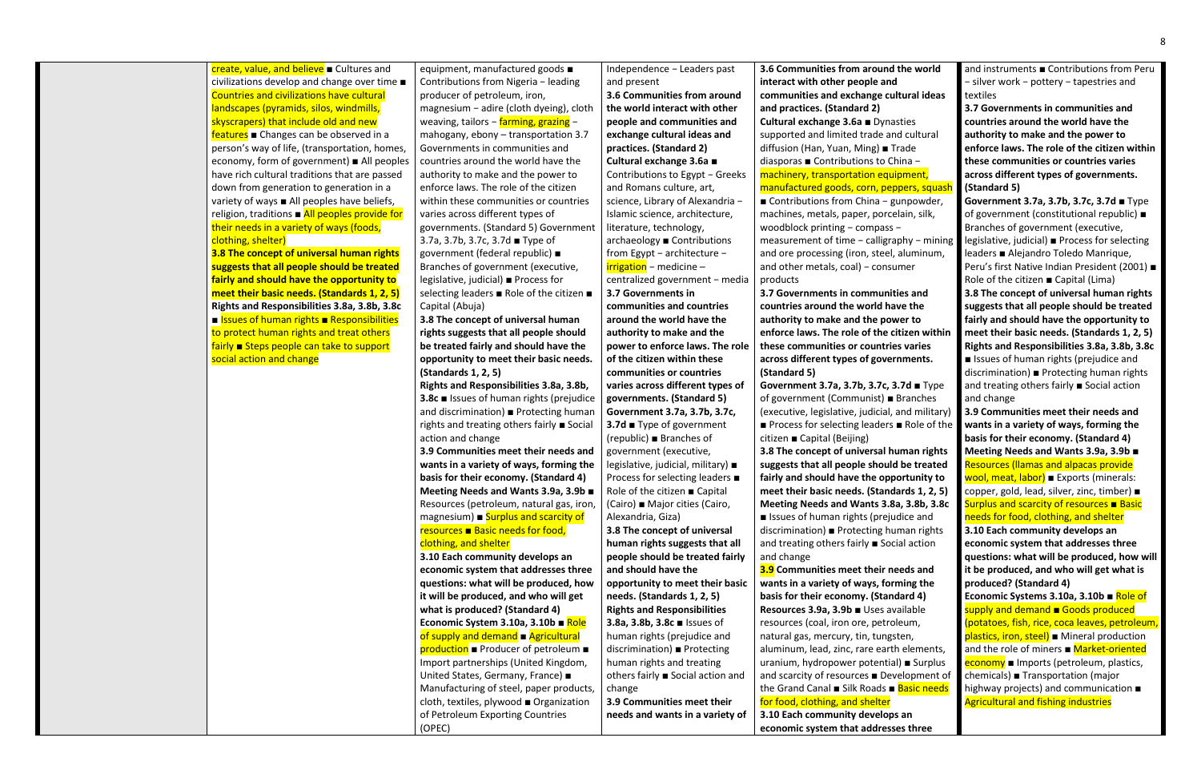**3.8 The concept of universal human rights suggests that all people should be treated fairly and should have the opportunity to meet their basic needs. (Standards 1, 2, 5) Rights and Responsibilities 3.8a, 3.8b, 3.8c** ■ **Issues of human rights ■ Responsibilities** to protect human rights and treat others fairly ■ Steps people can take to support social action and change

create, value, and believe ■ Cultures and civilizations develop and change over time ■ Countries and civilizations have cultural landscapes (pyramids, silos, windmills, skyscrapers) that include old and new features ■ Changes can be observed in a person's way of life, (transportation, homes, economy, form of government) ■ All peoples have rich cultural traditions that are passed down from generation to generation in a variety of ways ■ All peoples have beliefs, religion, traditions ■ All peoples provide for their needs in a variety of ways (foods, clothing, shelter)

equipment, manufactured goods ■ Contributions from Nigeria − leading producer of petroleum, iron, magnesium − adire (cloth dyeing), cloth weaving, tailors − farming, grazing − mahogany, ebony – transportation 3.7 Governments in communities and countries around the world have the authority to make and the power to enforce laws. The role of the citizen within these communities or countries varies across different types of governments. (Standard 5) Government 3.7a, 3.7b, 3.7c, 3.7d ■ Type of government (federal republic) ■ Branches of government (executive, legislative, judicial) ■ Process for selecting leaders ■ Role of the citizen ■ Capital (Abuja)

**3.8 The concept of universal human rights suggests that all people should be treated fairly and should have the opportunity to meet their basic needs. (Standards 1, 2, 5)** 

**Rights and Responsibilities 3.8a, 3.8b, 3.8c** ■ Issues of human rights (prejudice and discrimination) ■ Protecting human rights and treating others fairly ■ Social action and change

**3.9 Communities meet their needs and wants in a variety of ways, forming the basis for their economy. (Standard 4) Meeting Needs and Wants 3.9a, 3.9b** ■ Resources (petroleum, natural gas, iron, magnesium)  $\blacksquare$  Surplus and scarcity of resources ■ Basic needs for food,

### clothing, and shelter

**3.10 Each community develops an economic system that addresses three questions: what will be produced, how it will be produced, and who will get what is produced? (Standard 4) Economic System 3.10a, 3.10b** ■ Role of supply and demand ■ Agricultural production ■ Producer of petroleum ■ Import partnerships (United Kingdom, United States, Germany, France) ■ Manufacturing of steel, paper products, cloth, textiles, plywood ■ Organization of Petroleum Exporting Countries (OPEC)

Independence − Leaders past and present

**3.6 Communities from around the world interact with other people and communities and exchange cultural ideas and practices. (Standard 2) Cultural exchange 3.6a** ■ Contributions to Egypt − Greeks and Romans culture, art, science, Library of Alexandria − Islamic science, architecture, literature, technology, archaeology ■ Contributions from Egypt − architecture − irrigation − medicine – centralized government − media **3.7 Governments in communities and countries around the world have the authority to make and the power to enforce laws. The role of the citizen within these communities or countries varies across different types of governments. (Standard 5) Government 3.7a, 3.7b, 3.7c, 3.7d** ■ Type of government (republic) ■ Branches of government (executive, legislative, judicial, military) ■ Process for selecting leaders ■ Role of the citizen ■ Capital (Cairo) ■ Major cities (Cairo, Alexandria, Giza) **3.8 The concept of universal human rights suggests that all people should be treated fairly** 

**and should have the opportunity to meet their basic needs. (Standards 1, 2, 5) Rights and Responsibilities 3.8a, 3.8b, 3.8c** ■ Issues of human rights (prejudice and discrimination) ■ Protecting human rights and treating others fairly ■ Social action and change

**3.9 Communities meet their needs and wants in a variety of** 

**3.7 Governments in communities and countries around the world have the authority to make and the power to enforce laws. The role of the citizen within these communities or countries varies across different types of governments. (Standard 5)** 

**Government 3.7a, 3.7b, 3.7c, 3.7d** ■ Type of government (Communist) ■ Branches (executive, legislative, judicial, and military) ■ Process for selecting leaders ■ Role of the citizen ■ Capital (Beijing) **3.8 The concept of universal human rights suggests that all people should be treated fairly and should have the opportunity to meet their basic needs. (Standards 1, 2, 5) Meeting Needs and Wants 3.8a, 3.8b, 3.8c** ■ Issues of human rights (prejudice and discrimination) ■ Protecting human rights and treating others fairly ■ Social action and change

**3.6 Communities from around the world interact with other people and communities and exchange cultural ideas and practices. (Standard 2) Cultural exchange 3.6a** ■ Dynasties supported and limited trade and cultural diffusion (Han, Yuan, Ming) ■ Trade diasporas ■ Contributions to China − machinery, transportation equipment, manufactured goods, corn, peppers, squash ■ Contributions from China – gunpowder, machines, metals, paper, porcelain, silk, woodblock printing − compass − measurement of time − calligraphy − mining and ore processing (iron, steel, aluminum, and other metals, coal) – consumer products and instruments ■ Contributions from Peru − silver work − pottery − tapestries and textiles **3.7 Governments in communities and countries around the world have the authority to make and the power to enforce laws. The role of the citizen within these communities or countries varies across different types of governments. (Standard 5) Government 3.7a, 3.7b, 3.7c, 3.7d** ■ Type of government (constitutional republic) ■ Branches of government (executive, legislative, judicial) ■ Process for selecting leaders ■ Alejandro Toledo Manrique, Peru's first Native Indian President (2001) ■ Role of the citizen ■ Capital (Lima)

**3.9 Communities meet their needs and wants in a variety of ways, forming the basis for their economy. (Standard 4) Resources 3.9a, 3.9b** ■ Uses available resources (coal, iron ore, petroleum, natural gas, mercury, tin, tungsten, aluminum, lead, zinc, rare earth elements, uranium, hydropower potential) ■ Surplus and scarcity of resources ■ Development of the Grand Canal ■ Silk Roads ■ Basic needs for food, clothing, and shelter **3.10 Each community develops an economic system that addresses three** 

**3.8 The concept of universal human rights suggests that all people should be treated fairly and should have the opportunity to meet their basic needs. (Standards 1, 2, 5) Rights and Responsibilities 3.8a, 3.8b, 3.8c** ■ Issues of human rights (prejudice and discrimination) ■ Protecting human rights and treating others fairly ■ Social action and change

**3.9 Communities meet their needs and wants in a variety of ways, forming the basis for their economy. (Standard 4) Meeting Needs and Wants 3.9a, 3.9b** ■ Resources (llamas and alpacas provide wool, meat, labor) ■ Exports (minerals: copper, gold, lead, silver, zinc, timber) ■ Surplus and scarcity of resources ■ Basic needs for food, clothing, and shelter

**3.10 Each community develops an economic system that addresses three questions: what will be produced, how will it be produced, and who will get what is produced? (Standard 4)** 

**Economic Systems 3.10a, 3.10b** ■ Role of supply and demand ■ Goods produced (potatoes, fish, rice, coca leaves, petroleum, plastics, iron, steel) ■ Mineral production and the role of miners ■ Market-oriented **economy** ■ Imports (petroleum, plastics, chemicals) ■ Transportation (major highway projects) and communication ■ Agricultural and fishing industries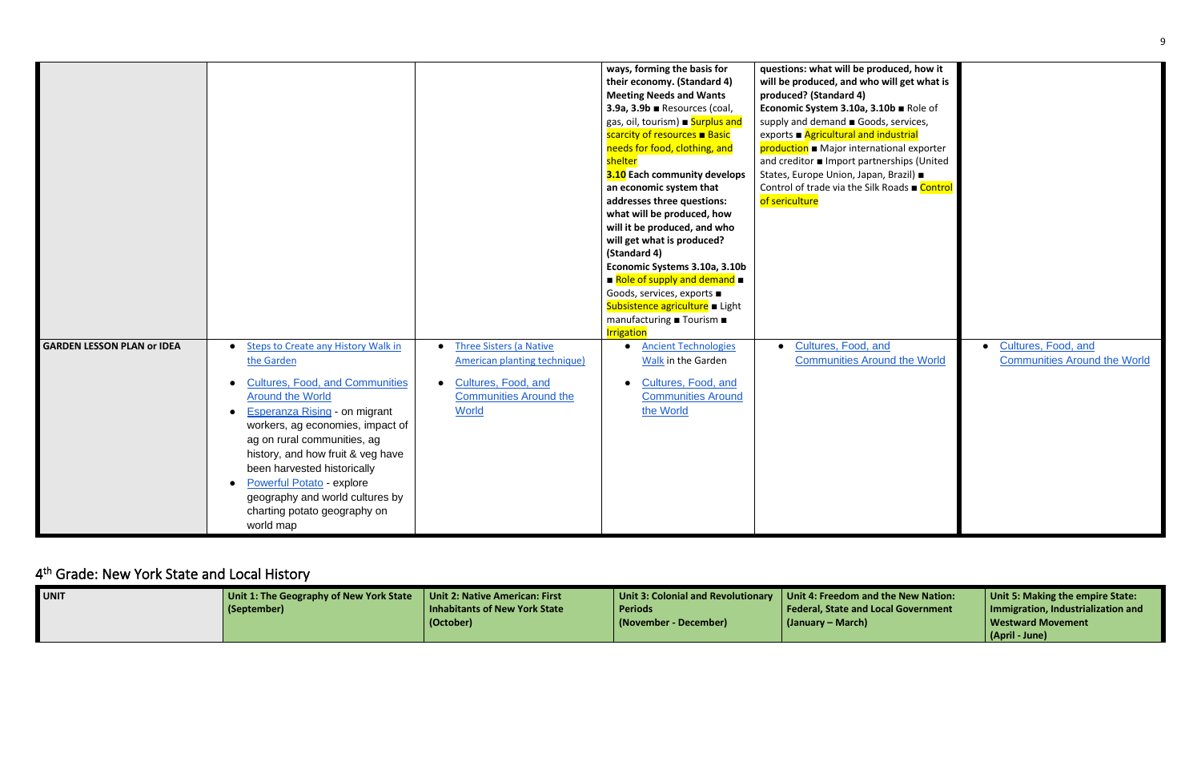|                                   |                                                                                                                                                                                                                                                                                                                                                                                                                    |                                                                                                                                                                  | ways, forming the basis for<br>their economy. (Standard 4)<br><b>Meeting Needs and Wants</b><br>3.9a, $3.9b$ $\blacksquare$ Resources (coal,<br>gas, oil, tourism) Burplus and<br>scarcity of resources ■ Basic<br>needs for food, clothing, and<br>shelter<br>3.10 Each community develops<br>an economic system that<br>addresses three questions:<br>what will be produced, how<br>will it be produced, and who<br>will get what is produced?<br>(Standard 4)<br>Economic Systems 3.10a, 3.10b<br>$\blacksquare$ Role of supply and demand $\blacksquare$<br>Goods, services, exports ■<br>Subsistence agriculture Light<br>manufacturing ■ Tourism ■<br><b>Irrigation</b> | questions: what will be produced, how it<br>will be produced, and who will get what is<br>produced? (Standard 4)<br>Economic System 3.10a, 3.10b ■ Role of<br>supply and demand Goods, services,<br>exports ■ Agricultural and industrial<br>production • Major international exporter<br>and creditor <b>I</b> Import partnerships (United<br>States, Europe Union, Japan, Brazil) ■<br>Control of trade via the Silk Roads ■ Control<br>of sericulture |
|-----------------------------------|--------------------------------------------------------------------------------------------------------------------------------------------------------------------------------------------------------------------------------------------------------------------------------------------------------------------------------------------------------------------------------------------------------------------|------------------------------------------------------------------------------------------------------------------------------------------------------------------|-------------------------------------------------------------------------------------------------------------------------------------------------------------------------------------------------------------------------------------------------------------------------------------------------------------------------------------------------------------------------------------------------------------------------------------------------------------------------------------------------------------------------------------------------------------------------------------------------------------------------------------------------------------------------------|----------------------------------------------------------------------------------------------------------------------------------------------------------------------------------------------------------------------------------------------------------------------------------------------------------------------------------------------------------------------------------------------------------------------------------------------------------|
| <b>GARDEN LESSON PLAN or IDEA</b> | Steps to Create any History Walk in<br>the Garden<br><b>Cultures, Food, and Communities</b><br><b>Around the World</b><br><b>Esperanza Rising - on migrant</b><br>workers, ag economies, impact of<br>ag on rural communities, ag<br>history, and how fruit & veg have<br>been harvested historically<br>Powerful Potato - explore<br>geography and world cultures by<br>charting potato geography on<br>world map | <b>Three Sisters (a Native</b><br>$\bullet$<br>American planting technique)<br>Cultures, Food, and<br>$\bullet$<br><b>Communities Around the</b><br><b>World</b> | <b>Ancient Technologies</b><br>Walk in the Garden<br>Cultures, Food, and<br><b>Communities Around</b><br>the World                                                                                                                                                                                                                                                                                                                                                                                                                                                                                                                                                            | Cultures, Food, and<br><b>Communities Around the World</b>                                                                                                                                                                                                                                                                                                                                                                                               |

# <span id="page-8-0"></span>4<sup>th</sup> Grade: New York State and Local History

| <b>UNIT</b> | Unit 1: The Geography of New York State   Unit 2: Native American: First |                               |                       | Unit 3: Colonial and Revolutionary   Unit 4: Freedom and the New Nation: | Unit 5: Making the empire State:   |
|-------------|--------------------------------------------------------------------------|-------------------------------|-----------------------|--------------------------------------------------------------------------|------------------------------------|
|             | (September)                                                              | Inhabitants of New York State | Periods               | Federal, State and Local Government                                      | Immigration, Industrialization and |
|             |                                                                          | (October)                     | (November - December) | (January – March)                                                        | Westward Movement                  |
|             |                                                                          |                               |                       |                                                                          | (April - June)                     |

| duced, how it<br>will get what is                                                                                                   |                                                            |
|-------------------------------------------------------------------------------------------------------------------------------------|------------------------------------------------------------|
| $Ob$ <b>Role of</b><br>s, services,<br>dustrial<br>ional exporter<br>erships (United<br>, Brazil) ■<br>Roads ■ <mark>Control</mark> |                                                            |
| $\overline{d}$<br>Ind the World                                                                                                     | Cultures, Food, and<br><b>Communities Around the World</b> |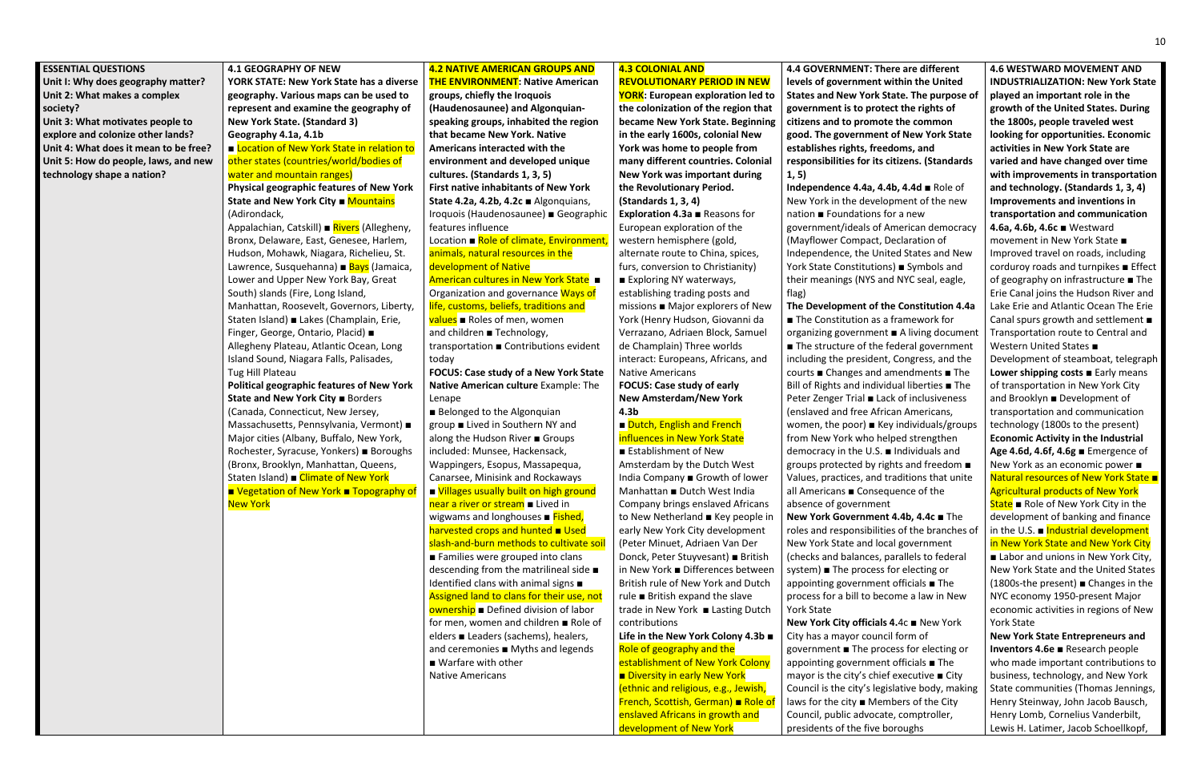#### **ESSENTIAL QUESTIONS**

**Unit I: Why does geography matter? Unit 2: What makes a complex society? Unit 3: What motivates people to explore and colonize other lands? Unit 4: What does it mean to be free? Unit 5: How do people, laws, and new** 

**technology shape a nation?** 

**4.1 GEOGRAPHY OF NEW** 

■ Location of New York State in relation to other states (countries/world/bodies of water and mountain ranges)

**YORK STATE: New York State has a diverse geography. Various maps can be used to represent and examine the geography of New York State. (Standard 3) Geography 4.1a, 4.1b**

Appalachian, Catskill) ■ Rivers (Allegheny, Bronx, Delaware, East, Genesee, Harlem, Hudson, Mohawk, Niagara, Richelieu, St. Lawrence, Susquehanna) ■ Bays (Jamaica, Lower and Upper New York Bay, Great South) slands (Fire, Long Island, Manhattan, Roosevelt, Governors, Liberty, Staten Island) ■ Lakes (Champlain, Erie, Finger, George, Ontario, Placid) ■ Allegheny Plateau, Atlantic Ocean, Long Island Sound, Niagara Falls, Palisades, Tug Hill Plateau

**Political geographic features of New York State and New York City** ■ Borders (Canada, Connecticut, New Jersey, Massachusetts, Pennsylvania, Vermont) ■ Major cities (Albany, Buffalo, New York, Rochester, Syracuse, Yonkers) ■ Boroughs (Bronx, Brooklyn, Manhattan, Queens, Staten Island) ■ Climate of New York

**Physical geographic features of New York State and New York City ■ Mountains** (Adirondack,

■ Vegetation of New York ■ Topography of New York

**groups, chiefly the Iroquois (Haudenosaunee) and Algonquianspeaking groups, inhabited the region that became New York. Native Americans interacted with the environment and developed unique cultures. (Standards 1, 3, 5) First native inhabitants of New York State 4.2a, 4.2b, 4.2c** ■ Algonquians, Iroquois (Haudenosaunee) ■ Geographic features influence Location ■ Role of climate, Environment,

values ■ Roles of men, women and children ■ Technology,

■ Belonged to the Algonquian group ■ Lived in Southern NY and along the Hudson River ■ Groups included: Munsee, Hackensack, Wappingers, Esopus, Massapequa, Canarsee, Minisink and Rockaways ■ Villages usually built on high ground near a river or stream ■ Lived in wigwams and longhouses ■ Fished, harvested crops and hunted ■ Used slash-and-burn methods to cultivate soil ■ Families were grouped into clans descending from the matrilineal side ■ Identified clans with animal signs ■ Assigned land to clans for their use, not **ownership** ■ Defined division of labor for men, women and children ■ Role of elders ■ Leaders (sachems), healers, and ceremonies ■ Myths and legends ■ Warfare with other Native Americans

#### **4.2 NATIVE AMERICAN GROUPS AND THE ENVIRONMENT: Native American**

### ■ Dutch, English and French influences in New York State

animals, natural resources in the development of Native American cultures in New York State ■ Organization and governance Ways of life, customs, beliefs, traditions and

> ■ Establishment of New Amsterdam by the Dutch West India Company ■ Growth of lower Manhattan ■ Dutch West India Company brings enslaved Africans to New Netherland ■ Key people in early New York City development (Peter Minuet, Adriaen Van Der Donck, Peter Stuyvesant) ■ British in New York ■ Differences between British rule of New York and Dutch rule ■ British expand the slave trade in New York ■ Lasting Dutch contributions

transportation ■ Contributions evident today

**FOCUS: Case study of a New York State Native American culture** Example: The Lenape

### **4.3 COLONIAL AND REVOLUTIONARY PERIOD IN NEW**

**YORK: European exploration led to the colonization of the region that became New York State. Beginning in the early 1600s, colonial New York was home to people from many different countries. Colonial New York was important during the Revolutionary Period. (Standards 1, 3, 4) Exploration 4.3a** ■ Reasons for European exploration of the western hemisphere (gold, alternate route to China, spices, furs, conversion to Christianity) ■ Exploring NY waterways, establishing trading posts and missions ■ Major explorers of New York (Henry Hudson, Giovanni da Verrazano, Adriaen Block, Samuel de Champlain) Three worlds interact: Europeans, Africans, and Native Americans **FOCUS: Case study of early New Amsterdam/New York 4.3b**

**Life in the New York Colony 4.3b** ■ Role of geography and the establishment of New York Colony ■ Diversity in early New York (ethnic and religious, e.g., Jewish, French, Scottish, German) ■ Role of enslaved Africans in growth and development of New York

**4.4 GOVERNMENT: There are different levels of government within the United States and New York State. The purpose of government is to protect the rights of citizens and to promote the common good. The government of New York State establishes rights, freedoms, and responsibilities for its citizens. (Standards 1, 5)** 

**Independence 4.4a, 4.4b, 4.4d** ■ Role of New York in the development of the new nation ■ Foundations for a new government/ideals of American democracy (Mayflower Compact, Declaration of Independence, the United States and New York State Constitutions) ■ Symbols and their meanings (NYS and NYC seal, eagle, flag)

**The Development of the Constitution 4.4a** ■ The Constitution as a framework for organizing government ■ A living document ■ The structure of the federal government including the president, Congress, and the courts ■ Changes and amendments ■ The Bill of Rights and individual liberties ■ The Peter Zenger Trial ■ Lack of inclusiveness (enslaved and free African Americans, women, the poor) ■ Key individuals/groups from New York who helped strengthen democracy in the U.S. ■ Individuals and groups protected by rights and freedom ■ Values, practices, and traditions that unite all Americans ■ Consequence of the absence of government **New York Government 4.4b, 4.4c** ■ The roles and responsibilities of the branches of New York State and local government (checks and balances, parallels to federal system) ■ The process for electing or appointing government officials ■ The process for a bill to become a law in New York State

**New York City officials 4.**4c ■ New York City has a mayor council form of government ■ The process for electing or appointing government officials ■ The mayor is the city's chief executive ■ City Council is the city's legislative body, making laws for the city ■ Members of the City Council, public advocate, comptroller, presidents of the five boroughs

**4.6 WESTWARD MOVEMENT AND INDUSTRIALIZATION: New York State played an important role in the growth of the United States. During the 1800s, people traveled west looking for opportunities. Economic activities in New York State are varied and have changed over time with improvements in transportation and technology. (Standards 1, 3, 4) Improvements and inventions in transportation and communication 4.6a, 4.6b, 4.6c** ■ Westward movement in New York State ■ Improved travel on roads, including corduroy roads and turnpikes ■ Effect of geography on infrastructure ■ The Erie Canal joins the Hudson River and Lake Erie and Atlantic Ocean The Erie Canal spurs growth and settlement ■ Transportation route to Central and Western United States ■ Development of steamboat, telegraph **Lower shipping costs** ■ Early means of transportation in New York City and Brooklyn ■ Development of transportation and communication technology (1800s to the present) **Economic Activity in the Industrial Age 4.6d, 4.6f, 4.6g** ■ Emergence of New York as an economic power ■ Natural resources of New York State ■ Agricultural products of New York State ■ Role of New York City in the development of banking and finance in the U.S.  $\blacksquare$  Industrial development in New York State and New York City ■ Labor and unions in New York City, New York State and the United States (1800s-the present) ■ Changes in the NYC economy 1950-present Major economic activities in regions of New York State

**New York State Entrepreneurs and Inventors 4.6e** ■ Research people who made important contributions to business, technology, and New York State communities (Thomas Jennings, Henry Steinway, John Jacob Bausch, Henry Lomb, Cornelius Vanderbilt, Lewis H. Latimer, Jacob Schoellkopf,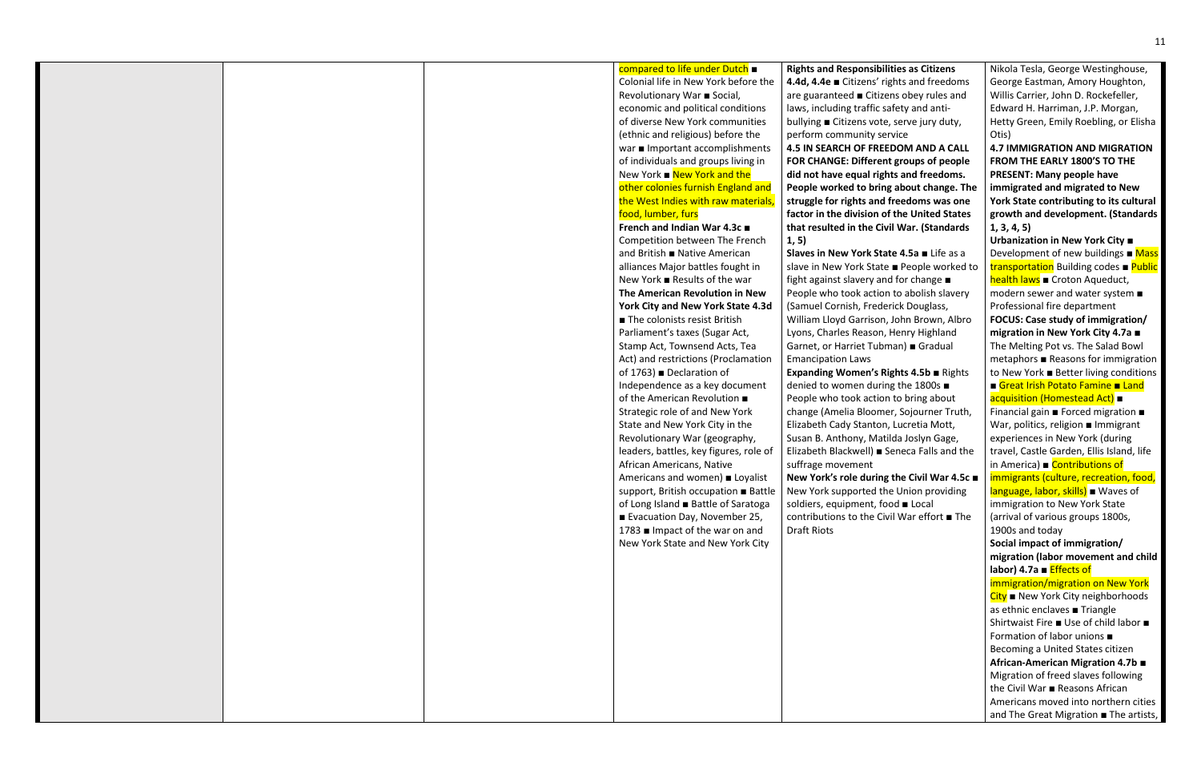#### compared to life under Dutch ■

Colonial life in New York before the Revolutionary War ■ Social, economic and political conditions of diverse New York communities (ethnic and religious) before the war ■ Important accomplishments of individuals and groups living in New York ■ New York and the other colonies furnish England and the West Indies with raw materials food, lumber, furs

#### **French and Indian War 4.3c** ■

Competition between The French and British ■ Native American alliances Major battles fought in New York ■ Results of the war **The American Revolution in New York City and New York State 4.3d** ■ The colonists resist British Parliament's taxes (Sugar Act, Stamp Act, Townsend Acts, Tea Act) and restrictions (Proclamation of 1763) ■ Declaration of Independence as a key document of the American Revolution ■ Strategic role of and New York State and New York City in the Revolutionary War (geography, leaders, battles, key figures, role of African Americans, Native Americans and women) ■ Loyalist support, British occupation ■ Battle of Long Island ■ Battle of Saratoga ■ Evacuation Day, November 25, 1783 ■ Impact of the war on and New York State and New York City

**Rights and Responsibilities as Citizens 4.4d, 4.4e** ■ Citizens' rights and freedoms are guaranteed ■ Citizens obey rules and laws, including traffic safety and antibullying ■ Citizens vote, serve jury duty, perform community service **4.5 IN SEARCH OF FREEDOM AND A CALL FOR CHANGE: Different groups of people did not have equal rights and freedoms. People worked to bring about change. The struggle for rights and freedoms was one factor in the division of the United States that resulted in the Civil War. (Standards 1, 5)**

**Slaves in New York State 4.5a** ■ Life as a slave in New York State ■ People worked to fight against slavery and for change ■ People who took action to abolish slavery (Samuel Cornish, Frederick Douglass, William Lloyd Garrison, John Brown, Albro Lyons, Charles Reason, Henry Highland Garnet, or Harriet Tubman) ■ Gradual Emancipation Laws **Expanding Women's Rights 4.5b** ■ Rights denied to women during the 1800s ■ People who took action to bring about change (Amelia Bloomer, Sojourner Truth, Elizabeth Cady Stanton, Lucretia Mott, Susan B. Anthony, Matilda Joslyn Gage, Elizabeth Blackwell) ■ Seneca Falls and the suffrage movement **New York's role during the Civil War 4.5c** ■ New York supported the Union providing soldiers, equipment, food ■ Local contributions to the Civil War effort ■ The Draft Riots

Nikola Tesla, George Westinghouse, George Eastman, Amory Houghton, Willis Carrier, John D. Rockefeller, Edward H. Harriman, J.P. Morgan, Hetty Green, Emily Roebling, or Elisha Otis)

**4.7 IMMIGRATION AND MIGRATION FROM THE EARLY 1800'S TO THE PRESENT: Many people have immigrated and migrated to New York State contributing to its cultural growth and development. (Standards 1, 3, 4, 5)** 

**Urbanization in New York City** ■ Development of new buildings  $\blacksquare$  Mass transportation Building codes ■ Public **health laws** ■ Croton Aqueduct, modern sewer and water system ■ Professional fire department **FOCUS: Case study of immigration/ migration in New York City 4.7a** ■ The Melting Pot vs. The Salad Bowl metaphors ■ Reasons for immigration to New York ■ Better living conditions ■ Great Irish Potato Famine ■ Land acquisition (Homestead Act) ■ Financial gain ■ Forced migration ■ War, politics, religion ■ Immigrant experiences in New York (during travel, Castle Garden, Ellis Island, life in America) ■ Contributions of immigrants (culture, recreation, food, language, labor, skills) ■ Waves of immigration to New York State (arrival of various groups 1800s, 1900s and today **Social impact of immigration/ migration (labor movement and child labor) 4.7a** ■ Effects of immigration/migration on New York City ■ New York City neighborhoods as ethnic enclaves ■ Triangle Shirtwaist Fire ■ Use of child labor ■ Formation of labor unions ■ Becoming a United States citizen **African-American Migration 4.7b** ■ Migration of freed slaves following the Civil War ■ Reasons African Americans moved into northern cities and The Great Migration ■ The artists,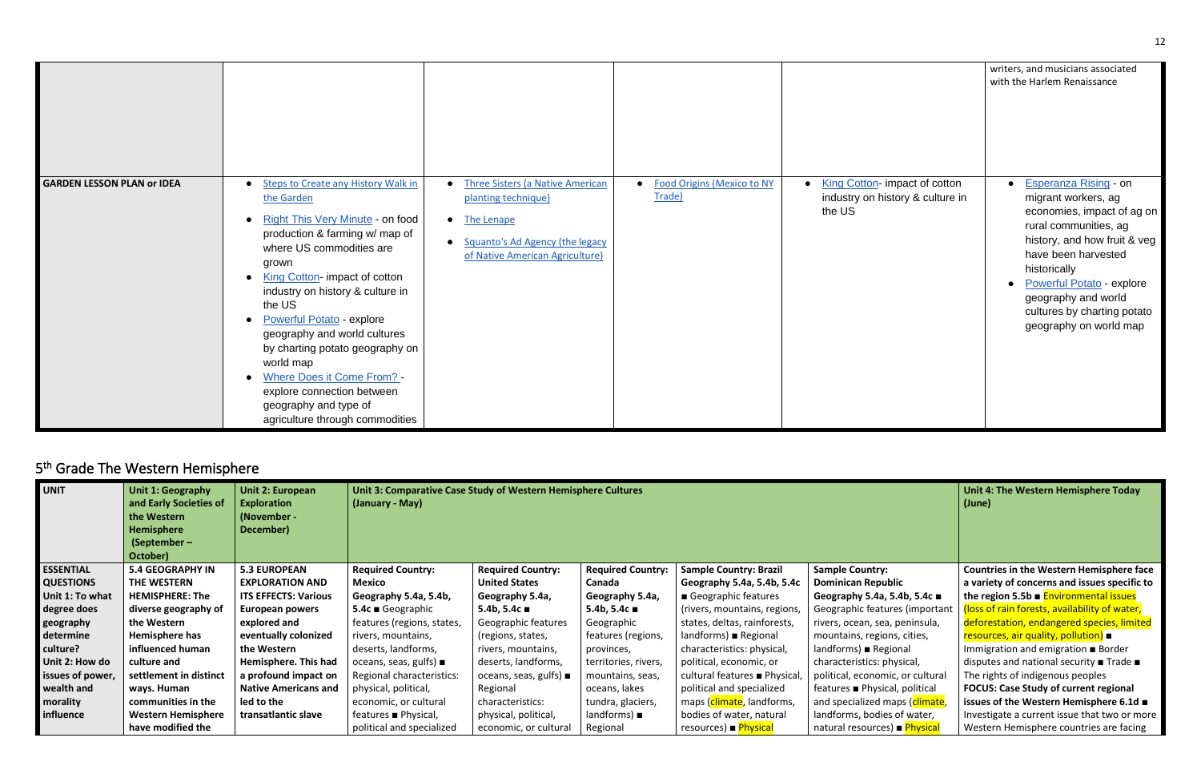|                                   |                                                                                                                                                                                                                                                                                                                                                                                                                                                                                                                   |                                                                                                                                                                   |                                        |                                                                              | writers, and musicians associated<br>with the Harlem Renaissance                                                                                                                                                                                                                                                   |
|-----------------------------------|-------------------------------------------------------------------------------------------------------------------------------------------------------------------------------------------------------------------------------------------------------------------------------------------------------------------------------------------------------------------------------------------------------------------------------------------------------------------------------------------------------------------|-------------------------------------------------------------------------------------------------------------------------------------------------------------------|----------------------------------------|------------------------------------------------------------------------------|--------------------------------------------------------------------------------------------------------------------------------------------------------------------------------------------------------------------------------------------------------------------------------------------------------------------|
| <b>GARDEN LESSON PLAN or IDEA</b> | <b>Steps to Create any History Walk in</b><br>the Garden<br>• Right This Very Minute - on food<br>production & farming w/ map of<br>where US commodities are<br>grown<br>• King Cotton- impact of cotton<br>industry on history & culture in<br>the US<br><b>Powerful Potato - explore</b><br>$\bullet$<br>geography and world cultures<br>by charting potato geography on<br>world map<br>• Where Does it Come From? -<br>explore connection between<br>geography and type of<br>agriculture through commodities | <b>Three Sisters (a Native American</b><br>planting technique)<br>• The Lenape<br>Squanto's Ad Agency (the legacy<br>$\bullet$<br>of Native American Agriculture) | • Food Origins (Mexico to NY<br>Trade) | • King Cotton-impact of cotton<br>industry on history & culture in<br>the US | <b>Esperanza Rising - on</b><br>migrant workers, ag<br>economies, impact of ag on<br>rural communities, ag<br>history, and how fruit & veg<br>have been harvested<br>historically<br><b>Powerful Potato - explore</b><br>$\bullet$<br>geography and world<br>cultures by charting potato<br>geography on world map |

# <span id="page-11-0"></span>5<sup>th</sup> Grade The Western Hemisphere

| <b>UNIT</b>      | Unit 1: Geography<br>and Early Societies of<br>the Western<br><b>Hemisphere</b><br>(September $-$<br>October) | Unit 2: European<br><b>Exploration</b><br>(November -<br>December) | (January - May)                     | Unit 3: Comparative Case Study of Western Hemisphere Cultures |                           |                               |                                  | Unit 4: The Western Hemisphere Today<br>(June)                     |
|------------------|---------------------------------------------------------------------------------------------------------------|--------------------------------------------------------------------|-------------------------------------|---------------------------------------------------------------|---------------------------|-------------------------------|----------------------------------|--------------------------------------------------------------------|
| <b>ESSENTIAL</b> | <b>5.4 GEOGRAPHY IN</b>                                                                                       | <b>5.3 EUROPEAN</b>                                                | <b>Required Country:</b>            | <b>Required Country:</b>                                      | <b>Required Country:</b>  | <b>Sample Country: Brazil</b> | <b>Sample Country:</b>           | <b>Countries in the Western Hemisphere face</b>                    |
| <b>QUESTIONS</b> | THE WESTERN                                                                                                   | <b>EXPLORATION AND</b>                                             | Mexico                              | <b>United States</b>                                          | Canada                    | Geography 5.4a, 5.4b, 5.4c    | <b>Dominican Republic</b>        | a variety of concerns and issues specific to                       |
| Unit 1: To what  | <b>HEMISPHERE: The</b>                                                                                        | <b>ITS EFFECTS: Various</b>                                        | Geography 5.4a, 5.4b,               | Geography 5.4a,                                               | Geography 5.4a,           | Geographic features           | Geography 5.4a, 5.4b, 5.4c ■     | the region 5.5b $\blacksquare$ Environmental issues                |
| degree does      | diverse geography of                                                                                          | European powers                                                    | $5.4c \equiv$ Geographic            | 5.4b, 5.4 $c$ ■                                               | 5.4b, 5.4c $\blacksquare$ | (rivers, mountains, regions,  | Geographic features (important   | (loss of rain forests, availability of water,                      |
| geography        | the Western                                                                                                   | explored and                                                       | features (regions, states,          | Geographic features                                           | Geographic                | states, deltas, rainforests,  | rivers, ocean, sea, peninsula,   | deforestation, endangered species, limited                         |
| determine        | Hemisphere has                                                                                                | eventually colonized                                               | rivers, mountains,                  | (regions, states,                                             | features (regions,        | $landforms)$ Regional         | mountains, regions, cities,      | resources, air quality, pollution) ■                               |
| culture?         | influenced human                                                                                              | the Western                                                        | deserts, landforms,                 | rivers, mountains,                                            | provinces,                | characteristics: physical,    | $landforms)$ Regional            | Immigration and emigration ■ Border                                |
| Unit 2: How do   | culture and                                                                                                   | Hemisphere. This had                                               | oceans, seas, gulfs) $\blacksquare$ | deserts, landforms,                                           | territories, rivers,      | political, economic, or       | characteristics: physical,       | disputes and national security $\blacksquare$ Trade $\blacksquare$ |
| issues of power, | settlement in distinct                                                                                        | a profound impact on                                               | Regional characteristics:           | oceans, seas, gulfs) $\blacksquare$                           | mountains, seas,          | cultural features ■ Physical, | political, economic, or cultural | The rights of indigenous peoples                                   |
| wealth and       | ways. Human                                                                                                   | <b>Native Americans and</b>                                        | physical, political,                | Regional                                                      | oceans, lakes             | political and specialized     | features ■ Physical, political   | <b>FOCUS: Case Study of current regional</b>                       |
| morality         | communities in the                                                                                            | led to the                                                         | economic, or cultural               | characteristics:                                              | tundra, glaciers,         | maps (climate, landforms,     | and specialized maps (climate,   | issues of the Western Hemisphere 6.1d ■                            |
| influence        | <b>Western Hemisphere</b>                                                                                     | transatlantic slave                                                | features ■ Physical,                | physical, political,                                          | $landforms) \blacksquare$ | bodies of water, natural      | landforms, bodies of water,      | Investigate a current issue that two or more                       |
|                  | have modified the                                                                                             |                                                                    | political and specialized           | economic, or cultural                                         | Regional                  | resources) Physical           | natural resources) ■ Physical    | Western Hemisphere countries are facing                            |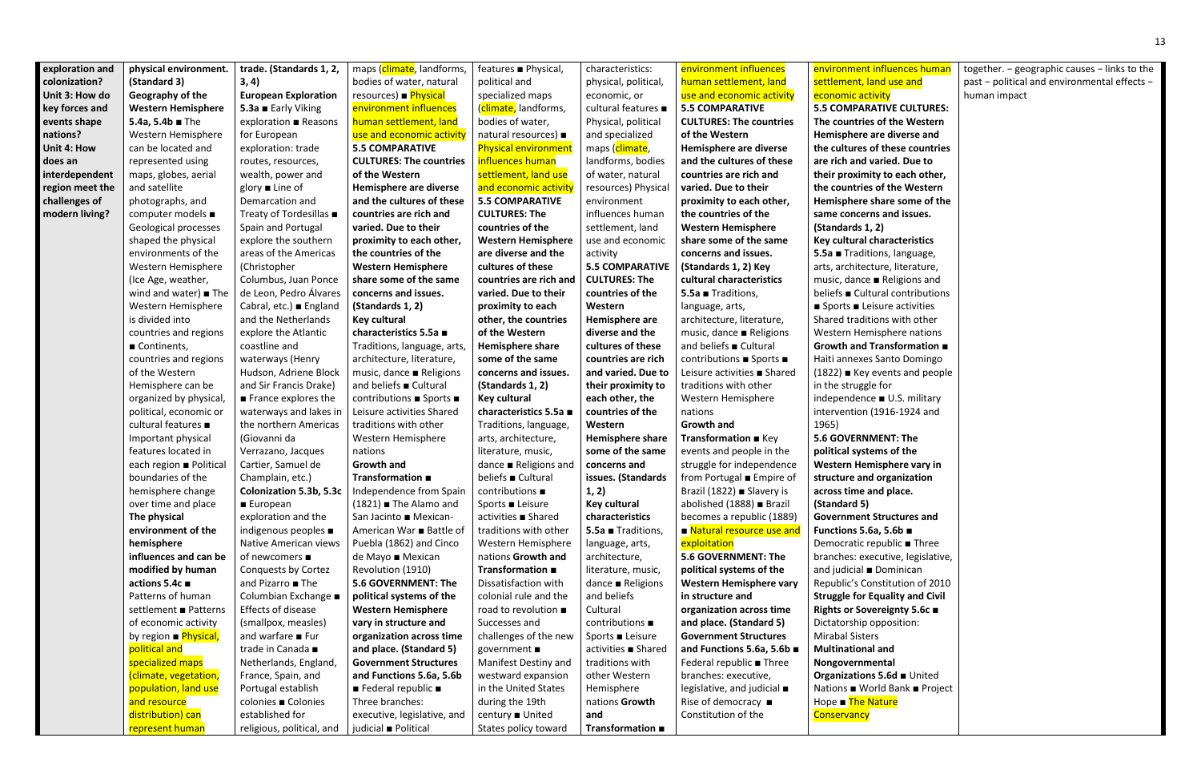| exploration and | physical environment.               | trade. (Standards 1, 2,                       | maps (climate, landforms,                      | features ■ Physical,                   | characteristics:                    | environment influences                                     | environment influences human                                     | together. - geographic causes - links to the |
|-----------------|-------------------------------------|-----------------------------------------------|------------------------------------------------|----------------------------------------|-------------------------------------|------------------------------------------------------------|------------------------------------------------------------------|----------------------------------------------|
| colonization?   | (Standard 3)                        | 3, 4)                                         | bodies of water, natural                       | political and                          | physical, political,                | human settlement, land                                     | settlement, land use and                                         | past - political and environmental effects - |
| Unit 3: How do  | Geography of the                    | <b>European Exploration</b>                   | resources) Physical                            | specialized maps                       | economic, or                        | use and economic activity                                  | economic activity                                                | human impact                                 |
| key forces and  | <b>Western Hemisphere</b>           | 5.3a ■ Early Viking                           | environment influences                         | (climate, landforms,                   | cultural features ■                 | <b>5.5 COMPARATIVE</b>                                     | <b>5.5 COMPARATIVE CULTURES:</b>                                 |                                              |
| events shape    | 5.4a, 5.4b $\blacksquare$ The       | exploration ■ Reasons                         | human settlement, land                         | bodies of water,                       | Physical, political                 | <b>CULTURES: The countries</b>                             | The countries of the Western                                     |                                              |
| nations?        | Western Hemisphere                  | for European                                  | use and economic activity                      | natural resources) ■                   | and specialized                     | of the Western                                             | Hemisphere are diverse and                                       |                                              |
| Unit 4: How     | can be located and                  | exploration: trade                            | <b>5.5 COMPARATIVE</b>                         | <b>Physical environment</b>            | maps (climate,                      | Hemisphere are diverse                                     | the cultures of these countries                                  |                                              |
| does an         | represented using                   | routes, resources,                            | <b>CULTURES: The countries</b>                 | influences human                       | landforms, bodies                   | and the cultures of these                                  | are rich and varied. Due to                                      |                                              |
| interdependent  | maps, globes, aerial                | wealth, power and                             | of the Western                                 | settlement, land use                   | of water, natural                   | countries are rich and                                     | their proximity to each other,                                   |                                              |
| region meet the | and satellite                       | glory $\blacksquare$ Line of                  | Hemisphere are diverse                         | and economic activity                  | resources) Physical                 | varied. Due to their                                       | the countries of the Western                                     |                                              |
| challenges of   | photographs, and                    | Demarcation and                               | and the cultures of these                      | <b>5.5 COMPARATIVE</b>                 | environment                         | proximity to each other,                                   | Hemisphere share some of the                                     |                                              |
| modern living?  | computer models ■                   | Treaty of Tordesillas ■                       | countries are rich and                         | <b>CULTURES: The</b>                   | influences human                    | the countries of the                                       | same concerns and issues.                                        |                                              |
|                 | Geological processes                | Spain and Portugal                            | varied. Due to their                           | countries of the                       | settlement, land                    | <b>Western Hemisphere</b>                                  | (Standards 1, 2)                                                 |                                              |
|                 | shaped the physical                 | explore the southern                          | proximity to each other,                       | <b>Western Hemisphere</b>              | use and economic                    | share some of the same                                     | Key cultural characteristics                                     |                                              |
|                 | environments of the                 | areas of the Americas                         | the countries of the                           | are diverse and the                    | activity                            | concerns and issues.                                       | 5.5a Traditions, language,                                       |                                              |
|                 | Western Hemisphere                  | (Christopher                                  | <b>Western Hemisphere</b>                      | cultures of these                      | <b>5.5 COMPARATIVE</b>              | (Standards 1, 2) Key                                       | arts, architecture, literature,                                  |                                              |
|                 | (Ice Age, weather,                  | Columbus, Juan Ponce                          | share some of the same                         | countries are rich and                 | <b>CULTURES: The</b>                | cultural characteristics                                   | music, dance ■ Religions and                                     |                                              |
|                 | wind and water) $\blacksquare$ The  | de Leon, Pedro Álvares                        | concerns and issues.                           | varied. Due to their                   | countries of the                    | 5.5a Traditions,                                           | beliefs Cultural contributions                                   |                                              |
|                 | Western Hemisphere                  | Cabral, etc.) ■ England                       | (Standards 1, 2)                               | proximity to each                      | Western                             | language, arts,                                            | $\blacksquare$ Sports $\blacksquare$ Leisure activities          |                                              |
|                 | is divided into                     | and the Netherlands                           | <b>Key cultural</b>                            | other, the countries                   | Hemisphere are                      | architecture, literature,                                  | Shared traditions with other                                     |                                              |
|                 | countries and regions               | explore the Atlantic                          | characteristics 5.5a ■                         | of the Western                         | diverse and the                     | music, dance ■ Religions                                   | Western Hemisphere nations                                       |                                              |
|                 | Continents,                         | coastline and                                 | Traditions, language, arts,                    | Hemisphere share                       | cultures of these                   | and beliefs ■ Cultural                                     | Growth and Transformation $\blacksquare$                         |                                              |
|                 | countries and regions               | waterways (Henry                              | architecture, literature,                      | some of the same                       | countries are rich                  | contributions ■ Sports ■                                   | Haiti annexes Santo Domingo                                      |                                              |
|                 | of the Western                      | Hudson, Adriene Block                         | music, dance ■ Religions                       | concerns and issues.                   | and varied. Due to                  | Leisure activities ■ Shared                                | (1822) ■ Key events and people                                   |                                              |
|                 | Hemisphere can be                   | and Sir Francis Drake)                        | and beliefs ■ Cultural                         | (Standards 1, 2)                       | their proximity to                  | traditions with other                                      | in the struggle for                                              |                                              |
|                 | organized by physical,              | $\blacksquare$ France explores the            | contributions ■ Sports ■                       | <b>Key cultural</b>                    | each other, the                     | Western Hemisphere                                         | independence ■ U.S. military                                     |                                              |
|                 | political, economic or              | waterways and lakes in                        | Leisure activities Shared                      | characteristics 5.5a ■                 | countries of the                    | nations                                                    | intervention (1916-1924 and                                      |                                              |
|                 | cultural features ■                 | the northern Americas                         | traditions with other                          | Traditions, language,                  | Western                             | <b>Growth and</b>                                          | 1965)                                                            |                                              |
|                 | Important physical                  | (Giovanni da                                  | Western Hemisphere                             | arts, architecture,                    | Hemisphere share                    | Transformation E Key                                       | <b>5.6 GOVERNMENT: The</b>                                       |                                              |
|                 | features located in                 | Verrazano, Jacques                            | nations                                        | literature, music,                     | some of the same                    | events and people in the                                   | political systems of the                                         |                                              |
|                 | each region ■ Political             | Cartier, Samuel de                            | <b>Growth and</b>                              | dance ■ Religions and                  | concerns and                        | struggle for independence                                  | Western Hemisphere vary in                                       |                                              |
|                 | boundaries of the                   | Champlain, etc.)                              | Transformation $\blacksquare$                  | beliefs Cultural                       | issues. (Standards                  | from Portugal Empire of                                    | structure and organization                                       |                                              |
|                 | hemisphere change                   | Colonization 5.3b, 5.3c                       | Independence from Spain                        | contributions ■                        | 1, 2)                               | Brazil (1822) ■ Slavery is                                 | across time and place.                                           |                                              |
|                 | over time and place                 | ■ European                                    | $(1821)$ The Alamo and                         | Sports ■ Leisure                       | <b>Key cultural</b>                 | abolished (1888) ■ Brazil                                  | (Standard 5)                                                     |                                              |
|                 | The physical                        | exploration and the                           | San Jacinto ■ Mexican-                         | activities ■ Shared                    | characteristics                     | becomes a republic (1889)                                  | <b>Government Structures and</b>                                 |                                              |
|                 | environment of the                  | indigenous peoples ■<br>Native American views | American War ■ Battle of                       | traditions with other                  | 5.5a Traditions,                    | ■ Natural resource use and                                 | Functions 5.6a, 5.6b ■                                           |                                              |
|                 | hemisphere<br>influences and can be | of newcomers ■                                | Puebla (1862) and Cinco<br>de Mayo ■ Mexican   | Western Hemisphere                     | language, arts,                     | exploitation<br>5.6 GOVERNMENT: The                        | Democratic republic ■ Three<br>branches: executive, legislative, |                                              |
|                 | modified by human                   | Conquests by Cortez                           | Revolution (1910)                              | nations Growth and<br>Transformation ■ | architecture,<br>literature, music, |                                                            | and judicial <b>Dominican</b>                                    |                                              |
|                 | actions 5.4c ■                      | and Pizarro ■ The                             | <b>5.6 GOVERNMENT: The</b>                     | Dissatisfaction with                   | dance $\blacksquare$ Religions      | political systems of the<br><b>Western Hemisphere vary</b> | Republic's Constitution of 2010                                  |                                              |
|                 | Patterns of human                   | Columbian Exchange ■                          | political systems of the                       | colonial rule and the                  | and beliefs                         | in structure and                                           | <b>Struggle for Equality and Civil</b>                           |                                              |
|                 | settlement ■ Patterns               | Effects of disease                            | <b>Western Hemisphere</b>                      | road to revolution ■                   | Cultural                            | organization across time                                   | Rights or Sovereignty 5.6c ■                                     |                                              |
|                 | of economic activity                | (smallpox, measles)                           | vary in structure and                          | Successes and                          | contributions ■                     | and place. (Standard 5)                                    | Dictatorship opposition:                                         |                                              |
|                 | by region <b>Physical</b> ,         | and warfare $\blacksquare$ Fur                | organization across time                       | challenges of the new                  | Sports ■ Leisure                    | <b>Government Structures</b>                               | <b>Mirabal Sisters</b>                                           |                                              |
|                 | political and                       | trade in Canada ■                             | and place. (Standard 5)                        | government ■                           | activities ■ Shared                 | and Functions 5.6a, 5.6b ■                                 | <b>Multinational and</b>                                         |                                              |
|                 | specialized maps                    | Netherlands, England,                         | <b>Government Structures</b>                   | Manifest Destiny and                   | traditions with                     | Federal republic ■ Three                                   | Nongovernmental                                                  |                                              |
|                 | (climate, vegetation,               | France, Spain, and                            | and Functions 5.6a, 5.6b                       | westward expansion                     | other Western                       | branches: executive,                                       | Organizations 5.6d United                                        |                                              |
|                 | population, land use                | Portugal establish                            | $\blacksquare$ Federal republic $\blacksquare$ | in the United States                   | Hemisphere                          | legislative, and judicial $\blacksquare$                   | Nations ■ World Bank ■ Project                                   |                                              |
|                 | and resource                        | colonies ■ Colonies                           | Three branches:                                | during the 19th                        | nations Growth                      | Rise of democracy $\blacksquare$                           | Hope The Nature                                                  |                                              |
|                 | distribution) can                   | established for                               | executive, legislative, and                    | century ■ United                       | and                                 | Constitution of the                                        | Conservancy                                                      |                                              |
|                 | represent human                     | religious, political, and                     | judicial ■ Political                           | States policy toward                   | Transformation ■                    |                                                            |                                                                  |                                              |
|                 |                                     |                                               |                                                |                                        |                                     |                                                            |                                                                  |                                              |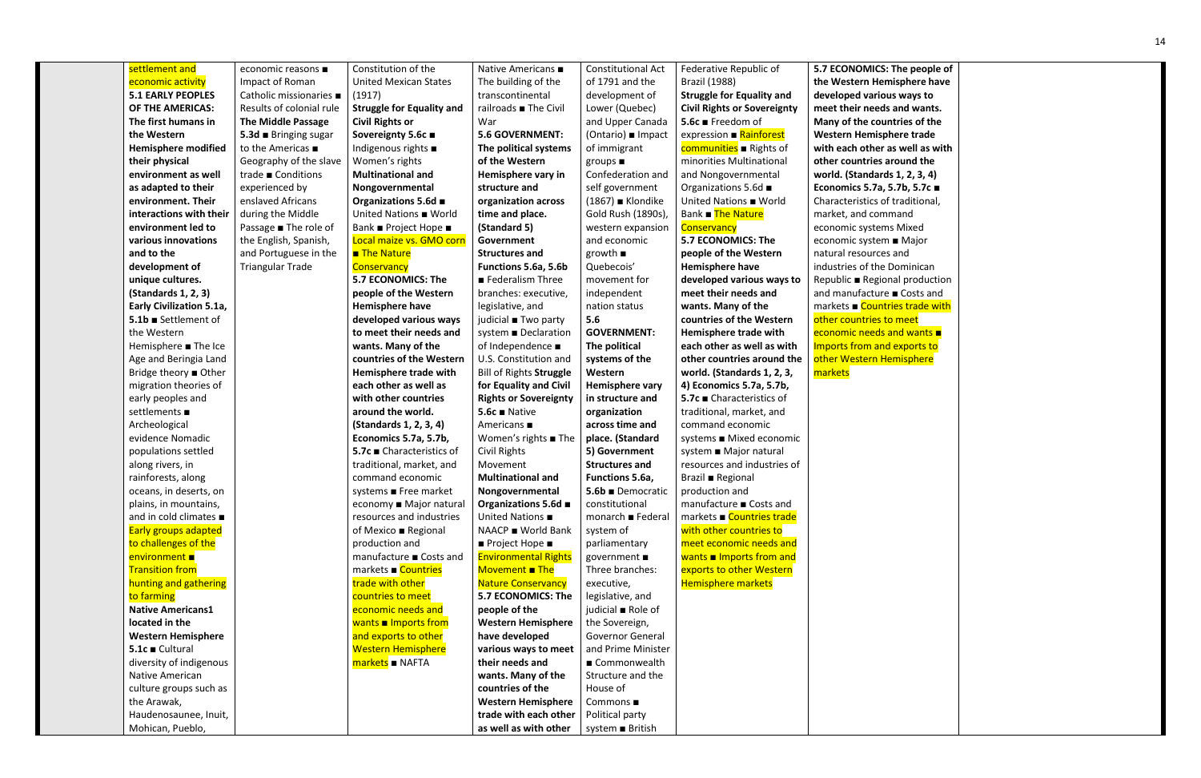| settlement and                      | economic reasons ■        | Constitution of the               | Native Americans ■                         | <b>Constitutional Act</b> | Federative Republic of                | <b>5.7 ECONOMICS:</b>  |
|-------------------------------------|---------------------------|-----------------------------------|--------------------------------------------|---------------------------|---------------------------------------|------------------------|
| economic activity                   | Impact of Roman           | <b>United Mexican States</b>      | The building of the                        | of 1791 and the           | <b>Brazil (1988)</b>                  | the Western Hen        |
| <b>5.1 EARLY PEOPLES</b>            | Catholic missionaries ■   | (1917)                            | transcontinental                           | development of            | <b>Struggle for Equality and</b>      | developed variou       |
| OF THE AMERICAS:                    | Results of colonial rule  | <b>Struggle for Equality and</b>  | railroads ■ The Civil                      | Lower (Quebec)            | <b>Civil Rights or Sovereignty</b>    | meet their needs       |
| The first humans in                 | <b>The Middle Passage</b> | <b>Civil Rights or</b>            | War                                        | and Upper Canada          | 5.6c ■ Freedom of                     | Many of the cour       |
| the Western                         | 5.3d Bringing sugar       | Sovereignty 5.6c ■                | <b>5.6 GOVERNMENT:</b>                     | (Ontario) ∎ Impact        | expression ■ Rainforest               | <b>Western Hemispl</b> |
| <b>Hemisphere modified</b>          | to the Americas ■         | Indigenous rights $\blacksquare$  | The political systems                      | of immigrant              | communities <b>B</b> Rights of        | with each other a      |
| their physical                      | Geography of the slave    | Women's rights                    | of the Western                             | groups $\blacksquare$     | minorities Multinational              | other countries a      |
| environment as well                 | trade ■ Conditions        | <b>Multinational and</b>          | Hemisphere vary in                         | Confederation and         | and Nongovernmental                   | world. (Standard       |
| as adapted to their                 | experienced by            | Nongovernmental                   | structure and                              | self government           | Organizations 5.6d ■                  | Economics 5.7a, !      |
| environment. Their                  | enslaved Africans         | Organizations 5.6d ■              | organization across                        | $(1867)$ Klondike         | United Nations World                  | Characteristics of     |
| interactions with their             | during the Middle         | United Nations ■ World            | time and place.                            | Gold Rush (1890s),        | Bank The Nature                       | market, and com        |
| environment led to                  | Passage ■ The role of     | Bank ■ Project Hope ■             | (Standard 5)                               | western expansion         | Conservancy                           | economic system        |
| various innovations                 | the English, Spanish,     | Local maize vs. GMO corn          | Government                                 | and economic              | 5.7 ECONOMICS: The                    | economic system        |
| and to the                          | and Portuguese in the     | <b>The Nature</b>                 | <b>Structures and</b>                      | $growth \equiv$           | people of the Western                 | natural resources      |
| development of                      | <b>Triangular Trade</b>   | Conservancy                       | Functions 5.6a, 5.6b                       | Quebecois'                | Hemisphere have                       | industries of the I    |
| unique cultures.                    |                           | 5.7 ECONOMICS: The                | Federalism Three                           | movement for              | developed various ways to             | Republic ■ Regior      |
| (Standards 1, 2, 3)                 |                           | people of the Western             | branches: executive,                       | independent               | meet their needs and                  | and manufacture        |
| <b>Early Civilization 5.1a,</b>     |                           | Hemisphere have                   | legislative, and                           | nation status             | wants. Many of the                    | markets ■ Countr       |
| 5.1b Settlement of                  |                           | developed various ways            | judicial ■ Two party                       | 5.6                       | countries of the Western              | other countries to     |
| the Western                         |                           | to meet their needs and           | system ■ Declaration                       | <b>GOVERNMENT:</b>        | Hemisphere trade with                 | economic needs         |
| Hemisphere ■ The Ice                |                           | wants. Many of the                | of Independence ■                          | The political             | each other as well as with            | Imports from and       |
| Age and Beringia Land               |                           | countries of the Western          | U.S. Constitution and                      | systems of the            | other countries around the            | other Western He       |
| Bridge theory ■ Other               |                           | Hemisphere trade with             | Bill of Rights Struggle                    | Western                   | world. (Standards 1, 2, 3,            | markets                |
| migration theories of               |                           | each other as well as             | for Equality and Civil                     | Hemisphere vary           | 4) Economics 5.7a, 5.7b,              |                        |
| early peoples and                   |                           | with other countries              | <b>Rights or Sovereignty</b>               | in structure and          | 5.7c ■ Characteristics of             |                        |
| settlements ■                       |                           | around the world.                 | $5.6c$ $\blacksquare$ Native               | organization              | traditional, market, and              |                        |
| Archeological                       |                           | (Standards 1, 2, 3, 4)            | Americans ■                                | across time and           | command economic                      |                        |
| evidence Nomadic                    |                           | Economics 5.7a, 5.7b,             | Women's rights ■ The                       | place. (Standard          | systems ■ Mixed economic              |                        |
| populations settled                 |                           | 5.7c ■ Characteristics of         | <b>Civil Rights</b>                        | 5) Government             | system ■ Major natural                |                        |
| along rivers, in                    |                           | traditional, market, and          | Movement                                   | <b>Structures and</b>     | resources and industries of           |                        |
| rainforests, along                  |                           | command economic                  | <b>Multinational and</b>                   | Functions 5.6a,           | <b>Brazil</b> ■ Regional              |                        |
| oceans, in deserts, on              |                           | systems ■ Free market             | Nongovernmental                            | 5.6b Democratic           | production and                        |                        |
| plains, in mountains,               |                           | economy ■ Major natural           | Organizations 5.6d ■                       | constitutional            | manufacture ■ Costs and               |                        |
| and in cold climates $\blacksquare$ |                           | resources and industries          | United Nations ■                           | monarch ■ Federal         | markets ■ Countries trade             |                        |
| <b>Early groups adapted</b>         |                           | of Mexico ■ Regional              | NAACP ■ World Bank                         | system of                 | with other countries to               |                        |
| to challenges of the                |                           | production and                    | $\blacksquare$ Project Hope $\blacksquare$ | parliamentary             | meet economic needs and               |                        |
| environment ■                       |                           | manufacture ■ Costs and           | <b>Environmental Rights</b>                | government ■              | wants $\blacksquare$ Imports from and |                        |
| <b>Transition from</b>              |                           | markets ■ Countries               | Movement The                               | Three branches:           | exports to other Western              |                        |
| hunting and gathering               |                           | trade with other                  | <b>Nature Conservancy</b>                  | executive,                | <b>Hemisphere markets</b>             |                        |
| to farming                          |                           | countries to meet                 | 5.7 ECONOMICS: The                         | legislative, and          |                                       |                        |
| <b>Native Americans1</b>            |                           | economic needs and                | people of the                              | judicial ■ Role of        |                                       |                        |
| located in the                      |                           | wants $\blacksquare$ Imports from | <b>Western Hemisphere</b>                  | the Sovereign,            |                                       |                        |
| <b>Western Hemisphere</b>           |                           | and exports to other              | have developed                             | <b>Governor General</b>   |                                       |                        |
| 5.1c Cultural                       |                           | <b>Western Hemisphere</b>         | various ways to meet                       | and Prime Minister        |                                       |                        |
| diversity of indigenous             |                           | markets NAFTA                     | their needs and                            | ■ Commonwealth            |                                       |                        |
| Native American                     |                           |                                   | wants. Many of the                         | Structure and the         |                                       |                        |
| culture groups such as              |                           |                                   | countries of the                           | House of                  |                                       |                        |
| the Arawak,                         |                           |                                   | <b>Western Hemisphere</b>                  | Commons ■                 |                                       |                        |
| Haudenosaunee, Inuit,               |                           |                                   | trade with each other                      | Political party           |                                       |                        |
| Mohican, Pueblo,                    |                           |                                   | as well as with other                      | system ■ British          |                                       |                        |

**5.7 The people of** misphere have **us ways to s** and wants. **Intries of the where trade with each other as well as with**  around the **world. (Standards 1, 2, 3, 4) Economics 5.7a, 5.7b, 5.7c** ■ f traditional, nmand ns Mixed n ■ Major s and Dominican nal production e ■ Costs and tries trade with <mark>to meet</mark> and wants ■ <mark>d exports to</mark> lemisphere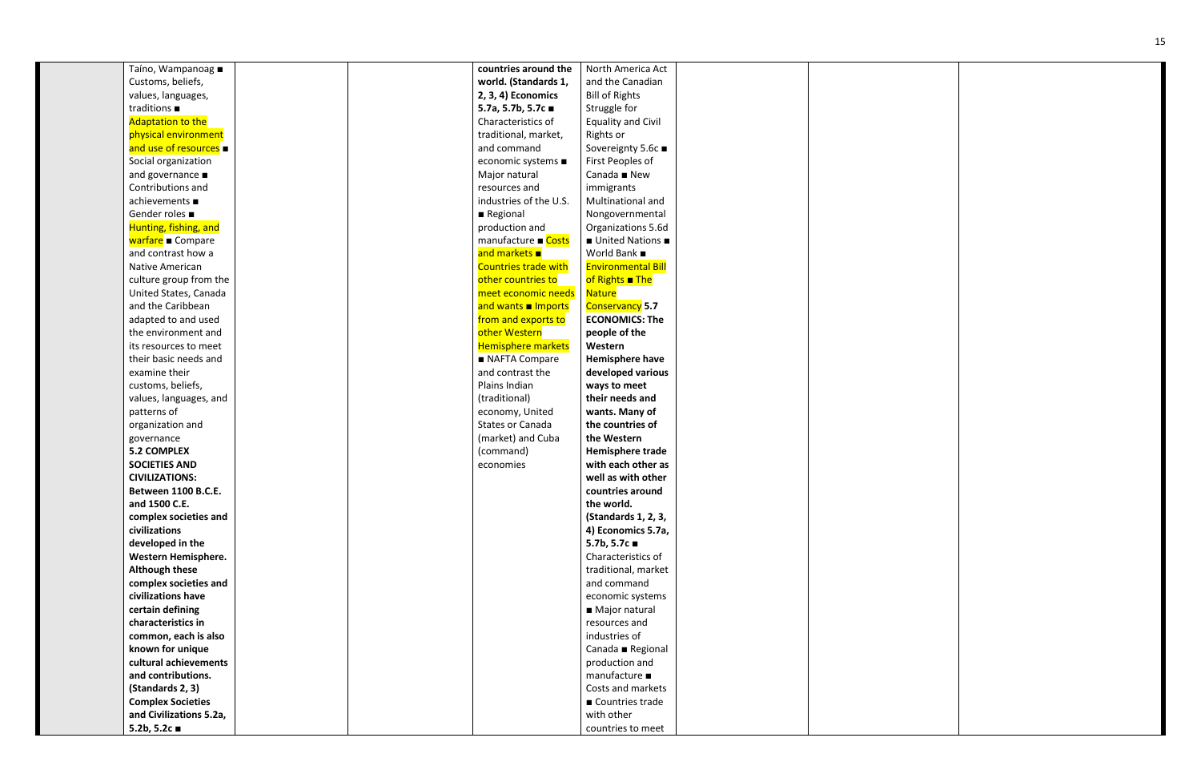| Taíno, Wampanoag ■            | countries around the        | North America Act         |  |
|-------------------------------|-----------------------------|---------------------------|--|
| Customs, beliefs,             | world. (Standards 1,        | and the Canadian          |  |
| values, languages,            | 2, 3, 4) Economics          | <b>Bill of Rights</b>     |  |
| traditions $\blacksquare$     | 5.7a, 5.7b, 5.7c ■          | Struggle for              |  |
| <b>Adaptation to the</b>      | Characteristics of          | <b>Equality and Civil</b> |  |
| physical environment          | traditional, market,        | Rights or                 |  |
| and use of resources          | and command                 | Sovereignty 5.6c ■        |  |
| Social organization           | economic systems ■          | First Peoples of          |  |
| and governance $\blacksquare$ | Major natural               | Canada ■ New              |  |
| Contributions and             | resources and               | immigrants                |  |
| achievements ■                | industries of the U.S.      | Multinational and         |  |
| Gender roles ■                | Regional                    | Nongovernmental           |  |
| Hunting, fishing, and         | production and              | Organizations 5.6d        |  |
| warfare Compare               | manufacture ■ Costs         | ■ United Nations ■        |  |
| and contrast how a            | and markets <b>a</b>        | World Bank ■              |  |
| Native American               | <b>Countries trade with</b> | <b>Environmental Bill</b> |  |
| culture group from the        | other countries to          | of Rights The             |  |
| United States, Canada         | meet economic needs         | <b>Nature</b>             |  |
| and the Caribbean             | and wants Imports           | <b>Conservancy 5.7</b>    |  |
| adapted to and used           | from and exports to         | <b>ECONOMICS: The</b>     |  |
| the environment and           | other Western               | people of the             |  |
| its resources to meet         | <b>Hemisphere markets</b>   | Western                   |  |
| their basic needs and         | NAFTA Compare               | Hemisphere have           |  |
| examine their                 | and contrast the            | developed various         |  |
| customs, beliefs,             | Plains Indian               | ways to meet              |  |
| values, languages, and        | (traditional)               | their needs and           |  |
| patterns of                   | economy, United             | wants. Many of            |  |
| organization and              | States or Canada            | the countries of          |  |
| governance                    | (market) and Cuba           | the Western               |  |
| <b>5.2 COMPLEX</b>            | (command)                   | Hemisphere trade          |  |
| <b>SOCIETIES AND</b>          | economies                   | with each other as        |  |
| <b>CIVILIZATIONS:</b>         |                             | well as with other        |  |
| Between 1100 B.C.E.           |                             | countries around          |  |
| and 1500 C.E.                 |                             | the world.                |  |
| complex societies and         |                             | (Standards 1, 2, 3,       |  |
| civilizations                 |                             | 4) Economics 5.7a,        |  |
| developed in the              |                             | 5.7b, 5.7c $\blacksquare$ |  |
| Western Hemisphere.           |                             | Characteristics of        |  |
| <b>Although these</b>         |                             | traditional, market       |  |
| complex societies and         |                             | and command               |  |
| civilizations have            |                             | economic systems          |  |
| certain defining              |                             | ■ Major natural           |  |
| characteristics in            |                             | resources and             |  |
| common, each is also          |                             | industries of             |  |
| known for unique              |                             | Canada ■ Regional         |  |
| cultural achievements         |                             | production and            |  |
| and contributions.            |                             | manufacture ■             |  |
| (Standards 2, 3)              |                             | Costs and markets         |  |
| <b>Complex Societies</b>      |                             | ■ Countries trade         |  |
| and Civilizations 5.2a,       |                             | with other                |  |
| 5.2b, 5.2c $\blacksquare$     |                             | countries to meet         |  |

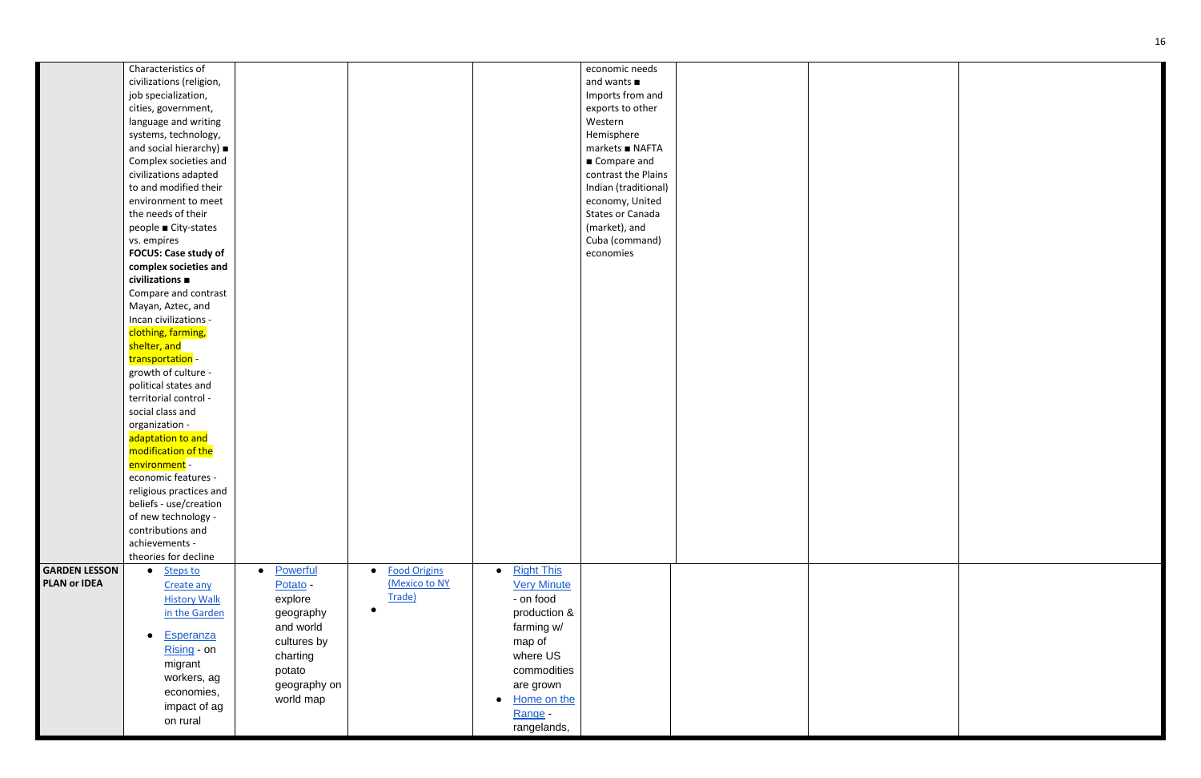|                                             | Characteristics of<br>civilizations (religion,<br>job specialization,<br>cities, government,<br>language and writing                    |                                                                        |                                                |                                                                                                 | economic needs<br>and wants<br>Imports from and<br>exports to other<br>Western                 |  |
|---------------------------------------------|-----------------------------------------------------------------------------------------------------------------------------------------|------------------------------------------------------------------------|------------------------------------------------|-------------------------------------------------------------------------------------------------|------------------------------------------------------------------------------------------------|--|
|                                             | systems, technology,<br>and social hierarchy) =<br>Complex societies and<br>civilizations adapted                                       |                                                                        |                                                |                                                                                                 | Hemisphere<br>markets ■ NAFTA<br>■ Compare and<br>contrast the Plains                          |  |
|                                             | to and modified their<br>environment to meet<br>the needs of their<br>people ■ City-states<br>vs. empires                               |                                                                        |                                                |                                                                                                 | Indian (traditional)<br>economy, United<br>States or Canada<br>(market), and<br>Cuba (command) |  |
|                                             | <b>FOCUS: Case study of</b><br>complex societies and<br>civilizations ■<br>Compare and contrast<br>Mayan, Aztec, and                    |                                                                        |                                                |                                                                                                 | economies                                                                                      |  |
|                                             | Incan civilizations -<br>clothing, farming,<br>shelter, and<br>transportation -                                                         |                                                                        |                                                |                                                                                                 |                                                                                                |  |
|                                             | growth of culture -<br>political states and<br>territorial control -<br>social class and<br>organization -                              |                                                                        |                                                |                                                                                                 |                                                                                                |  |
|                                             | adaptation to and<br>modification of the<br>environment -<br>economic features -                                                        |                                                                        |                                                |                                                                                                 |                                                                                                |  |
|                                             | religious practices and<br>beliefs - use/creation<br>of new technology -<br>contributions and<br>achievements -<br>theories for decline |                                                                        |                                                |                                                                                                 |                                                                                                |  |
| <b>GARDEN LESSON</b><br><b>PLAN or IDEA</b> | Steps to<br>$\bullet$<br>Create any<br><b>History Walk</b><br>in the Garden                                                             | Powerful<br>$\bullet$<br>Potato -<br>explore<br>geography<br>and world | <b>Food Origins</b><br>(Mexico to NY<br>Trade) | <b>Right This</b><br>$\bullet$<br><b>Very Minute</b><br>- on food<br>production &<br>farming w/ |                                                                                                |  |
|                                             | <b>Esperanza</b><br>$\bullet$<br>Rising - on<br>migrant<br>workers, ag<br>economies,                                                    | cultures by<br>charting<br>potato<br>geography on<br>world map         |                                                | map of<br>where US<br>commodities<br>are grown<br>Home on the                                   |                                                                                                |  |
|                                             | impact of ag<br>on rural                                                                                                                |                                                                        |                                                | Range -<br>rangelands,                                                                          |                                                                                                |  |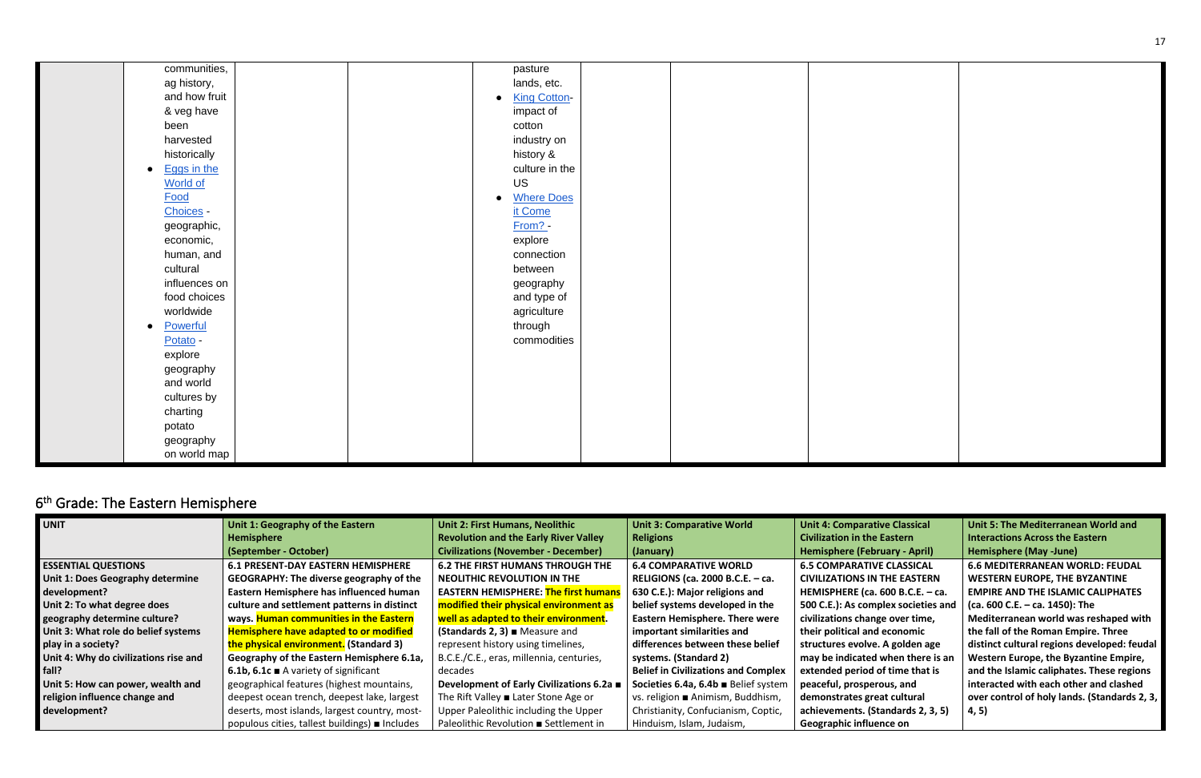17

| communities,             | pasture                        |  |
|--------------------------|--------------------------------|--|
| ag history,              | lands, etc.                    |  |
| and how fruit            | <b>King Cotton-</b>            |  |
| & veg have               | impact of                      |  |
| been                     | cotton                         |  |
| harvested                | industry on                    |  |
| historically             | history &                      |  |
| Eggs in the<br>$\bullet$ | culture in the                 |  |
| <b>World of</b>          | <b>US</b>                      |  |
| Food                     | <b>Where Does</b><br>$\bullet$ |  |
| Choices -                | it Come                        |  |
| geographic,              | From? -                        |  |
| economic,                | explore                        |  |
| human, and               | connection                     |  |
| cultural                 | between                        |  |
| influences on            | geography                      |  |
| food choices             | and type of                    |  |
| worldwide                | agriculture                    |  |
| Powerful<br>$\bullet$    | through                        |  |
| Potato -                 | commodities                    |  |
| explore                  |                                |  |
| geography                |                                |  |
| and world                |                                |  |
| cultures by              |                                |  |
| charting                 |                                |  |
| potato                   |                                |  |
| geography                |                                |  |
| on world map             |                                |  |
|                          |                                |  |

# <span id="page-16-0"></span>6<sup>th</sup> Grade: The Eastern Hemisphere

| <b>UNIT</b>                           | Unit 1: Geography of the Eastern                   | <b>Unit 2: First Humans, Neolithic</b>            | <b>Unit 3: Comparative World</b>           | <b>Unit 4: Comparative Classical</b> | Unit 5: The Mediterranean World and          |
|---------------------------------------|----------------------------------------------------|---------------------------------------------------|--------------------------------------------|--------------------------------------|----------------------------------------------|
|                                       | Hemisphere                                         | <b>Revolution and the Early River Valley</b>      | <b>Religions</b>                           | <b>Civilization in the Eastern</b>   | <b>Interactions Across the Eastern</b>       |
|                                       | (September - October)                              | <b>Civilizations (November - December)</b>        | (January)                                  | <b>Hemisphere (February - April)</b> | Hemisphere (May -June)                       |
| <b>ESSENTIAL QUESTIONS</b>            | <b>6.1 PRESENT-DAY EASTERN HEMISPHERE</b>          | <b>6.2 THE FIRST HUMANS THROUGH THE</b>           | <b>6.4 COMPARATIVE WORLD</b>               | <b>6.5 COMPARATIVE CLASSICAL</b>     | <b>6.6 MEDITERRANEAN WORLD: FEUDAL</b>       |
| Unit 1: Does Geography determine      | <b>GEOGRAPHY: The diverse geography of the</b>     | <b>NEOLITHIC REVOLUTION IN THE</b>                | RELIGIONS (ca. 2000 B.C.E. - ca.           | <b>CIVILIZATIONS IN THE EASTERN</b>  | <b>WESTERN EUROPE, THE BYZANTINE</b>         |
| development?                          | Eastern Hemisphere has influenced human            | <b>EASTERN HEMISPHERE:</b> The first humans       | 630 C.E.): Major religions and             | HEMISPHERE (ca. 600 B.C.E. $-$ ca.   | <b>EMPIRE AND THE ISLAMIC CALIPHATES</b>     |
| Unit 2: To what degree does           | culture and settlement patterns in distinct        | modified their physical environment as            | belief systems developed in the            | 500 C.E.): As complex societies and  | (ca. 600 C.E. – ca. 1450): The               |
| geography determine culture?          | ways. Human communities in the Eastern             | well as adapted to their environment.             | <b>Eastern Hemisphere. There were</b>      | civilizations change over time,      | Mediterranean world was reshaped with        |
| Unit 3: What role do belief systems   | <b>Hemisphere have adapted to or modified</b>      | (Standards 2, 3) $\blacksquare$ Measure and       | important similarities and                 | their political and economic         | the fall of the Roman Empire. Three          |
| play in a society?                    | the physical environment. (Standard 3)             | represent history using timelines,                | differences between these belief           | structures evolve. A golden age      | distinct cultural regions developed: feudal  |
| Unit 4: Why do civilizations rise and | Geography of the Eastern Hemisphere 6.1a,          | B.C.E./C.E., eras, millennia, centuries,          | systems. (Standard 2)                      | may be indicated when there is an    | Western Europe, the Byzantine Empire,        |
| l fall?                               | 6.1b, 6.1c $\blacksquare$ A variety of significant | decades                                           | <b>Belief in Civilizations and Complex</b> | extended period of time that is      | and the Islamic caliphates. These regions    |
| Unit 5: How can power, wealth and     | geographical features (highest mountains,          | Development of Early Civilizations 6.2a ■         | Societies 6.4a, 6.4b ■ Belief system       | peaceful, prosperous, and            | interacted with each other and clashed       |
| religion influence change and         | deepest ocean trench, deepest lake, largest        | The Rift Valley $\blacksquare$ Later Stone Age or | vs. religion ■ Animism, Buddhism,          | demonstrates great cultural          | over control of holy lands. (Standards 2, 3, |
| development?                          | deserts, most islands, largest country, most-      | Upper Paleolithic including the Upper             | Christianity, Confucianism, Coptic,        | achievements. (Standards 2, 3, 5)    | 4, 5)                                        |
|                                       | populous cities, tallest buildings) uncludes       | Paleolithic Revolution ■ Settlement in            | Hinduism, Islam, Judaism,                  | Geographic influence on              |                                              |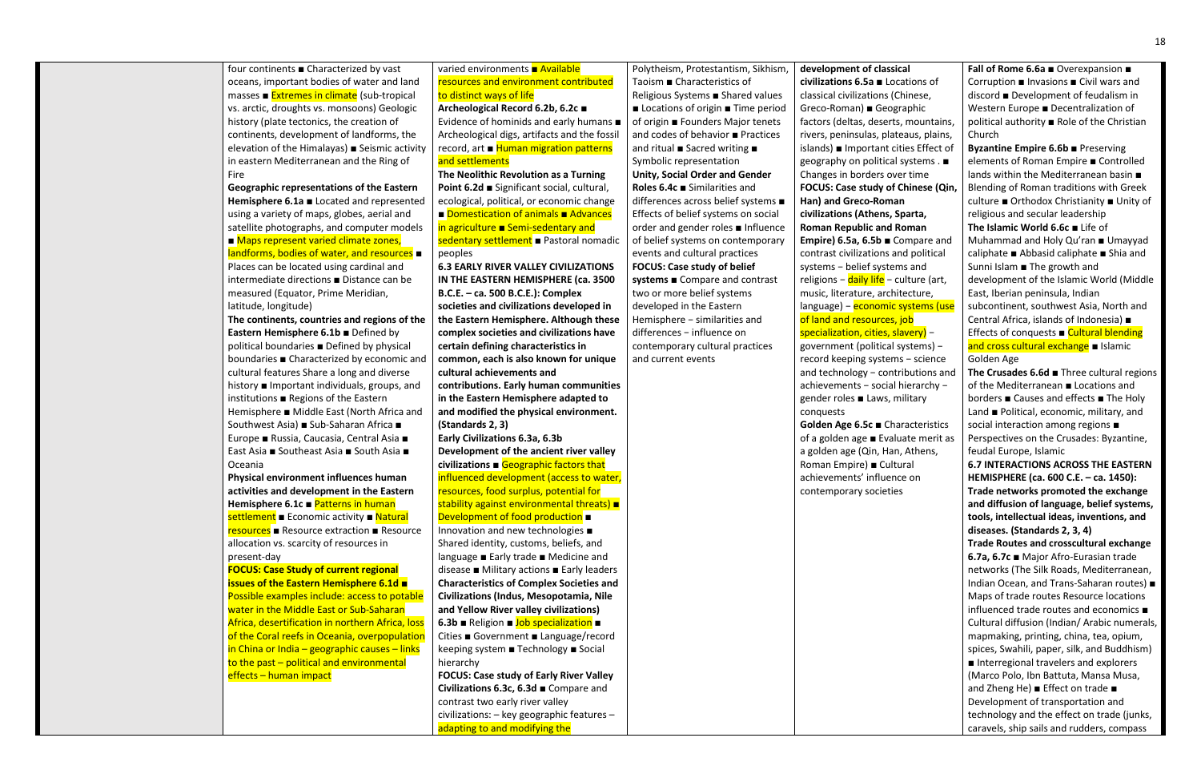| four continents ■ Characterized by vast                                                     | varied environments <b>■ Available</b>                                         | Polytheism, Protestantism, Sikhism,           |
|---------------------------------------------------------------------------------------------|--------------------------------------------------------------------------------|-----------------------------------------------|
| oceans, important bodies of water and land                                                  | resources and environment contributed                                          | Taoism ■ Characteristics of                   |
| masses ■ Extremes in climate (sub-tropical                                                  | to distinct ways of life                                                       | Religious Systems Bhared values               |
| vs. arctic, droughts vs. monsoons) Geologic                                                 | Archeological Record 6.2b, 6.2c ■                                              | Locations of origin Time period               |
| history (plate tectonics, the creation of                                                   | Evidence of hominids and early humans $\blacksquare$                           | of origin ■ Founders Major tenets             |
| continents, development of landforms, the                                                   | Archeological digs, artifacts and the fossil                                   | and codes of behavior <b>Pactices</b>         |
| elevation of the Himalayas) ■ Seismic activity                                              | record, art ■ Human migration patterns                                         | and ritual ■ Sacred writing ■                 |
| in eastern Mediterranean and the Ring of                                                    | and settlements                                                                | Symbolic representation                       |
| Fire                                                                                        | The Neolithic Revolution as a Turning                                          | <b>Unity, Social Order and Gender</b>         |
| Geographic representations of the Eastern                                                   | Point 6.2d ■ Significant social, cultural,                                     | Roles 6.4 $c$ $\blacksquare$ Similarities and |
| Hemisphere 6.1a Located and represented                                                     | ecological, political, or economic change                                      | differences across belief systems ■           |
| using a variety of maps, globes, aerial and                                                 | Domestication of animals Advances                                              | Effects of belief systems on social           |
| satellite photographs, and computer models                                                  | in agriculture Bemi-sedentary and                                              | order and gender roles <b>Influence</b>       |
| ■ Maps represent varied climate zones,                                                      | sedentary settlement Pastoral nomadic                                          | of belief systems on contemporary             |
| landforms, bodies of water, and resources $\blacksquare$                                    | peoples                                                                        | events and cultural practices                 |
| Places can be located using cardinal and                                                    | <b>6.3 EARLY RIVER VALLEY CIVILIZATIONS</b>                                    | <b>FOCUS: Case study of belief</b>            |
| intermediate directions <b>Distance can be</b>                                              | IN THE EASTERN HEMISPHERE (ca. 3500                                            | systems ■ Compare and contrast                |
| measured (Equator, Prime Meridian,                                                          | B.C.E. - ca. 500 B.C.E.): Complex                                              | two or more belief systems                    |
| latitude, longitude)                                                                        | societies and civilizations developed in                                       | developed in the Eastern                      |
| The continents, countries and regions of the                                                | the Eastern Hemisphere. Although these                                         | Hemisphere - similarities and                 |
| Eastern Hemisphere 6.1b Defined by                                                          | complex societies and civilizations have                                       | differences - influence on                    |
| political boundaries <b>Defined by physical</b>                                             | certain defining characteristics in                                            | contemporary cultural practices               |
| boundaries Characterized by economic and                                                    | common, each is also known for unique                                          | and current events                            |
| cultural features Share a long and diverse                                                  | cultural achievements and                                                      |                                               |
| history <b>I</b> Important individuals, groups, and                                         | contributions. Early human communities                                         |                                               |
|                                                                                             | in the Eastern Hemisphere adapted to                                           |                                               |
| institutions ■ Regions of the Eastern<br>Hemisphere ■ Middle East (North Africa and         | and modified the physical environment.                                         |                                               |
| Southwest Asia) ■ Sub-Saharan Africa ■                                                      | (Standards 2, 3)                                                               |                                               |
| Europe ■ Russia, Caucasia, Central Asia ■                                                   | Early Civilizations 6.3a, 6.3b                                                 |                                               |
| East Asia ■ Southeast Asia ■ South Asia ■                                                   | Development of the ancient river valley                                        |                                               |
| Oceania                                                                                     | civilizations $\blacksquare$ Geographic factors that                           |                                               |
|                                                                                             | influenced development (access to water,                                       |                                               |
| Physical environment influences human                                                       |                                                                                |                                               |
| activities and development in the Eastern                                                   | resources, food surplus, potential for                                         |                                               |
| Hemisphere 6.1c $\blacksquare$ Patterns in human                                            | stability against environmental threats) =<br>Development of food production ■ |                                               |
| settlement Economic activity Bolatural<br><b>resources</b> ■ Resource extraction ■ Resource | Innovation and new technologies                                                |                                               |
|                                                                                             | Shared identity, customs, beliefs, and                                         |                                               |
| allocation vs. scarcity of resources in                                                     | language ■ Early trade ■ Medicine and                                          |                                               |
| present-day<br><b>FOCUS: Case Study of current regional</b>                                 | disease ■ Military actions ■ Early leaders                                     |                                               |
| <b>issues of the Eastern Hemisphere 6.1d =</b>                                              | <b>Characteristics of Complex Societies and</b>                                |                                               |
| Possible examples include: access to potable                                                | Civilizations (Indus, Mesopotamia, Nile                                        |                                               |
| water in the Middle East or Sub-Saharan                                                     | and Yellow River valley civilizations)                                         |                                               |
| Africa, desertification in northern Africa, loss                                            |                                                                                |                                               |
|                                                                                             | 6.3b ■ Religion ■ Job specialization ■                                         |                                               |
| of the Coral reefs in Oceania, overpopulation                                               | Cities ■ Government ■ Language/record                                          |                                               |
| in China or India - geographic causes - links                                               | keeping system ■ Technology ■ Social                                           |                                               |
| to the past - political and environmental                                                   | hierarchy                                                                      |                                               |
| effects - human impact                                                                      | <b>FOCUS: Case study of Early River Valley</b>                                 |                                               |
|                                                                                             | Civilizations 6.3c, 6.3d Compare and                                           |                                               |
|                                                                                             | contrast two early river valley                                                |                                               |
|                                                                                             | civilizations: - key geographic features -                                     |                                               |

adapting to and modifying the

**Fall of Rome 6.6a** ■ Overexpansion ■ Corruption ■ Invasions ■ Civil wars and discord ■ Development of feudalism in Western Europe ■ Decentralization of political authority ■ Role of the Christian **Church** 

**Byzantine Empire 6.6b** ■ Preserving elements of Roman Empire ■ Controlled lands within the Mediterranean basin ■ Blending of Roman traditions with Greek culture ■ Orthodox Christianity ■ Unity of religious and secular leadership **The Islamic World 6.6c** ■ Life of Muhammad and Holy Qu'ran ■ Umayyad caliphate ■ Abbasid caliphate ■ Shia and Sunni Islam ■ The growth and development of the Islamic World (Middle East, Iberian peninsula, Indian subcontinent, southwest Asia, North and Central Africa, islands of Indonesia) ■ Effects of conquests  $\blacksquare$  Cultural blending and cross cultural exchange ■ Islamic Golden Age

#### **development of classical**

**civilizations 6.5a** ■ Locations of classical civilizations (Chinese, Greco-Roman) ■ Geographic factors (deltas, deserts, mountains, rivers, peninsulas, plateaus, plains, islands) ■ Important cities Effect of geography on political systems . ■ Changes in borders over time **FOCUS: Case study of Chinese (Qin, Han) and Greco-Roman civilizations (Athens, Sparta, Roman Republic and Roman Empire) 6.5a, 6.5b** ■ Compare and contrast civilizations and political systems − belief systems and religions − daily life − culture (art, music, literature, architecture, language) − economic systems (use of land and resources, job specialization, cities, slavery) − government (political systems) − record keeping systems − science and technology − contributions and achievements − social hierarchy − gender roles ■ Laws, military conquests

**Golden Age 6.5c** ■ Characteristics of a golden age ■ Evaluate merit as a golden age (Qin, Han, Athens, Roman Empire) ■ Cultural achievements' influence on contemporary societies

**The Crusades 6.6d** ■ Three cultural regions of the Mediterranean ■ Locations and borders ■ Causes and effects ■ The Holy Land ■ Political, economic, military, and social interaction among regions ■ Perspectives on the Crusades: Byzantine, feudal Europe, Islamic

**6.7 INTERACTIONS ACROSS THE EASTERN HEMISPHERE (ca. 600 C.E. – ca. 1450): Trade networks promoted the exchange and diffusion of language, belief systems, tools, intellectual ideas, inventions, and diseases. (Standards 2, 3, 4)** 

**Trade Routes and crosscultural exchange 6.7a, 6.7c** ■ Major Afro-Eurasian trade networks (The Silk Roads, Mediterranean, Indian Ocean, and Trans-Saharan routes) ■ Maps of trade routes Resource locations influenced trade routes and economics ■ Cultural diffusion (Indian/ Arabic numerals, mapmaking, printing, china, tea, opium, spices, Swahili, paper, silk, and Buddhism) ■ Interregional travelers and explorers (Marco Polo, Ibn Battuta, Mansa Musa, and Zheng He) ■ Effect on trade ■ Development of transportation and technology and the effect on trade (junks, caravels, ship sails and rudders, compass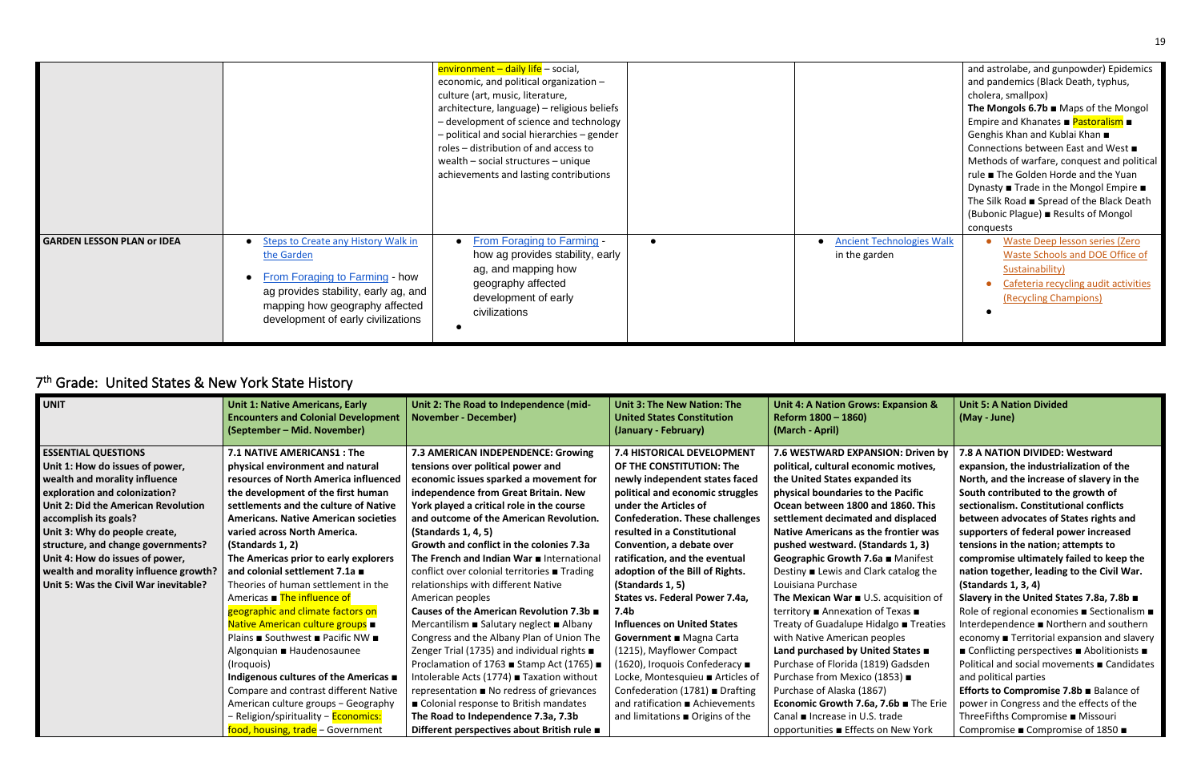|                                   |                                                                                                                                                                                                            | environment - daily life - social,<br>economic, and political organization -<br>culture (art, music, literature,<br>architecture, language) - religious beliefs<br>- development of science and technology<br>- political and social hierarchies - gender<br>roles – distribution of and access to<br>wealth - social structures - unique<br>achievements and lasting contributions |                                              | and astrolabe, and gunpowder) Epidemics<br>and pandemics (Black Death, typhus,<br>cholera, smallpox)<br>The Mongols 6.7b $\blacksquare$ Maps of the Mongol<br>Empire and Khanates ■ Pastoralism ■<br>Genghis Khan and Kublai Khan ■<br>Connections between East and West ■<br>Methods of warfare, conquest and political<br>rule ■ The Golden Horde and the Yuan<br>Dynasty ■ Trade in the Mongol Empire ■<br>The Silk Road ■ Spread of the Black Death<br>(Bubonic Plague) Results of Mongol<br>conquests |
|-----------------------------------|------------------------------------------------------------------------------------------------------------------------------------------------------------------------------------------------------------|-------------------------------------------------------------------------------------------------------------------------------------------------------------------------------------------------------------------------------------------------------------------------------------------------------------------------------------------------------------------------------------|----------------------------------------------|------------------------------------------------------------------------------------------------------------------------------------------------------------------------------------------------------------------------------------------------------------------------------------------------------------------------------------------------------------------------------------------------------------------------------------------------------------------------------------------------------------|
| <b>GARDEN LESSON PLAN or IDEA</b> | <b>Steps to Create any History Walk in</b><br>the Garden<br>From Foraging to Farming - how<br>ag provides stability, early ag, and<br>mapping how geography affected<br>development of early civilizations | <b>From Foraging to Farming -</b><br>how ag provides stability, early<br>ag, and mapping how<br>geography affected<br>development of early<br>civilizations                                                                                                                                                                                                                         | • Ancient Technologies Walk<br>in the garden | <b>Waste Deep lesson series (Zero</b><br>Waste Schools and DOE Office of<br>Sustainability)<br>Cafeteria recycling audit activities<br>(Recycling Champions)                                                                                                                                                                                                                                                                                                                                               |

# <span id="page-18-0"></span>7<sup>th</sup> Grade: United States & New York State History

| <b>UNIT</b>                           | <b>Unit 1: Native Americans, Early</b><br><b>Encounters and Colonial Development</b><br>(September – Mid. November) | Unit 2: The Road to Independence (mid-<br><b>November - December)</b> | <b>Unit 3: The New Nation: The</b><br><b>United States Constitution</b><br>(January - February) | <b>Unit 4: A Nation Grows: Expansion &amp;</b><br>Reform 1800 - 1860)<br>(March - April) | <b>Unit 5: A Nation Divided</b><br>(May - June)                                     |
|---------------------------------------|---------------------------------------------------------------------------------------------------------------------|-----------------------------------------------------------------------|-------------------------------------------------------------------------------------------------|------------------------------------------------------------------------------------------|-------------------------------------------------------------------------------------|
| <b>ESSENTIAL QUESTIONS</b>            | 7.1 NATIVE AMERICANS1: The                                                                                          | 7.3 AMERICAN INDEPENDENCE: Growing                                    | 7.4 HISTORICAL DEVELOPMENT                                                                      | 7.6 WESTWARD EXPANSION: Driven by                                                        | 7.8 A NATION DIVIDED: Westward                                                      |
| Unit 1: How do issues of power,       | physical environment and natural                                                                                    | tensions over political power and                                     | OF THE CONSTITUTION: The                                                                        | political, cultural economic motives,                                                    | expansion, the industrialization of the                                             |
| wealth and morality influence         | resources of North America influenced                                                                               | economic issues sparked a movement for                                | newly independent states faced                                                                  | the United States expanded its                                                           | North, and the increase of slavery in the                                           |
| exploration and colonization?         | the development of the first human                                                                                  | independence from Great Britain. New                                  | political and economic struggles                                                                | physical boundaries to the Pacific                                                       | South contributed to the growth of                                                  |
| Unit 2: Did the American Revolution   | settlements and the culture of Native                                                                               | York played a critical role in the course                             | under the Articles of                                                                           | Ocean between 1800 and 1860. This                                                        | sectionalism. Constitutional conflicts                                              |
| accomplish its goals?                 | <b>Americans. Native American societies</b>                                                                         | and outcome of the American Revolution.                               | <b>Confederation. These challenges</b>                                                          | settlement decimated and displaced                                                       | between advocates of States rights and                                              |
| Unit 3: Why do people create,         | varied across North America.                                                                                        | (Standards 1, 4, 5)                                                   | resulted in a Constitutional                                                                    | Native Americans as the frontier was                                                     | supporters of federal power increased                                               |
| structure, and change governments?    | (Standards 1, 2)                                                                                                    | Growth and conflict in the colonies 7.3a                              | Convention, a debate over                                                                       | pushed westward. (Standards 1, 3)                                                        | tensions in the nation; attempts to                                                 |
| Unit 4: How do issues of power,       | The Americas prior to early explorers                                                                               | The French and Indian War International                               | ratification, and the eventual                                                                  | Geographic Growth 7.6a Manifest                                                          | compromise ultimately failed to keep the                                            |
| wealth and morality influence growth? | and colonial settlement 7.1a =                                                                                      | conflict over colonial territories ■ Trading                          | adoption of the Bill of Rights.                                                                 | Destiny ■ Lewis and Clark catalog the                                                    | nation together, leading to the Civil War.                                          |
| Unit 5: Was the Civil War inevitable? | Theories of human settlement in the                                                                                 | relationships with different Native                                   | (Standards 1, 5)                                                                                | Louisiana Purchase                                                                       | (Standards 1, 3, 4)                                                                 |
|                                       | Americas ■ The influence of                                                                                         | American peoples                                                      | States vs. Federal Power 7.4a,                                                                  | The Mexican War U.S. acquisition of                                                      | Slavery in the United States 7.8a, 7.8b ■                                           |
|                                       | geographic and climate factors on                                                                                   | Causes of the American Revolution 7.3b ■                              | 7.4b                                                                                            | territory ■ Annexation of Texas ■                                                        | Role of regional economies <b>B</b> Sectionalism <b>B</b>                           |
|                                       | Native American culture groups ■                                                                                    | Mercantilism ■ Salutary neglect ■ Albany                              | <b>Influences on United States</b>                                                              | Treaty of Guadalupe Hidalgo ■ Treaties                                                   | Interdependence <b>Northern and southern</b>                                        |
|                                       | Plains ■ Southwest ■ Pacific NW ■                                                                                   | Congress and the Albany Plan of Union The                             | Government Magna Carta                                                                          | with Native American peoples                                                             | economy ■ Territorial expansion and slavery                                         |
|                                       | Algonquian ■ Haudenosaunee                                                                                          | Zenger Trial (1735) and individual rights ■                           | (1215), Mayflower Compact                                                                       | Land purchased by United States                                                          | $\blacksquare$ Conflicting perspectives $\blacksquare$ Abolitionists $\blacksquare$ |
|                                       | (Iroquois)                                                                                                          | Proclamation of 1763 ■ Stamp Act (1765) ■                             | (1620), Iroquois Confederacy ■                                                                  | Purchase of Florida (1819) Gadsden                                                       | Political and social movements ■ Candidates                                         |
|                                       | Indigenous cultures of the Americas                                                                                 | Intolerable Acts (1774) Taxation without                              | Locke, Montesquieu ■ Articles of                                                                | Purchase from Mexico (1853) ■                                                            | and political parties                                                               |
|                                       | Compare and contrast different Native                                                                               | representation ■ No redress of grievances                             | Confederation (1781) ■ Drafting                                                                 | Purchase of Alaska (1867)                                                                | <b>Efforts to Compromise 7.8b · Balance of</b>                                      |
|                                       | American culture groups - Geography                                                                                 | Colonial response to British mandates                                 | and ratification ■ Achievements                                                                 | Economic Growth 7.6a, 7.6b ■ The Erie                                                    | power in Congress and the effects of the                                            |
|                                       | - Religion/spirituality - Economics:                                                                                | The Road to Independence 7.3a, 7.3b                                   | and limitations ■ Origins of the                                                                | Canal ■ Increase in U.S. trade                                                           | ThreeFifths Compromise ■ Missouri                                                   |
|                                       | food, housing, trade - Government                                                                                   | Different perspectives about British rule ■                           |                                                                                                 | opportunities ■ Effects on New York                                                      | Compromise ■ Compromise of 1850 ■                                                   |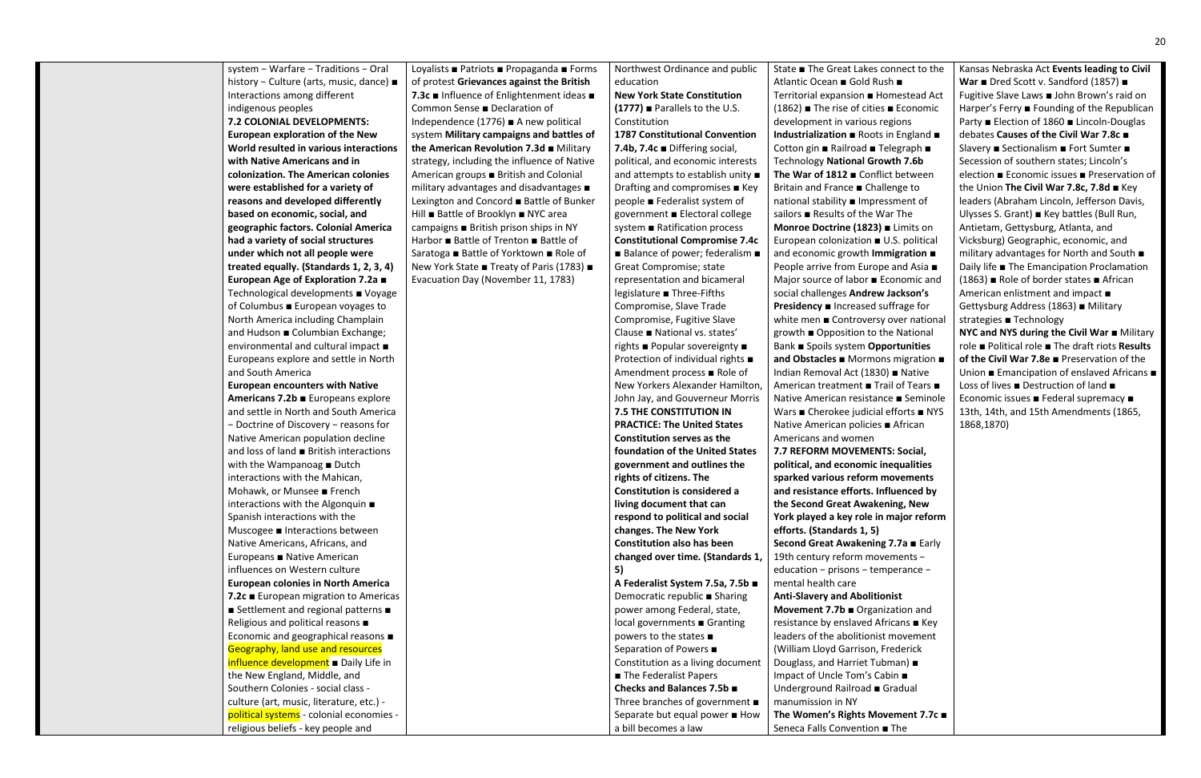| system - Warfare - Traditions - Oral<br>history - Culture (arts, music, dance) ■<br>Interactions among different<br>indigenous peoples<br>7.2 COLONIAL DEVELOPMENTS:                                | Loyalists ■ Patriots ■ Propaganda ■ Forms<br>of protest Grievances against the British<br>7.3c ■ Influence of Enlightenment ideas ■<br>Common Sense ■ Declaration of<br>Independence (1776) $\blacksquare$ A new political         |
|-----------------------------------------------------------------------------------------------------------------------------------------------------------------------------------------------------|------------------------------------------------------------------------------------------------------------------------------------------------------------------------------------------------------------------------------------|
| <b>European exploration of the New</b><br>World resulted in various interactions<br>with Native Americans and in<br>colonization. The American colonies<br>were established for a variety of        | system Military campaigns and battles of<br>the American Revolution 7.3d Military<br>strategy, including the influence of Native<br>American groups ■ British and Colonial<br>military advantages and disadvantages $\blacksquare$ |
| reasons and developed differently<br>based on economic, social, and<br>geographic factors. Colonial America<br>had a variety of social structures<br>under which not all people were                | Lexington and Concord ■ Battle of Bunker<br>Hill ■ Battle of Brooklyn ■ NYC area<br>campaigns ■ British prison ships in NY<br>Harbor ■ Battle of Trenton ■ Battle of<br>Saratoga ■ Battle of Yorktown ■ Role of                    |
| treated equally. (Standards 1, 2, 3, 4)<br>European Age of Exploration 7.2a ■<br>Technological developments ■ Voyage<br>of Columbus ■ European voyages to<br>North America including Champlain      | New York State ■ Treaty of Paris (1783) ■<br>Evacuation Day (November 11, 1783)                                                                                                                                                    |
| and Hudson ■ Columbian Exchange;<br>environmental and cultural impact ■<br>Europeans explore and settle in North<br>and South America<br><b>European encounters with Native</b>                     |                                                                                                                                                                                                                                    |
| Americans 7.2b Europeans explore<br>and settle in North and South America<br>- Doctrine of Discovery - reasons for<br>Native American population decline<br>and loss of land ■ British interactions |                                                                                                                                                                                                                                    |
| with the Wampanoag ■ Dutch<br>interactions with the Mahican,<br>Mohawk, or Munsee French<br>interactions with the Algonquin $\blacksquare$<br>Spanish interactions with the                         |                                                                                                                                                                                                                                    |
| Muscogee ■ Interactions between<br>Native Americans, Africans, and<br>Europeans ■ Native American<br>influences on Western culture<br><b>European colonies in North America</b>                     |                                                                                                                                                                                                                                    |
| 7.2c European migration to Americas<br>■ Settlement and regional patterns ■<br>Religious and political reasons ■<br>Economic and geographical reasons ■<br>Geography, land use and resources        |                                                                                                                                                                                                                                    |
| influence development Daily Life in<br>the New England, Middle, and<br>Southern Colonies - social class -<br>culture (art, music, literature, etc.) -<br>political systems - colonial economies -   |                                                                                                                                                                                                                                    |
| religious beliefs - key people and                                                                                                                                                                  |                                                                                                                                                                                                                                    |

Northwest Ordinance and public education

#### **New York State Constitution (1777)** ■ Parallels to the U.S. Constitution

**1787 Constitutional Convention 7.4b, 7.4c** ■ Differing social, political, and economic interests and attempts to establish unity ■ Drafting and compromises ■ Key people ■ Federalist system of government ■ Electoral college system ■ Ratification process **Constitutional Compromise 7.4c** ■ Balance of power; federalism ■ Great Compromise; state representation and bicameral legislature ■ Three-Fifths Compromise, Slave Trade Compromise, Fugitive Slave Clause ■ National vs. states' rights ■ Popular sovereignty ■ Protection of individual rights ■ Amendment process ■ Role of New Yorkers Alexander Hamilton, John Jay, and Gouverneur Morris **7.5 THE CONSTITUTION IN PRACTICE: The United States Constitution serves as the foundation of the United States government and outlines the rights of citizens. The Constitution is considered a living document that can respond to political and social changes. The New York Constitution also has been changed over time. (Standards 1, 5) A Federalist System 7.5a, 7.5b** ■

Democratic republic ■ Sharing power among Federal, state, local governments ■ Granting powers to the states ■ Separation of Powers ■ Constitution as a living document ■ The Federalist Papers **Checks and Balances 7.5b** ■ Three branches of government ■ Separate but equal power ■ How a bill becomes a law

State ■ The Great Lakes connect to the Atlantic Ocean ■ Gold Rush ■ Territorial expansion ■ Homestead Act (1862) ■ The rise of cities ■ Economic development in various regions **Industrialization** ■ Roots in England ■ Cotton gin ■ Railroad ■ Telegraph ■ Technology **National Growth 7.6b The War of 1812** ■ Conflict between Britain and France ■ Challenge to national stability ■ Impressment of sailors ■ Results of the War The **Monroe Doctrine (1823)** ■ Limits on European colonization ■ U.S. political and economic growth **Immigration** ■ People arrive from Europe and Asia ■ Major source of labor ■ Economic and social challenges **Andrew Jackson's Presidency** ■ Increased suffrage for white men ■ Controversy over national growth ■ Opposition to the National Bank ■ Spoils system **Opportunities and Obstacles** ■ Mormons migration ■ Indian Removal Act (1830) ■ Native American treatment ■ Trail of Tears ■ Native American resistance ■ Seminole Wars ■ Cherokee judicial efforts ■ NYS Native American policies ■ African Americans and women **7.7 REFORM MOVEMENTS: Social, political, and economic inequalities sparked various reform movements and resistance efforts. Influenced by the Second Great Awakening, New York played a key role in major reform efforts. (Standards 1, 5) Second Great Awakening 7.7a** ■ Early 19th century reform movements − education − prisons − temperance − mental health care **Anti-Slavery and Abolitionist Movement 7.7b** ■ Organization and resistance by enslaved Africans ■ Key leaders of the abolitionist movement

(William Lloyd Garrison, Frederick Douglass, and Harriet Tubman) ■ Impact of Uncle Tom's Cabin ■ Underground Railroad ■ Gradual

manumission in NY

**The Women's Rights Movement 7.7c** ■ Seneca Falls Convention ■ The

Kansas Nebraska Act **Events leading to Civil War** ■ Dred Scott v. Sandford (1857) ■ Fugitive Slave Laws ■ John Brown's raid on Harper's Ferry ■ Founding of the Republican Party ■ Election of 1860 ■ Lincoln-Douglas debates **Causes of the Civil War 7.8c** ■ Slavery ■ Sectionalism ■ Fort Sumter ■ Secession of southern states; Lincoln's election ■ Economic issues ■ Preservation of the Union **The Civil War 7.8c, 7.8d** ■ Key leaders (Abraham Lincoln, Jefferson Davis, Ulysses S. Grant) ■ Key battles (Bull Run, Antietam, Gettysburg, Atlanta, and Vicksburg) Geographic, economic, and military advantages for North and South ■ Daily life ■ The Emancipation Proclamation (1863) ■ Role of border states ■ African American enlistment and impact ■ Gettysburg Address (1863) ■ Military strategies ■ Technology **NYC and NYS during the Civil War** ■ Military role ■ Political role ■ The draft riots **Results of the Civil War 7.8e** ■ Preservation of the Union ■ Emancipation of enslaved Africans ■ Loss of lives ■ Destruction of land ■ Economic issues ■ Federal supremacy ■ 13th, 14th, and 15th Amendments (1865, 1868,1870)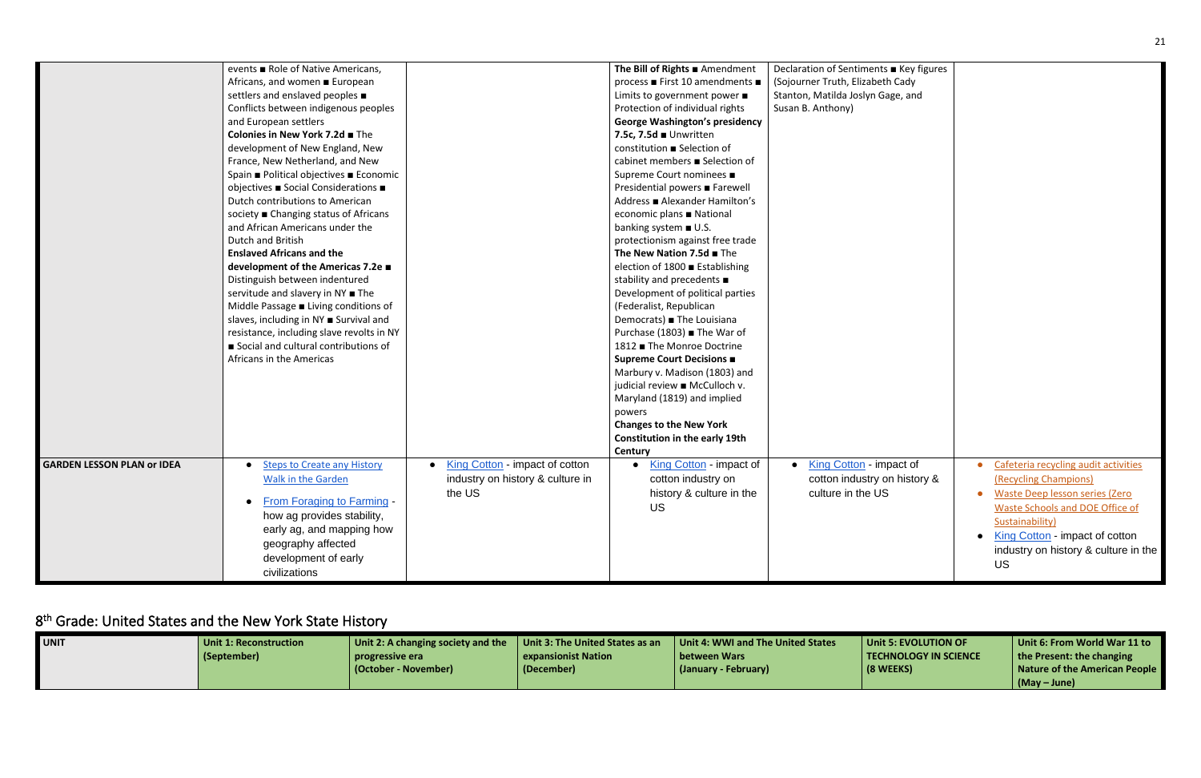|                                   | events ■ Role of Native Americans,                 |                                  | The Bill of Rights Amendment            | Declaration of Sentiments ■ Key figures |                                      |
|-----------------------------------|----------------------------------------------------|----------------------------------|-----------------------------------------|-----------------------------------------|--------------------------------------|
|                                   | Africans, and women ■ European                     |                                  | process ■ First 10 amendments ■         | (Sojourner Truth, Elizabeth Cady        |                                      |
|                                   | settlers and enslaved peoples $\blacksquare$       |                                  | Limits to government power ■            | Stanton, Matilda Joslyn Gage, and       |                                      |
|                                   | Conflicts between indigenous peoples               |                                  | Protection of individual rights         | Susan B. Anthony)                       |                                      |
|                                   | and European settlers                              |                                  | <b>George Washington's presidency</b>   |                                         |                                      |
|                                   | Colonies in New York 7.2d The                      |                                  | 7.5c, 7.5d Unwritten                    |                                         |                                      |
|                                   | development of New England, New                    |                                  | constitution ■ Selection of             |                                         |                                      |
|                                   | France, New Netherland, and New                    |                                  | cabinet members ■ Selection of          |                                         |                                      |
|                                   | Spain ■ Political objectives ■ Economic            |                                  | Supreme Court nominees ■                |                                         |                                      |
|                                   | objectives ■ Social Considerations ■               |                                  | Presidential powers ■ Farewell          |                                         |                                      |
|                                   | Dutch contributions to American                    |                                  | Address ■ Alexander Hamilton's          |                                         |                                      |
|                                   | society ■ Changing status of Africans              |                                  | economic plans ■ National               |                                         |                                      |
|                                   | and African Americans under the                    |                                  | banking system ■ U.S.                   |                                         |                                      |
|                                   | Dutch and British                                  |                                  | protectionism against free trade        |                                         |                                      |
|                                   | <b>Enslaved Africans and the</b>                   |                                  | The New Nation 7.5d The                 |                                         |                                      |
|                                   | development of the Americas 7.2e ■                 |                                  | election of 1800 ■ Establishing         |                                         |                                      |
|                                   | Distinguish between indentured                     |                                  | stability and precedents $\blacksquare$ |                                         |                                      |
|                                   | servitude and slavery in NY ■ The                  |                                  | Development of political parties        |                                         |                                      |
|                                   | Middle Passage $\blacksquare$ Living conditions of |                                  | (Federalist, Republican                 |                                         |                                      |
|                                   | slaves, including in NY <b>B</b> Survival and      |                                  | Democrats) <b>■</b> The Louisiana       |                                         |                                      |
|                                   | resistance, including slave revolts in NY          |                                  | Purchase (1803) <b>■</b> The War of     |                                         |                                      |
|                                   | Social and cultural contributions of               |                                  | 1812 ■ The Monroe Doctrine              |                                         |                                      |
|                                   | Africans in the Americas                           |                                  | Supreme Court Decisions ■               |                                         |                                      |
|                                   |                                                    |                                  | Marbury v. Madison (1803) and           |                                         |                                      |
|                                   |                                                    |                                  | judicial review ■ McCulloch v.          |                                         |                                      |
|                                   |                                                    |                                  | Maryland (1819) and implied             |                                         |                                      |
|                                   |                                                    |                                  | powers                                  |                                         |                                      |
|                                   |                                                    |                                  | <b>Changes to the New York</b>          |                                         |                                      |
|                                   |                                                    |                                  | Constitution in the early 19th          |                                         |                                      |
|                                   |                                                    |                                  | Century                                 |                                         |                                      |
| <b>GARDEN LESSON PLAN or IDEA</b> | <b>Steps to Create any History</b>                 | King Cotton - impact of cotton   | King Cotton - impact of                 | • King Cotton - impact of               | Cafeteria recycling audit activities |
|                                   | Walk in the Garden                                 | industry on history & culture in | cotton industry on                      | cotton industry on history &            | (Recycling Champions)                |
|                                   |                                                    | the US                           | history & culture in the                | culture in the US                       | • Waste Deep lesson series (Zero     |
|                                   | <b>From Foraging to Farming -</b>                  |                                  | <b>US</b>                               |                                         | Waste Schools and DOE Office of      |
|                                   | how ag provides stability,                         |                                  |                                         |                                         | Sustainability)                      |
|                                   | early ag, and mapping how                          |                                  |                                         |                                         | • King Cotton - impact of cotton     |
|                                   | geography affected                                 |                                  |                                         |                                         | industry on history & culture in the |
|                                   | development of early                               |                                  |                                         |                                         |                                      |
|                                   | civilizations                                      |                                  |                                         |                                         | US.                                  |
|                                   |                                                    |                                  |                                         |                                         |                                      |

# <span id="page-20-0"></span>8<sup>th</sup> Grade: United States and the New York State History

| <b>UNIT</b> | Unit 1: Reconstruction | $\Box$ Unit 2: A changing society and the | Unit 3: The United States as an | Unit 4: WWI and The United States | Unit 5: EVOLUTION OF  | Unit 6: From World War 11 to      |
|-------------|------------------------|-------------------------------------------|---------------------------------|-----------------------------------|-----------------------|-----------------------------------|
|             | (September)            | progressive era                           | expansionist Nation             | l between Wars                    | TECHNOLOGY IN SCIENCE | $\vert$ the Present: the changing |
|             |                        | (October - November)                      | (December)                      | (January - February)              | (8 WEEKS)             | Nature of the American People     |
|             |                        |                                           |                                 |                                   |                       | $(May - June)$                    |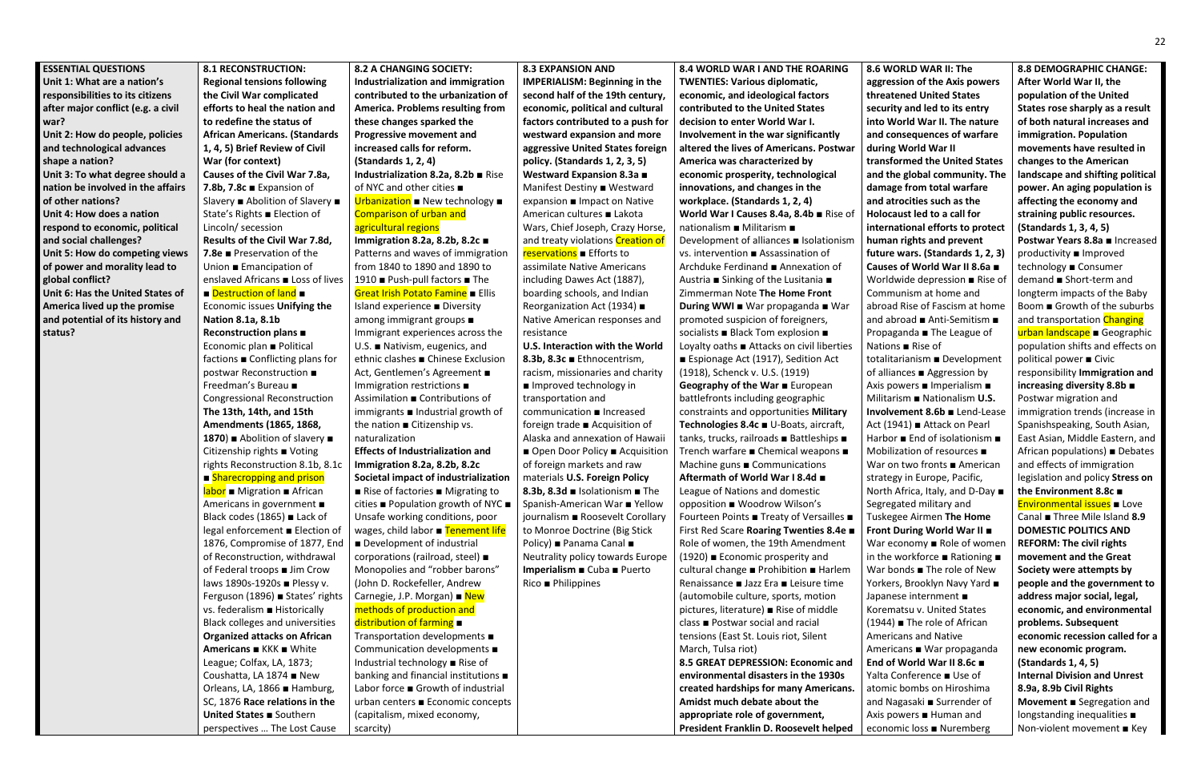**war?**

**status?**

#### **ESSENTIAL QUESTIONS Unit 1: What are a nation's responsibilities to its citizens after major conflict (e.g. a civil Unit 2: How do people, policies and technological advances shape a nation? Unit 3: To what degree should a nation be involved in the affairs of other nations? Unit 4: How does a nation respond to economic, political and social challenges? Unit 5: How do competing views of power and morality lead to global conflict? Unit 6: Has the United States of America lived up the promise and potential of its history and 8.1 RECONSTRUCTION: Regional tensions following the Civil War complicated efforts to heal the nation and to redefine the status of African Americans. (Standards 1, 4, 5) Brief Review of Civil War (for context) Causes of the Civil War 7.8a, 7.8b, 7.8c** ■ Expansion of Slavery ■ Abolition of Slavery ■ State's Rights ■ Election of Lincoln/ secession **Results of the Civil War 7.8d, 7.8e** ■ Preservation of the Union ■ Emancipation of enslaved Africans ■ Loss of lives ■ Destruction of land ■ Economic issues **Unifying the Nation 8.1a, 8.1b Reconstruction plans** ■ Economic plan ■ Political factions ■ Conflicting plans for postwar Reconstruction ■ Freedman's Bureau ■ Congressional Reconstruction **The 13th, 14th, and 15th Amendments (1865, 1868, 1870**) ■ Abolition of slavery ■ Citizenship rights ■ Voting rights Reconstruction 8.1b, 8.1c ■ Sharecropping and prison **labor** ■ Migration ■ African Americans in government ■ Black codes (1865) ■ Lack of legal enforcement ■ Election of 1876, Compromise of 1877, End of Reconstruction, withdrawal of Federal troops ■ Jim Crow laws 1890s-1920s ■ Plessy v. Ferguson (1896) ■ States' rights vs. federalism ■ Historically Black colleges and universities **Organized attacks on African Americans** ■ KKK ■ White League; Colfax, LA, 1873; Coushatta, LA 1874 ■ New Orleans, LA, 1866 ■ Hamburg, SC, 1876 **Race relations in the United States** ■ Southern **8.2 A CHANGING SOCIETY: Industrialization and immigration contributed to the urbanization of**  urban centers ■ Economic concepts (capitalism, mixed economy,

perspectives … The Lost Cause

**America. Problems resulting from these changes sparked the Progressive movement and increased calls for reform. (Standards 1, 2, 4) Industrialization 8.2a, 8.2b** ■ Rise of NYC and other cities ■ Urbanization ■ New technology ■ Comparison of urban and agricultural regions **Immigration 8.2a, 8.2b, 8.2c** ■ Patterns and waves of immigration from 1840 to 1890 and 1890 to 1910 ■ Push-pull factors ■ The Great Irish Potato Famine ■ Ellis Island experience ■ Diversity among immigrant groups ■ Immigrant experiences across the U.S. ■ Nativism, eugenics, and ethnic clashes ■ Chinese Exclusion Act, Gentlemen's Agreement ■ Immigration restrictions ■ Assimilation ■ Contributions of immigrants ■ Industrial growth of the nation ■ Citizenship vs. naturalization **Effects of Industrialization and Immigration 8.2a, 8.2b, 8.2c Societal impact of industrialization** ■ Rise of factories ■ Migrating to cities ■ Population growth of NYC ■ Unsafe working conditions, poor wages, child labor ■ Tenement life ■ Development of industrial corporations (railroad, steel) ■ Monopolies and "robber barons" (John D. Rockefeller, Andrew Carnegie, J.P. Morgan) ■ New methods of production and distribution of farming ■ Transportation developments ■ Communication developments ■ Industrial technology ■ Rise of banking and financial institutions ■ Labor force ■ Growth of industrial

scarcity)

**8.3 EXPANSION AND IMPERIALISM: Beginning in the second half of the 19th century, economic, political and cultural factors contributed to a push for westward expansion and more aggressive United States foreign policy. (Standards 1, 2, 3, 5) Westward Expansion 8.3a** ■ Manifest Destiny ■ Westward expansion ■ Impact on Native American cultures ■ Lakota Wars, Chief Joseph, Crazy Horse, and treaty violations Creation of reservations ■ Efforts to assimilate Native Americans including Dawes Act (1887), boarding schools, and Indian Reorganization Act (1934) ■ Native American responses and resistance **U.S. Interaction with the World 8.3b, 8.3c** ■ Ethnocentrism, racism, missionaries and charity ■ Improved technology in transportation and communication ■ Increased foreign trade ■ Acquisition of Alaska and annexation of Hawaii ■ Open Door Policy ■ Acquisition of foreign markets and raw materials **U.S. Foreign Policy 8.3b, 8.3d** ■ Isolationism ■ The Spanish-American War ■ Yellow journalism ■ Roosevelt Corollary to Monroe Doctrine (Big Stick Policy) ■ Panama Canal ■ Neutrality policy towards Europe **Imperialism** ■ Cuba ■ Puerto Rico ■ Philippines

**8.4 WORLD WAR I AND THE ROARING TWENTIES: Various diplomatic, economic, and ideological factors contributed to the United States decision to enter World War I. Involvement in the war significantly altered the lives of Americans. Postwar America was characterized by economic prosperity, technological innovations, and changes in the workplace. (Standards 1, 2, 4) World War I Causes 8.4a, 8.4b** ■ Rise of nationalism ■ Militarism ■ Development of alliances ■ Isolationism vs. intervention ■ Assassination of Archduke Ferdinand ■ Annexation of Austria ■ Sinking of the Lusitania ■ Zimmerman Note **The Home Front During WWI** ■ War propaganda ■ War promoted suspicion of foreigners, socialists ■ Black Tom explosion ■ Loyalty oaths ■ Attacks on civil liberties ■ Espionage Act (1917), Sedition Act (1918), Schenck v. U.S. (1919) **Geography of the War** ■ European battlefronts including geographic constraints and opportunities **Military Technologies 8.4c** ■ U-Boats, aircraft, tanks, trucks, railroads ■ Battleships ■ Trench warfare ■ Chemical weapons ■ Machine guns ■ Communications **Aftermath of World War I 8.4d** ■ League of Nations and domestic opposition ■ Woodrow Wilson's Fourteen Points ■ Treaty of Versailles ■ First Red Scare **Roaring Twenties 8.4e** ■ Role of women, the 19th Amendment (1920) ■ Economic prosperity and cultural change ■ Prohibition ■ Harlem Renaissance ■ Jazz Era ■ Leisure time (automobile culture, sports, motion pictures, literature) ■ Rise of middle class ■ Postwar social and racial tensions (East St. Louis riot, Silent March, Tulsa riot) **8.5 GREAT DEPRESSION: Economic and environmental disasters in the 1930s created hardships for many Americans. Amidst much debate about the appropriate role of government, President Franklin D. Roosevelt helped** 

**8.6 WORLD WAR II: The aggression of the Axis powers threatened United States security and led to its entry into World War II. The nature and consequences of warfare during World War II transformed the United States and the global community. The damage from total warfare and atrocities such as the Holocaust led to a call for international efforts to protect human rights and prevent future wars. (Standards 1, 2, 3) Causes of World War II 8.6a** ■ Worldwide depression ■ Rise of Communism at home and abroad Rise of Fascism at home and abroad ■ Anti-Semitism ■ Propaganda ■ The League of Nations ■ Rise of totalitarianism ■ Development of alliances ■ Aggression by Axis powers ■ Imperialism ■ Militarism ■ Nationalism **U.S. Involvement 8.6b** ■ Lend-Lease Act (1941) ■ Attack on Pearl Harbor ■ End of isolationism ■ Mobilization of resources ■ War on two fronts ■ American strategy in Europe, Pacific, North Africa, Italy, and D-Day ■ Segregated military and Tuskegee Airmen **The Home Front During World War II** ■ War economy ■ Role of women in the workforce ■ Rationing ■ War bonds ■ The role of New Yorkers, Brooklyn Navy Yard ■ Japanese internment ■ Korematsu v. United States (1944) ■ The role of African Americans and Native Americans ■ War propaganda **End of World War II 8.6c** ■ Yalta Conference ■ Use of atomic bombs on Hiroshima and Nagasaki ■ Surrender of Axis powers ■ Human and economic loss ■ Nuremberg

**8.8 DEMOGRAPHIC CHANGE: After World War II, the population of the United States rose sharply as a result of both natural increases and immigration. Population movements have resulted in changes to the American landscape and shifting political power. An aging population is affecting the economy and straining public resources. (Standards 1, 3, 4, 5) Postwar Years 8.8a** ■ Increased productivity ■ Improved technology ■ Consumer demand ■ Short-term and longterm impacts of the Baby Boom ■ Growth of the suburbs and transportation Changing urban landscape ■ Geographic population shifts and effects on political power ■ Civic responsibility **Immigration and increasing diversity 8.8b** ■ Postwar migration and immigration trends (increase in Spanishspeaking, South Asian, East Asian, Middle Eastern, and African populations) ■ Debates and effects of immigration legislation and policy **Stress on the Environment 8.8c** ■ Environmental issues ■ Love Canal ■ Three Mile Island **8.9 DOMESTIC POLITICS AND REFORM: The civil rights movement and the Great Society were attempts by people and the government to address major social, legal, economic, and environmental problems. Subsequent economic recession called for a new economic program. (Standards 1, 4, 5) Internal Division and Unrest 8.9a, 8.9b Civil Rights Movement** ■ Segregation and longstanding inequalities ■ Non-violent movement ■ Key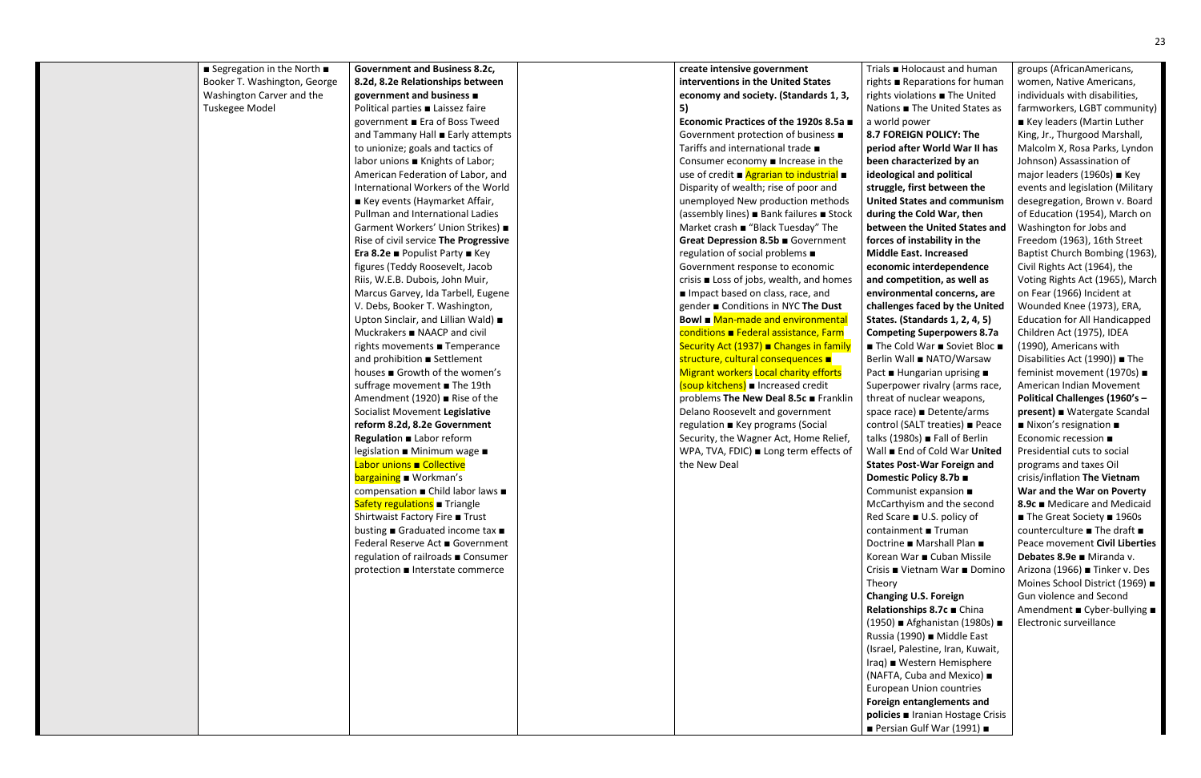| Segregation in the North $\blacksquare$ | <b>Government and Business 8.2c,</b>  | create intensive government                     | Tria              |
|-----------------------------------------|---------------------------------------|-------------------------------------------------|-------------------|
| Booker T. Washington, George            | 8.2d, 8.2e Relationships between      | interventions in the United States              | righ              |
| Washington Carver and the               | government and business ■             | economy and society. (Standards 1, 3,           | righ              |
| Tuskegee Model                          | Political parties Laissez faire       | 5)                                              | Nat               |
|                                         | government ■ Era of Boss Tweed        | Economic Practices of the 1920s 8.5a ■          | a w               |
|                                         | and Tammany Hall Early attempts       | Government protection of business ■             | 8.7               |
|                                         | to unionize; goals and tactics of     | Tariffs and international trade ■               | per               |
|                                         | labor unions ■ Knights of Labor;      | Consumer economy $\blacksquare$ Increase in the | bee               |
|                                         | American Federation of Labor, and     | use of credit <b>■</b> Agrarian to industrial ■ | ide               |
|                                         | International Workers of the World    | Disparity of wealth; rise of poor and           | stru              |
|                                         | ■ Key events (Haymarket Affair,       | unemployed New production methods               | Uni               |
|                                         | Pullman and International Ladies      | (assembly lines) ■ Bank failures ■ Stock        | dur               |
|                                         | Garment Workers' Union Strikes) ■     | Market crash ■ "Black Tuesday" The              | <b>bet</b>        |
|                                         | Rise of civil service The Progressive | Great Depression 8.5b Government                | ford              |
|                                         | Era 8.2e ■ Populist Party ■ Key       | regulation of social problems ■                 | Mic               |
|                                         | figures (Teddy Roosevelt, Jacob       | Government response to economic                 | eco               |
|                                         | Riis, W.E.B. Dubois, John Muir,       | crisis ■ Loss of jobs, wealth, and homes        | and               |
|                                         | Marcus Garvey, Ida Tarbell, Eugene    | Impact based on class, race, and                | env               |
|                                         | V. Debs, Booker T. Washington,        | gender ■ Conditions in NYC The Dust             | cha               |
|                                         | Upton Sinclair, and Lillian Wald) ■   | Bowl ■ Man-made and environmental               | Stat              |
|                                         | Muckrakers ■ NAACP and civil          | conditions Federal assistance, Farm             | Con               |
|                                         | rights movements ■ Temperance         | Security Act (1937) ■ Changes in family         | $\blacksquare$ Ti |
|                                         | and prohibition <b>B</b> Settlement   | structure, cultural consequences $\blacksquare$ | Ber               |
|                                         | houses ■ Growth of the women's        | <b>Migrant workers Local charity efforts</b>    | Pac               |
|                                         | suffrage movement ■ The 19th          | (soup kitchens) ■ Increased credit              | Sup               |
|                                         | Amendment (1920) ■ Rise of the        | problems The New Deal 8.5c Franklin             | thre              |
|                                         | Socialist Movement Legislative        | Delano Roosevelt and government                 | spa               |
|                                         | reform 8.2d, 8.2e Government          | regulation ■ Key programs (Social               | con               |
|                                         | Regulation Labor reform               | Security, the Wagner Act, Home Relief,          | talk              |
|                                         | legislation ■ Minimum wage ■          | WPA, TVA, FDIC) ■ Long term effects of          | Wa                |
|                                         | Labor unions Collective               | the New Deal                                    | Stat              |
|                                         | bargaining Workman's                  |                                                 | Dor               |
|                                         | compensation ■ Child labor laws ■     |                                                 | Con               |
|                                         | Safety regulations ■ Triangle         |                                                 | Mc                |
|                                         | Shirtwaist Factory Fire ■ Trust       |                                                 | Red               |
|                                         | busting ■ Graduated income tax ■      |                                                 | con               |
|                                         | Federal Reserve Act ■ Government      |                                                 | Doc               |
|                                         | regulation of railroads ■ Consumer    |                                                 | Kor               |
|                                         | protection ■ Interstate commerce      |                                                 | Cris              |
|                                         |                                       |                                                 | The               |
|                                         |                                       |                                                 | Cha               |
|                                         |                                       |                                                 | Rela              |
|                                         |                                       |                                                 | (19)              |
|                                         |                                       |                                                 | Rus               |
|                                         |                                       |                                                 | (Isra             |
|                                         |                                       |                                                 | Irac              |
|                                         |                                       |                                                 | (NA               |
|                                         |                                       |                                                 | Eur               |
|                                         |                                       |                                                 | For               |
|                                         |                                       |                                                 | poli              |
|                                         |                                       |                                                 | P                 |

 $als \blacksquare$  Holocaust and human hts ■ Reparations for human nts violations ■ The United tions ■ The United States as orld power

**Changing U.S. Foreign Relationships 8.7c** ■ China (1950) ■ Afghanistan (1980s) ■ ssia (1990) ■ Middle East ael, Palestine, Iran, Kuwait, g) ■ Western Hemisphere (NAFTA, Cuba and Mexico) opean Union countries **Foreign entanglements and icies** ■ Iranian Hostage Crisis ersian Gulf War (1991) ■

**8.7 FOREIGN POLICY: The period after World War II has bead characterized by an ideological and political struggle, first between the United States and communism during the Cold War, then betabe Whited States and forces of instability in the Middle East. Increased economic interdependence and competition, as well as environmental concerns, are challenges faced by the United States. (Standards 1, 2, 4, 5) Competing Superpowers 8.7a** ■ The Cold War ■ Soviet Bloc ■ Berlin Wall ■ NATO/Warsaw  $ct$  ■ Hungarian uprising ■ oerpower rivalry (arms race, eat of nuclear weapons, space race) ■ Detente/arms ntrol (SALT treaties) ■ Peace  $ks$  (1980s)  $\blacksquare$  Fall of Berlin Wall ■ End of Cold War **United States Post-War Foreign and Domestic Policy 8.7b** ■  $m$ mmunist expansion  $\blacksquare$ Carthyism and the second Scare ■ U.S. policy of ntainment ■ Truman Doctrine ■ Marshall Plan ■

ean War ■ Cuban Missile Crisis ■ Vietnam War ■ Domino eory

groups (AfricanAmericans, women, Native Americans, individuals with disabilities, farmworkers, LGBT community) ■ Key leaders (Martin Luther King, Jr., Thurgood Marshall, Malcolm X, Rosa Parks, Lyndon Johnson) Assassination of major leaders (1960s) ■ Key events and legislation (Military desegregation, Brown v. Board of Education (1954), March on Washington for Jobs and Freedom (1963), 16th Street Baptist Church Bombing (1963), Civil Rights Act (1964), the Voting Rights Act (1965), March on Fear (1966) Incident at Wounded Knee (1973), ERA, Education for All Handicapped Children Act (1975), IDEA (1990), Americans with Disabilities Act (1990)) ■ The feminist movement (1970s) ■ American Indian Movement **Political Challenges (1960's – present)** ■ Watergate Scandal ■ Nixon's resignation ■ Economic recession ■ Presidential cuts to social programs and taxes Oil crisis/inflation **The Vietnam War and the War on Poverty 8.9c** ■ Medicare and Medicaid ■ The Great Society ■ 1960s counterculture ■ The draft ■ Peace movement **Civil Liberties Debates 8.9e** ■ Miranda v. Arizona (1966) ■ Tinker v. Des Moines School District (1969) ■ Gun violence and Second Amendment ■ Cyber-bullying ■ Electronic surveillance